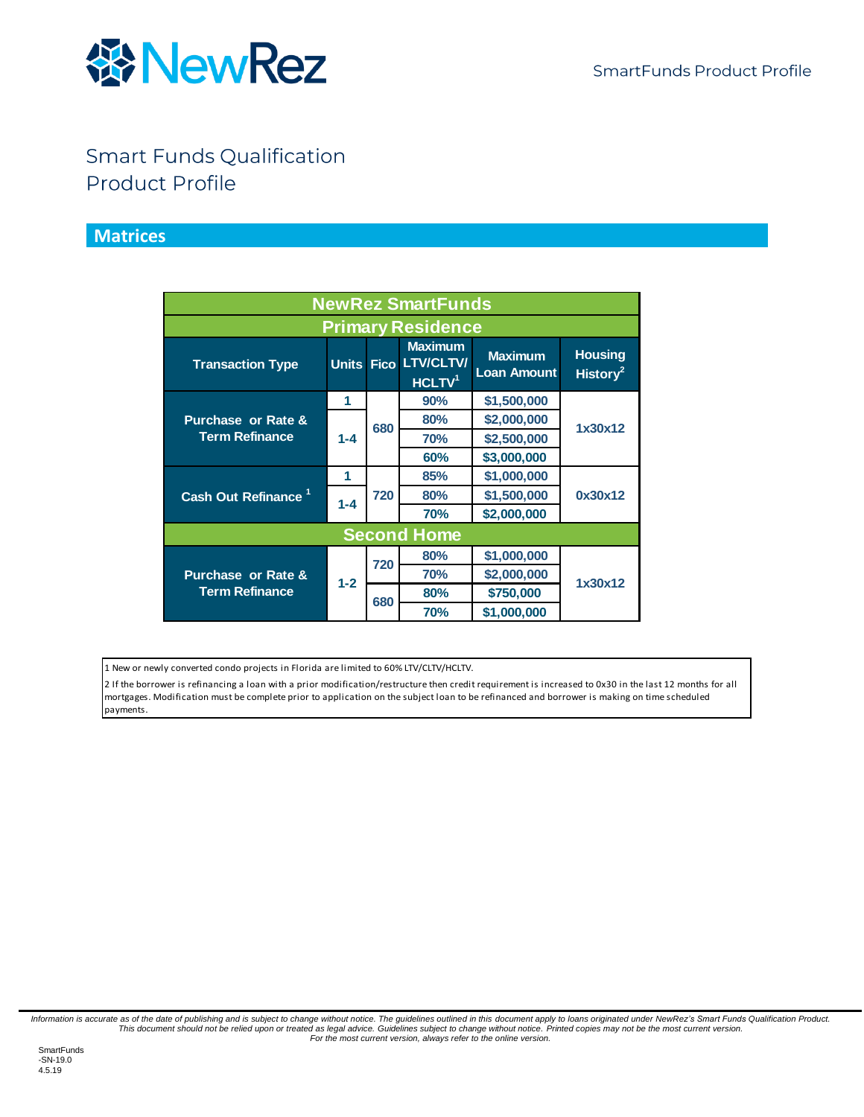

#### **Smart Funds Qualification Product Profile**

#### **Matrices**

<span id="page-0-0"></span>

| <b>NewRez SmartFunds</b>        |         |            |                                                              |                                      |                                        |
|---------------------------------|---------|------------|--------------------------------------------------------------|--------------------------------------|----------------------------------------|
| <b>Primary Residence</b>        |         |            |                                                              |                                      |                                        |
| <b>Transaction Type</b>         |         |            | <b>Maximum</b><br>Units Fico LTV/CLTV/<br>HCLTV <sup>1</sup> | <b>Maximum</b><br><b>Loan Amount</b> | <b>Housing</b><br>History <sup>2</sup> |
|                                 | 1       | 680        | 90%                                                          | \$1,500,000                          | 1x30x12                                |
| <b>Purchase or Rate &amp;</b>   |         |            | 80%                                                          | \$2,000,000                          |                                        |
| <b>Term Refinance</b>           | $1 - 4$ |            | <b>70%</b>                                                   | \$2,500,000                          |                                        |
|                                 |         |            | 60%                                                          | \$3,000,000                          |                                        |
|                                 | 1       | 720        | 85%                                                          | \$1,000,000                          | 0x30x12                                |
| Cash Out Refinance <sup>1</sup> | $1 - 4$ |            | 80%                                                          | \$1,500,000                          |                                        |
|                                 |         |            | <b>70%</b>                                                   | \$2,000,000                          |                                        |
| <b>Second Home</b>              |         |            |                                                              |                                      |                                        |
|                                 | $1 - 2$ | 720<br>680 | 80%                                                          | \$1,000,000                          |                                        |
| <b>Purchase or Rate &amp;</b>   |         |            | <b>70%</b>                                                   | \$2,000,000                          | 1x30x12                                |
| <b>Term Refinance</b>           |         |            | 80%                                                          | \$750,000                            |                                        |
|                                 |         |            | <b>70%</b>                                                   | \$1,000,000                          |                                        |

1 New or newly converted condo projects in Florida are limited to 60% LTV/CLTV/HCLTV.

2 If the borrower is refinancing a loan with a prior modification/restructure then credit requirement is increased to 0x30 in the last 12 months for all mortgages. Modification must be complete prior to application on the subject loan to be refinanced and borrower is making on time scheduled payments.

Information is accurate as of the date of publishing and is subject to change without notice. The guidelines outlined in this document apply to loans originated under NewRez's Smart Funds Qualification Product.<br>This docume *For the most current version, always refer to the online version.*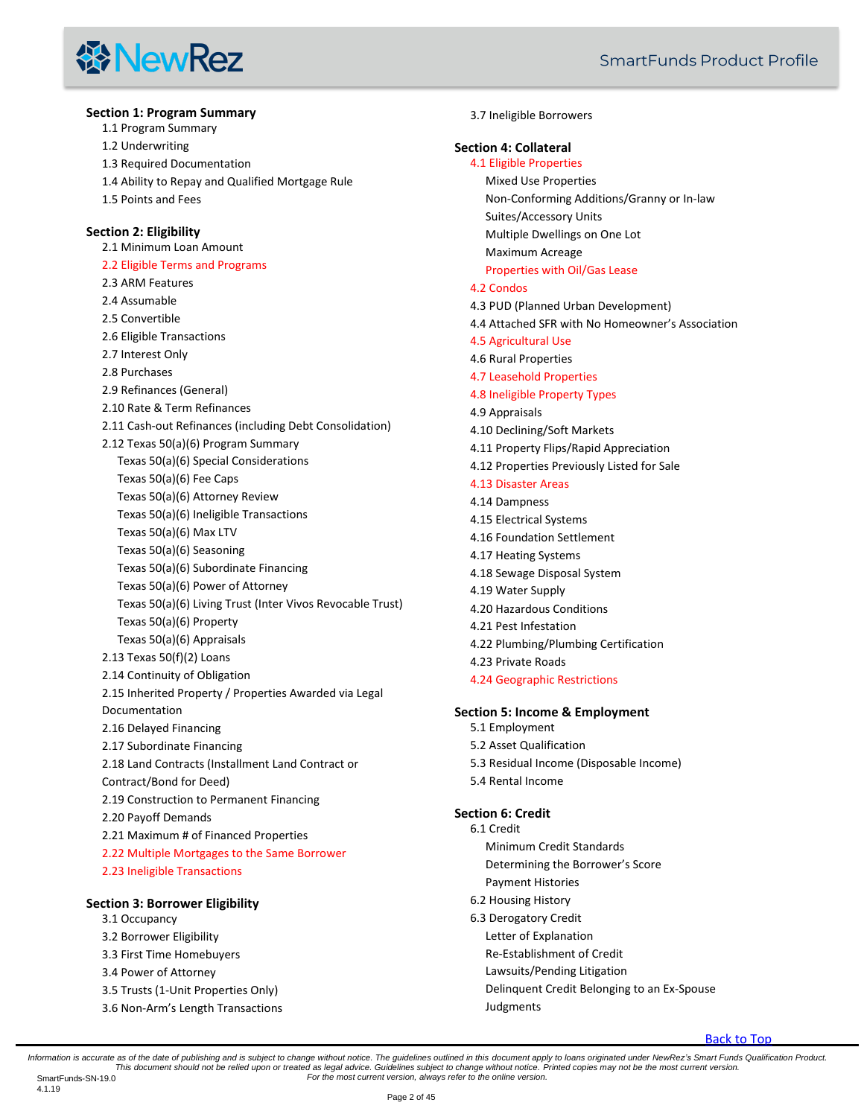### **线NewRez**

#### **[Section 1: Program Summary](#page-3-0)** [1.1 Program Summary](#page-3-1) [1.2 Underwriting](#page-3-2) [1.3 Required Documentation](#page-3-3) [1.4 Ability to Repay and Qualified Mortgage Rule](#page-3-4) [1.5 Points and Fees](#page-3-5) **[Section 2: Eligibility](#page-3-6)** [2.1 Minimum Loan Amount](#page-3-7) [2.2 Eligible Terms and Programs](#page-3-8) [2.3 ARM Features](#page-3-9) [2.4 Assumable](#page-4-0) [2.5 Convertible](#page-4-1) [2.6 Eligible Transactions](#page-4-2) [2.7 Interest Only](#page-4-3) [2.8 Purchases](#page-4-4) [2.9 Refinances \(General\)](#page-4-5) [2.10 Rate & Term Refinances](#page-4-6) [2.11 Cash-out Refinances \(including Debt Consolidation\)](#page-5-0) [2.12 Texas 50\(a\)\(6\) Program Summary](#page-5-1) [Texas 50\(a\)\(6\) Special Considerations](#page-5-2) [Texas 50\(a\)\(6\) Fee Caps](#page-6-0) [Texas 50\(a\)\(6\) Attorney Review](#page-6-1) [Texas 50\(a\)\(6\) Ineligible Transactions](#page-6-2) [Texas 50\(a\)\(6\) Max LTV](#page-6-3) [Texas 50\(a\)\(6\) Seasoning](#page-6-4) [Texas 50\(a\)\(6\) Subordinate Financing](#page-6-5) [Texas 50\(a\)\(6\) Power of Attorney](#page-6-6) [Texas 50\(a\)\(6\) Living Trust \(Inter Vivos Revocable Trust\)](#page-6-7) [Texas 50\(a\)\(6\) Property](#page-7-0) [Texas 50\(a\)\(6\) Appraisals](#page-7-1) [2.13 Texas 50\(f\)\(2\) Loans](#page-7-2) [2.14 Continuity of Obligation](#page-8-0) [2.15 Inherited Property / Properties Awarded via Legal](#page-8-1)  [Documentation](#page-8-1) [2.16 Delayed Financing](#page-8-2) [2.17 Subordinate Financing](#page-8-3) [2.18 Land Contracts \(Installment Land Contract or](#page-9-0)  [Contract/Bond for Deed\)](#page-9-0) [2.19 Construction to Permanent Financing](#page-10-0) [2.20 Payoff Demands](#page-10-1) [2.21 Maximum # of Financed Properties](#page-10-2) [2.22 Multiple Mortgages to the Same Borrower](#page-10-3) [2.23 Ineligible Transactions](#page-11-0) **[Section 3: Borrower Eligibility](#page-11-1)** [3.1 Occupancy](#page-11-2) [3.2 Borrower Eligibility](#page-11-3)

- [3.3 First Time Homebuyers](#page-12-0)
- [3.4 Power of Attorney](#page-12-1)
- [3.5 Trusts \(1-Unit Properties Only\)](#page-13-0)
- 3.6 Non-[Arm's Length Transactions](#page-14-0)

#### [3.7 Ineligible Borrowers](#page-14-1)

#### **[Section 4: Collateral](#page-14-2)**

#### [4.1 Eligible Properties](#page-14-3)

[Mixed Use Properties](#page-15-0)

[Non-Conforming Additions/Granny or In-law](#page-15-1) 

[Suites/Accessory Units](#page-15-1)

[Multiple Dwellings on One Lot](#page-15-2)

[Maximum Acreage](#page-15-3)

#### [Properties with Oil/Gas Lease](#page-15-4)

#### [4.2 Condos](#page-16-0)

- [4.3 PUD \(Planned Urban Development\)](#page-16-1)
- [4.4 Attached SFR with No Homeowner's Association](#page-16-2)
- [4.5 Agricultural Use](#page-16-3)
- [4.6 Rural Properties](#page-16-4)
- [4.7 Leasehold Properties](#page-17-0)
- [4.8 Ineligible Property Types](#page-17-1)
- [4.9 Appraisals](#page-18-0)
- [4.10 Declining/Soft Markets](#page-19-0)
- [4.11 Property Flips/Rapid Appreciation](#page-19-1)
- [4.12 Properties Previously Listed for Sale](#page-19-2)

#### [4.13 Disaster](#page-20-0) Areas [4.14 Dampness](#page-20-1)

- [4.15 Electrical Systems](#page-20-2)
- [4.16 Foundation Settlement](#page-20-3)
- [4.17 Heating Systems](#page-20-4)
- [4.18 Sewage Disposal System](#page-20-5)
- [4.19 Water Supply](#page-20-6)
- [4.20 Hazardous Conditions](#page-21-0)
- [4.21 Pest Infestation](#page-21-1)
- [4.22 Plumbing/Plumbing Certification](#page-21-2)
- [4.23 Private Roads](#page-21-3)
- [4.24 Geographic Restrictions](#page-21-4)

#### **[Section 5: Income & Employment](#page-21-5)**

- [5.1 Employment](#page-21-6)
- [5.2 Asset Qualification](#page-21-7)
- [5.3 Residual Income \(Disposable Income\)](#page-24-0)
- [5.4 Rental Income](#page-24-1)

#### **[Section 6: Credit](#page-25-0)**

- [6.1 Credit](#page-25-1) [Minimum Credit Standards](#page-25-2)
	-
	- [Determining the Borrower's Score](#page-26-0) [Payment Histories](#page-26-1)
- 
- [6.2 Housing History](#page-26-2)
- [6.3 Derogatory Credit](#page-26-3)
	- [Letter of Explanation](#page-27-0)
	- [Re-Establishment of Credit](#page-27-1)
	- [Lawsuits/Pending Litigation](#page-27-2)
	- [Delinquent Credit Belonging to an Ex-Spouse](#page-27-3)
	- [Judgments](#page-28-0)

Information is accurate as of the date of publishing and is subject to change without notice. The guidelines outlined in this document apply to loans originated under NewRez's Smart Funds Qualification Product. This document should not be relied upon or treated as legal advice. Guidelines subject to change without notice. Printed copies may not be the most current version.<br>For the most current version, always refer to the online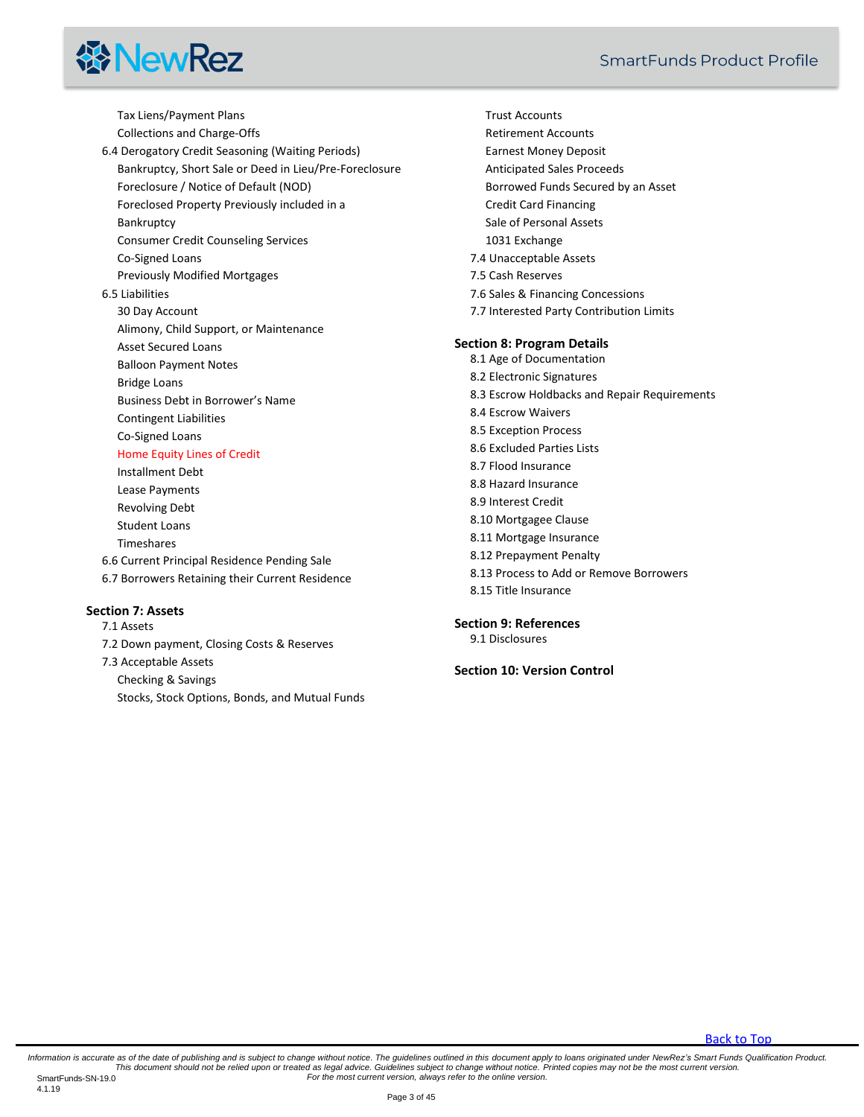# **线NewRez**

[Tax Liens/Payment Plans](#page-28-1) [Collections and Charge-Offs](#page-28-2) [6.4 Derogatory Credit Seasoning \(Waiting Periods\)](#page-28-3) [Bankruptcy, Short Sale or Deed in Lieu/Pre-Foreclosure](#page-28-4) [Foreclosure / Notice of Default \(NOD\)](#page-28-5) [Foreclosed Property Previously included in a](#page-28-6)  **[Bankruptcy](#page-28-6)** [Consumer Credit Counseling Services](#page-28-7) [Co-Signed Loans](#page-28-8) [Previously Modified Mortgages](#page-28-9) [6.5 Liabilities](#page-29-0) [30 Day Account](#page-29-1) [Alimony, Child Support, or Maintenance](#page-29-2) [Asset Secured Loans](#page-29-3) [Balloon Payment Notes](#page-29-4) [Bridge Loans](#page-29-5) [Business Debt in Borrower's Nam](#page-29-6)e [Contingent Liabilities](#page-30-0) [Co-Signed Loans](#page-30-1) [Home Equity Lines of Credit](#page-30-2) [Installment Debt](#page-30-3) [Lease Payments](#page-30-4) [Revolving Debt](#page-31-0) [Student Loans](#page-31-1) [Timeshares](#page-31-2) [6.6 Current Principal Residence Pending Sale](#page-31-3)

[6.7 Borrowers Retaining their Current Residence](#page-31-4)

#### **[Section 7: Assets](#page-32-0)**

[7.1 Assets](#page-32-1)

[7.2 Down payment, Closing Costs & Reserves](#page-32-2) [7.3 Acceptable Assets](#page-33-0) [Checking & Savings](#page-33-1) [Stocks, Stock Options, Bonds, and Mutual Funds](#page-33-2)

[Trust Accounts](#page-34-0) [Retirement Accounts](#page-34-1) [Earnest Money Deposit](#page-34-2) [Anticipated Sales Proceeds](#page-35-0) [Borrowed Funds Secured by an Asset](#page-35-1) [Credit Card Financing](#page-35-2) [Sale of Personal Assets](#page-35-3) [1031 Exchange](#page-36-0) [7.4 Unacceptable Assets](#page-36-1) [7.5 Cash Reserves](#page-36-2) [7.6 Sales & Financing Concessions](#page-37-0) [7.7 Interested Party Contribution Limits](#page-38-0) **[Section 8: Program Details](#page-38-1)** [8.1 Age of Documentation](#page-38-2) [8.2 Electronic Signatures](#page-38-3) [8.3 Escrow Holdbacks and Repair Requirements](#page-38-4) [8.4 Escrow Waivers](#page-39-0) [8.5 Exception Process](#page-39-1) [8.6 Excluded Parties Lists](#page-39-2) [8.7 Flood Insurance](#page-39-3) [8.8 Hazard Insurance](#page-40-0) [8.9 Interest Credit](#page-41-0) [8.10 Mortgagee Clause](#page-41-1) [8.11 Mortgage Insurance](#page-42-0) [8.12 Prepayment Penalty](#page-42-1) [8.13 Process to Add or Remove Borrowers](#page-42-2) [8.15 Title Insurance](#page-42-3)

**[Section 9: References](#page-43-0)**

[9.1 Disclosures](#page-44-0)

**[Section 10: Version Control](#page-44-1)**

[Back to Top](#page-0-0)

Information is accurate as of the date of publishing and is subject to change without notice. The guidelines outlined in this document apply to loans originated under NewRez's Smart Funds Qualification Product. This document should not be relied upon or treated as legal advice. Guidelines subject to change without notice. Printed copies may not be the most current version.<br>For the most current version, always refer to the online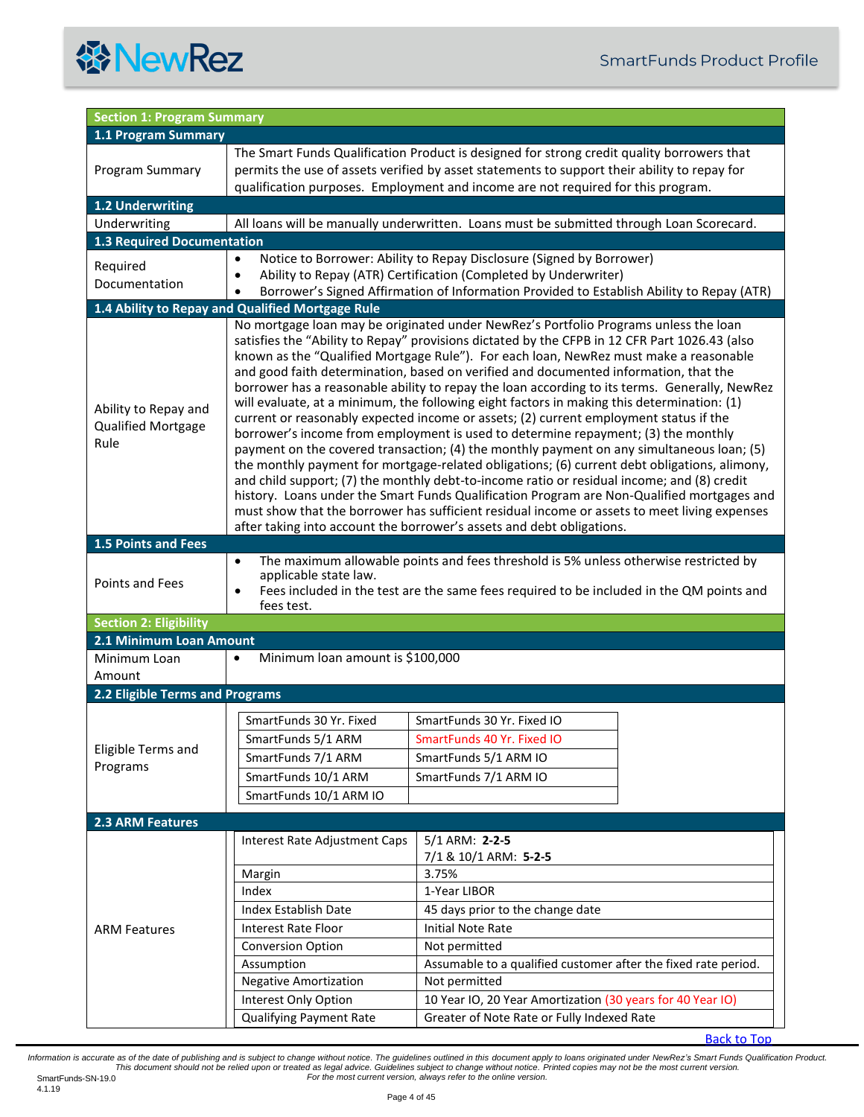<span id="page-3-9"></span><span id="page-3-8"></span><span id="page-3-7"></span><span id="page-3-6"></span><span id="page-3-5"></span><span id="page-3-4"></span><span id="page-3-3"></span><span id="page-3-2"></span><span id="page-3-1"></span><span id="page-3-0"></span>

|                                                           | <b>Section 1: Program Summary</b>                                                                                                                                                                                                                                                                                                                                                                                                                                                                                                                                                                                                                                                                                                                                                                                                                                                                                                                                                                                                                                                                                                                                                                                                            |                                                                                                                                                                                                                                                                                |  |  |
|-----------------------------------------------------------|----------------------------------------------------------------------------------------------------------------------------------------------------------------------------------------------------------------------------------------------------------------------------------------------------------------------------------------------------------------------------------------------------------------------------------------------------------------------------------------------------------------------------------------------------------------------------------------------------------------------------------------------------------------------------------------------------------------------------------------------------------------------------------------------------------------------------------------------------------------------------------------------------------------------------------------------------------------------------------------------------------------------------------------------------------------------------------------------------------------------------------------------------------------------------------------------------------------------------------------------|--------------------------------------------------------------------------------------------------------------------------------------------------------------------------------------------------------------------------------------------------------------------------------|--|--|
| 1.1 Program Summary                                       |                                                                                                                                                                                                                                                                                                                                                                                                                                                                                                                                                                                                                                                                                                                                                                                                                                                                                                                                                                                                                                                                                                                                                                                                                                              |                                                                                                                                                                                                                                                                                |  |  |
| Program Summary                                           |                                                                                                                                                                                                                                                                                                                                                                                                                                                                                                                                                                                                                                                                                                                                                                                                                                                                                                                                                                                                                                                                                                                                                                                                                                              | The Smart Funds Qualification Product is designed for strong credit quality borrowers that<br>permits the use of assets verified by asset statements to support their ability to repay for<br>qualification purposes. Employment and income are not required for this program. |  |  |
| <b>1.2 Underwriting</b>                                   |                                                                                                                                                                                                                                                                                                                                                                                                                                                                                                                                                                                                                                                                                                                                                                                                                                                                                                                                                                                                                                                                                                                                                                                                                                              |                                                                                                                                                                                                                                                                                |  |  |
| Underwriting                                              |                                                                                                                                                                                                                                                                                                                                                                                                                                                                                                                                                                                                                                                                                                                                                                                                                                                                                                                                                                                                                                                                                                                                                                                                                                              | All loans will be manually underwritten. Loans must be submitted through Loan Scorecard.                                                                                                                                                                                       |  |  |
| <b>1.3 Required Documentation</b>                         |                                                                                                                                                                                                                                                                                                                                                                                                                                                                                                                                                                                                                                                                                                                                                                                                                                                                                                                                                                                                                                                                                                                                                                                                                                              |                                                                                                                                                                                                                                                                                |  |  |
| Required<br>Documentation                                 | $\bullet$<br>٠<br>$\bullet$                                                                                                                                                                                                                                                                                                                                                                                                                                                                                                                                                                                                                                                                                                                                                                                                                                                                                                                                                                                                                                                                                                                                                                                                                  | Notice to Borrower: Ability to Repay Disclosure (Signed by Borrower)<br>Ability to Repay (ATR) Certification (Completed by Underwriter)<br>Borrower's Signed Affirmation of Information Provided to Establish Ability to Repay (ATR)                                           |  |  |
|                                                           | 1.4 Ability to Repay and Qualified Mortgage Rule                                                                                                                                                                                                                                                                                                                                                                                                                                                                                                                                                                                                                                                                                                                                                                                                                                                                                                                                                                                                                                                                                                                                                                                             |                                                                                                                                                                                                                                                                                |  |  |
| Ability to Repay and<br>Qualified Mortgage<br>Rule        | No mortgage loan may be originated under NewRez's Portfolio Programs unless the loan<br>satisfies the "Ability to Repay" provisions dictated by the CFPB in 12 CFR Part 1026.43 (also<br>known as the "Qualified Mortgage Rule"). For each loan, NewRez must make a reasonable<br>and good faith determination, based on verified and documented information, that the<br>borrower has a reasonable ability to repay the loan according to its terms. Generally, NewRez<br>will evaluate, at a minimum, the following eight factors in making this determination: (1)<br>current or reasonably expected income or assets; (2) current employment status if the<br>borrower's income from employment is used to determine repayment; (3) the monthly<br>payment on the covered transaction; (4) the monthly payment on any simultaneous loan; (5)<br>the monthly payment for mortgage-related obligations; (6) current debt obligations, alimony,<br>and child support; (7) the monthly debt-to-income ratio or residual income; and (8) credit<br>history. Loans under the Smart Funds Qualification Program are Non-Qualified mortgages and<br>must show that the borrower has sufficient residual income or assets to meet living expenses |                                                                                                                                                                                                                                                                                |  |  |
| <b>1.5 Points and Fees</b>                                |                                                                                                                                                                                                                                                                                                                                                                                                                                                                                                                                                                                                                                                                                                                                                                                                                                                                                                                                                                                                                                                                                                                                                                                                                                              | after taking into account the borrower's assets and debt obligations.                                                                                                                                                                                                          |  |  |
| Points and Fees                                           | The maximum allowable points and fees threshold is 5% unless otherwise restricted by<br>$\bullet$<br>applicable state law.<br>Fees included in the test are the same fees required to be included in the QM points and<br>$\bullet$<br>fees test.                                                                                                                                                                                                                                                                                                                                                                                                                                                                                                                                                                                                                                                                                                                                                                                                                                                                                                                                                                                            |                                                                                                                                                                                                                                                                                |  |  |
| <b>Section 2: Eligibility</b>                             |                                                                                                                                                                                                                                                                                                                                                                                                                                                                                                                                                                                                                                                                                                                                                                                                                                                                                                                                                                                                                                                                                                                                                                                                                                              |                                                                                                                                                                                                                                                                                |  |  |
| 2.1 Minimum Loan Amount                                   |                                                                                                                                                                                                                                                                                                                                                                                                                                                                                                                                                                                                                                                                                                                                                                                                                                                                                                                                                                                                                                                                                                                                                                                                                                              |                                                                                                                                                                                                                                                                                |  |  |
| Minimum Loan<br>Amount<br>2.2 Eligible Terms and Programs | Minimum loan amount is \$100,000<br>$\bullet$                                                                                                                                                                                                                                                                                                                                                                                                                                                                                                                                                                                                                                                                                                                                                                                                                                                                                                                                                                                                                                                                                                                                                                                                |                                                                                                                                                                                                                                                                                |  |  |
|                                                           |                                                                                                                                                                                                                                                                                                                                                                                                                                                                                                                                                                                                                                                                                                                                                                                                                                                                                                                                                                                                                                                                                                                                                                                                                                              |                                                                                                                                                                                                                                                                                |  |  |
| Eligible Terms and<br>Programs                            | SmartFunds 30 Yr. Fixed<br>SmartFunds 5/1 ARM<br>SmartFunds 7/1 ARM<br>SmartFunds 10/1 ARM<br>SmartFunds 10/1 ARM IO                                                                                                                                                                                                                                                                                                                                                                                                                                                                                                                                                                                                                                                                                                                                                                                                                                                                                                                                                                                                                                                                                                                         | SmartFunds 30 Yr. Fixed IO<br>SmartFunds 40 Yr. Fixed IO<br>SmartFunds 5/1 ARM IO<br>SmartFunds 7/1 ARM IO                                                                                                                                                                     |  |  |
|                                                           |                                                                                                                                                                                                                                                                                                                                                                                                                                                                                                                                                                                                                                                                                                                                                                                                                                                                                                                                                                                                                                                                                                                                                                                                                                              |                                                                                                                                                                                                                                                                                |  |  |
| 2.3 ARM Features                                          |                                                                                                                                                                                                                                                                                                                                                                                                                                                                                                                                                                                                                                                                                                                                                                                                                                                                                                                                                                                                                                                                                                                                                                                                                                              |                                                                                                                                                                                                                                                                                |  |  |
|                                                           | Interest Rate Adjustment Caps<br>Margin                                                                                                                                                                                                                                                                                                                                                                                                                                                                                                                                                                                                                                                                                                                                                                                                                                                                                                                                                                                                                                                                                                                                                                                                      | 5/1 ARM: 2-2-5<br>7/1 & 10/1 ARM: 5-2-5<br>3.75%                                                                                                                                                                                                                               |  |  |
| <b>ARM Features</b>                                       | Index                                                                                                                                                                                                                                                                                                                                                                                                                                                                                                                                                                                                                                                                                                                                                                                                                                                                                                                                                                                                                                                                                                                                                                                                                                        | 1-Year LIBOR                                                                                                                                                                                                                                                                   |  |  |
|                                                           | Index Establish Date                                                                                                                                                                                                                                                                                                                                                                                                                                                                                                                                                                                                                                                                                                                                                                                                                                                                                                                                                                                                                                                                                                                                                                                                                         | 45 days prior to the change date                                                                                                                                                                                                                                               |  |  |
|                                                           | Interest Rate Floor                                                                                                                                                                                                                                                                                                                                                                                                                                                                                                                                                                                                                                                                                                                                                                                                                                                                                                                                                                                                                                                                                                                                                                                                                          | <b>Initial Note Rate</b>                                                                                                                                                                                                                                                       |  |  |
|                                                           | <b>Conversion Option</b>                                                                                                                                                                                                                                                                                                                                                                                                                                                                                                                                                                                                                                                                                                                                                                                                                                                                                                                                                                                                                                                                                                                                                                                                                     | Not permitted                                                                                                                                                                                                                                                                  |  |  |
|                                                           | Assumption                                                                                                                                                                                                                                                                                                                                                                                                                                                                                                                                                                                                                                                                                                                                                                                                                                                                                                                                                                                                                                                                                                                                                                                                                                   | Assumable to a qualified customer after the fixed rate period.                                                                                                                                                                                                                 |  |  |
|                                                           | <b>Negative Amortization</b>                                                                                                                                                                                                                                                                                                                                                                                                                                                                                                                                                                                                                                                                                                                                                                                                                                                                                                                                                                                                                                                                                                                                                                                                                 | Not permitted                                                                                                                                                                                                                                                                  |  |  |
|                                                           | Interest Only Option                                                                                                                                                                                                                                                                                                                                                                                                                                                                                                                                                                                                                                                                                                                                                                                                                                                                                                                                                                                                                                                                                                                                                                                                                         | 10 Year IO, 20 Year Amortization (30 years for 40 Year IO)                                                                                                                                                                                                                     |  |  |
|                                                           | <b>Qualifying Payment Rate</b>                                                                                                                                                                                                                                                                                                                                                                                                                                                                                                                                                                                                                                                                                                                                                                                                                                                                                                                                                                                                                                                                                                                                                                                                               | Greater of Note Rate or Fully Indexed Rate                                                                                                                                                                                                                                     |  |  |
|                                                           |                                                                                                                                                                                                                                                                                                                                                                                                                                                                                                                                                                                                                                                                                                                                                                                                                                                                                                                                                                                                                                                                                                                                                                                                                                              |                                                                                                                                                                                                                                                                                |  |  |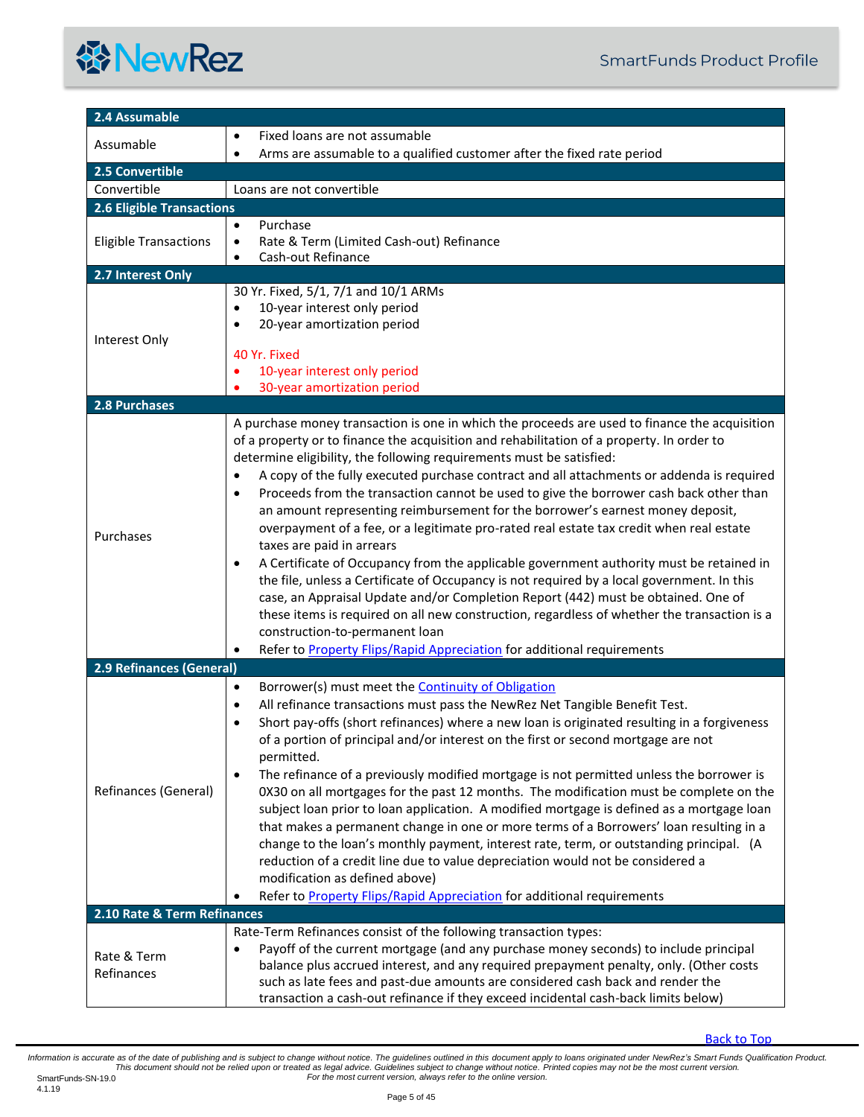<span id="page-4-6"></span><span id="page-4-5"></span><span id="page-4-4"></span><span id="page-4-3"></span><span id="page-4-2"></span><span id="page-4-1"></span><span id="page-4-0"></span>

| 2.4 Assumable                    |                                                                                                                                                                                                                                                                                                                                                                                                                                                                                                                                                                                                                                                                                                                                                                                                                                                                                                                                                                                                                                                                                                                                                                                                  |
|----------------------------------|--------------------------------------------------------------------------------------------------------------------------------------------------------------------------------------------------------------------------------------------------------------------------------------------------------------------------------------------------------------------------------------------------------------------------------------------------------------------------------------------------------------------------------------------------------------------------------------------------------------------------------------------------------------------------------------------------------------------------------------------------------------------------------------------------------------------------------------------------------------------------------------------------------------------------------------------------------------------------------------------------------------------------------------------------------------------------------------------------------------------------------------------------------------------------------------------------|
|                                  | Fixed loans are not assumable                                                                                                                                                                                                                                                                                                                                                                                                                                                                                                                                                                                                                                                                                                                                                                                                                                                                                                                                                                                                                                                                                                                                                                    |
| Assumable                        | Arms are assumable to a qualified customer after the fixed rate period<br>$\bullet$                                                                                                                                                                                                                                                                                                                                                                                                                                                                                                                                                                                                                                                                                                                                                                                                                                                                                                                                                                                                                                                                                                              |
| 2.5 Convertible                  |                                                                                                                                                                                                                                                                                                                                                                                                                                                                                                                                                                                                                                                                                                                                                                                                                                                                                                                                                                                                                                                                                                                                                                                                  |
| Convertible                      | Loans are not convertible                                                                                                                                                                                                                                                                                                                                                                                                                                                                                                                                                                                                                                                                                                                                                                                                                                                                                                                                                                                                                                                                                                                                                                        |
| <b>2.6 Eligible Transactions</b> |                                                                                                                                                                                                                                                                                                                                                                                                                                                                                                                                                                                                                                                                                                                                                                                                                                                                                                                                                                                                                                                                                                                                                                                                  |
| <b>Eligible Transactions</b>     | Purchase<br>$\bullet$<br>Rate & Term (Limited Cash-out) Refinance<br>$\bullet$<br>Cash-out Refinance<br>٠                                                                                                                                                                                                                                                                                                                                                                                                                                                                                                                                                                                                                                                                                                                                                                                                                                                                                                                                                                                                                                                                                        |
| 2.7 Interest Only                |                                                                                                                                                                                                                                                                                                                                                                                                                                                                                                                                                                                                                                                                                                                                                                                                                                                                                                                                                                                                                                                                                                                                                                                                  |
| Interest Only                    | 30 Yr. Fixed, 5/1, 7/1 and 10/1 ARMs<br>10-year interest only period<br>$\bullet$<br>20-year amortization period<br>$\bullet$<br>40 Yr. Fixed<br>10-year interest only period<br>30-year amortization period                                                                                                                                                                                                                                                                                                                                                                                                                                                                                                                                                                                                                                                                                                                                                                                                                                                                                                                                                                                     |
| 2.8 Purchases                    |                                                                                                                                                                                                                                                                                                                                                                                                                                                                                                                                                                                                                                                                                                                                                                                                                                                                                                                                                                                                                                                                                                                                                                                                  |
| Purchases                        | A purchase money transaction is one in which the proceeds are used to finance the acquisition<br>of a property or to finance the acquisition and rehabilitation of a property. In order to<br>determine eligibility, the following requirements must be satisfied:<br>A copy of the fully executed purchase contract and all attachments or addenda is required<br>$\bullet$<br>Proceeds from the transaction cannot be used to give the borrower cash back other than<br>$\bullet$<br>an amount representing reimbursement for the borrower's earnest money deposit,<br>overpayment of a fee, or a legitimate pro-rated real estate tax credit when real estate<br>taxes are paid in arrears<br>A Certificate of Occupancy from the applicable government authority must be retained in<br>٠<br>the file, unless a Certificate of Occupancy is not required by a local government. In this<br>case, an Appraisal Update and/or Completion Report (442) must be obtained. One of<br>these items is required on all new construction, regardless of whether the transaction is a<br>construction-to-permanent loan<br>Refer to Property Flips/Rapid Appreciation for additional requirements<br>٠ |
| 2.9 Refinances (General)         |                                                                                                                                                                                                                                                                                                                                                                                                                                                                                                                                                                                                                                                                                                                                                                                                                                                                                                                                                                                                                                                                                                                                                                                                  |
| Refinances (General)             | Borrower(s) must meet the <b>Continuity of Obligation</b><br>$\bullet$<br>All refinance transactions must pass the NewRez Net Tangible Benefit Test.<br>$\bullet$<br>Short pay-offs (short refinances) where a new loan is originated resulting in a forgiveness<br>of a portion of principal and/or interest on the first or second mortgage are not<br>permitted.<br>The refinance of a previously modified mortgage is not permitted unless the borrower is<br>٠<br>0X30 on all mortgages for the past 12 months. The modification must be complete on the<br>subject loan prior to loan application. A modified mortgage is defined as a mortgage loan<br>that makes a permanent change in one or more terms of a Borrowers' loan resulting in a<br>change to the loan's monthly payment, interest rate, term, or outstanding principal. (A<br>reduction of a credit line due to value depreciation would not be considered a<br>modification as defined above)<br>Refer to Property Flips/Rapid Appreciation for additional requirements                                                                                                                                                    |
| 2.10 Rate & Term Refinances      |                                                                                                                                                                                                                                                                                                                                                                                                                                                                                                                                                                                                                                                                                                                                                                                                                                                                                                                                                                                                                                                                                                                                                                                                  |
| Rate & Term<br>Refinances        | Rate-Term Refinances consist of the following transaction types:<br>Payoff of the current mortgage (and any purchase money seconds) to include principal<br>٠<br>balance plus accrued interest, and any required prepayment penalty, only. (Other costs<br>such as late fees and past-due amounts are considered cash back and render the<br>transaction a cash-out refinance if they exceed incidental cash-back limits below)                                                                                                                                                                                                                                                                                                                                                                                                                                                                                                                                                                                                                                                                                                                                                                  |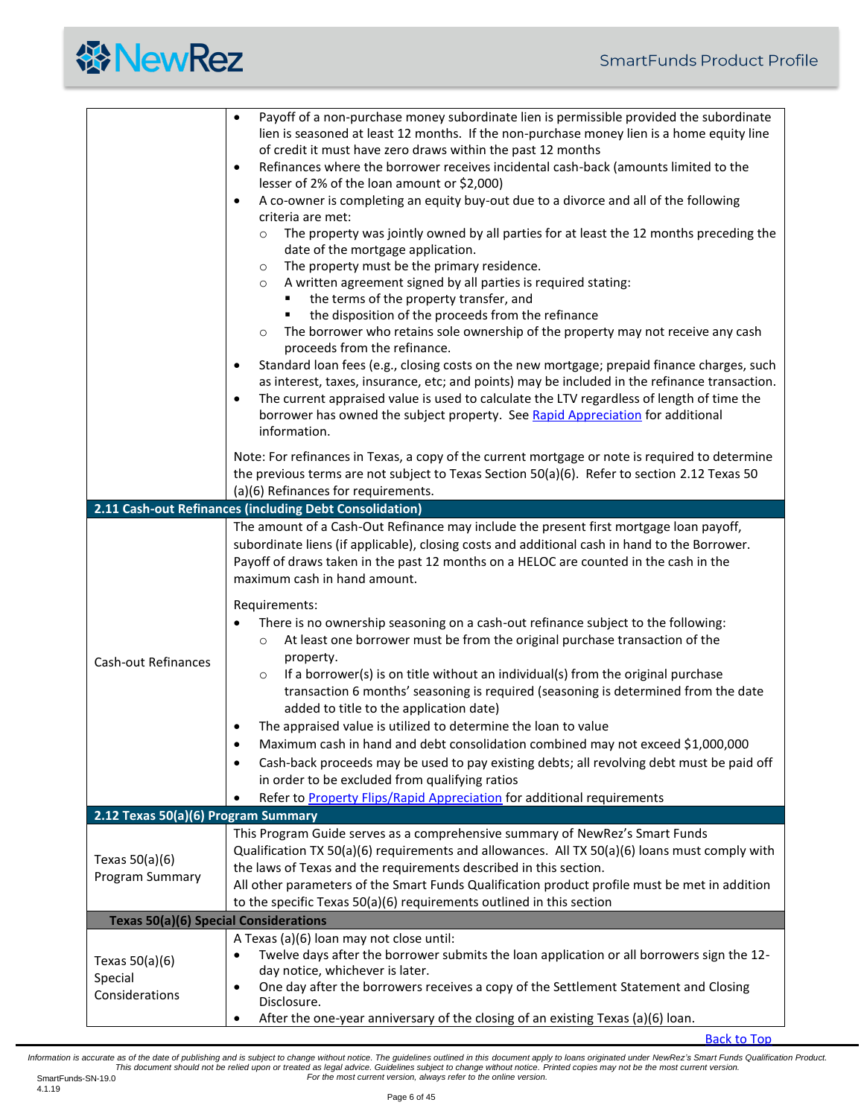<span id="page-5-0"></span>

|                                               | Payoff of a non-purchase money subordinate lien is permissible provided the subordinate<br>$\bullet$<br>lien is seasoned at least 12 months. If the non-purchase money lien is a home equity line<br>of credit it must have zero draws within the past 12 months<br>Refinances where the borrower receives incidental cash-back (amounts limited to the<br>$\bullet$<br>lesser of 2% of the loan amount or \$2,000)<br>A co-owner is completing an equity buy-out due to a divorce and all of the following<br>$\bullet$<br>criteria are met:<br>The property was jointly owned by all parties for at least the 12 months preceding the<br>$\circ$<br>date of the mortgage application.<br>The property must be the primary residence.<br>$\circ$<br>A written agreement signed by all parties is required stating:<br>$\circ$<br>the terms of the property transfer, and<br>the disposition of the proceeds from the refinance<br>٠<br>The borrower who retains sole ownership of the property may not receive any cash<br>$\circ$<br>proceeds from the refinance.<br>Standard loan fees (e.g., closing costs on the new mortgage; prepaid finance charges, such<br>٠<br>as interest, taxes, insurance, etc; and points) may be included in the refinance transaction.<br>The current appraised value is used to calculate the LTV regardless of length of time the<br>$\bullet$<br>borrower has owned the subject property. See Rapid Appreciation for additional<br>information. |
|-----------------------------------------------|-------------------------------------------------------------------------------------------------------------------------------------------------------------------------------------------------------------------------------------------------------------------------------------------------------------------------------------------------------------------------------------------------------------------------------------------------------------------------------------------------------------------------------------------------------------------------------------------------------------------------------------------------------------------------------------------------------------------------------------------------------------------------------------------------------------------------------------------------------------------------------------------------------------------------------------------------------------------------------------------------------------------------------------------------------------------------------------------------------------------------------------------------------------------------------------------------------------------------------------------------------------------------------------------------------------------------------------------------------------------------------------------------------------------------------------------------------------------------------------|
|                                               | Note: For refinances in Texas, a copy of the current mortgage or note is required to determine<br>the previous terms are not subject to Texas Section 50(a)(6). Refer to section 2.12 Texas 50<br>(a)(6) Refinances for requirements.                                                                                                                                                                                                                                                                                                                                                                                                                                                                                                                                                                                                                                                                                                                                                                                                                                                                                                                                                                                                                                                                                                                                                                                                                                               |
|                                               | 2.11 Cash-out Refinances (including Debt Consolidation)                                                                                                                                                                                                                                                                                                                                                                                                                                                                                                                                                                                                                                                                                                                                                                                                                                                                                                                                                                                                                                                                                                                                                                                                                                                                                                                                                                                                                             |
| <b>Cash-out Refinances</b>                    | The amount of a Cash-Out Refinance may include the present first mortgage loan payoff,<br>subordinate liens (if applicable), closing costs and additional cash in hand to the Borrower.<br>Payoff of draws taken in the past 12 months on a HELOC are counted in the cash in the<br>maximum cash in hand amount.<br>Requirements:<br>There is no ownership seasoning on a cash-out refinance subject to the following:<br>At least one borrower must be from the original purchase transaction of the<br>$\circ$<br>property.<br>If a borrower(s) is on title without an individual(s) from the original purchase<br>$\circ$<br>transaction 6 months' seasoning is required (seasoning is determined from the date<br>added to title to the application date)<br>The appraised value is utilized to determine the loan to value<br>Maximum cash in hand and debt consolidation combined may not exceed \$1,000,000<br>٠<br>Cash-back proceeds may be used to pay existing debts; all revolving debt must be paid off<br>٠<br>in order to be excluded from qualifying ratios                                                                                                                                                                                                                                                                                                                                                                                                         |
|                                               | Refer to <b>Property Flips/Rapid Appreciation</b> for additional requirements                                                                                                                                                                                                                                                                                                                                                                                                                                                                                                                                                                                                                                                                                                                                                                                                                                                                                                                                                                                                                                                                                                                                                                                                                                                                                                                                                                                                       |
| 2.12 Texas 50(a)(6) Program Summary           |                                                                                                                                                                                                                                                                                                                                                                                                                                                                                                                                                                                                                                                                                                                                                                                                                                                                                                                                                                                                                                                                                                                                                                                                                                                                                                                                                                                                                                                                                     |
| Texas $50(a)(6)$<br>Program Summary           | This Program Guide serves as a comprehensive summary of NewRez's Smart Funds<br>Qualification TX 50(a)(6) requirements and allowances. All TX 50(a)(6) loans must comply with<br>the laws of Texas and the requirements described in this section.<br>All other parameters of the Smart Funds Qualification product profile must be met in addition<br>to the specific Texas 50(a)(6) requirements outlined in this section                                                                                                                                                                                                                                                                                                                                                                                                                                                                                                                                                                                                                                                                                                                                                                                                                                                                                                                                                                                                                                                         |
| <b>Texas 50(a)(6) Special Considerations</b>  |                                                                                                                                                                                                                                                                                                                                                                                                                                                                                                                                                                                                                                                                                                                                                                                                                                                                                                                                                                                                                                                                                                                                                                                                                                                                                                                                                                                                                                                                                     |
| Texas $50(a)(6)$<br>Special<br>Considerations | A Texas (a)(6) loan may not close until:<br>Twelve days after the borrower submits the loan application or all borrowers sign the 12-<br>٠<br>day notice, whichever is later.<br>One day after the borrowers receives a copy of the Settlement Statement and Closing<br>٠<br>Disclosure.<br>After the one-year anniversary of the closing of an existing Texas (a)(6) loan.<br>٠                                                                                                                                                                                                                                                                                                                                                                                                                                                                                                                                                                                                                                                                                                                                                                                                                                                                                                                                                                                                                                                                                                    |

<span id="page-5-2"></span><span id="page-5-1"></span>[Back to Top](#page-0-0)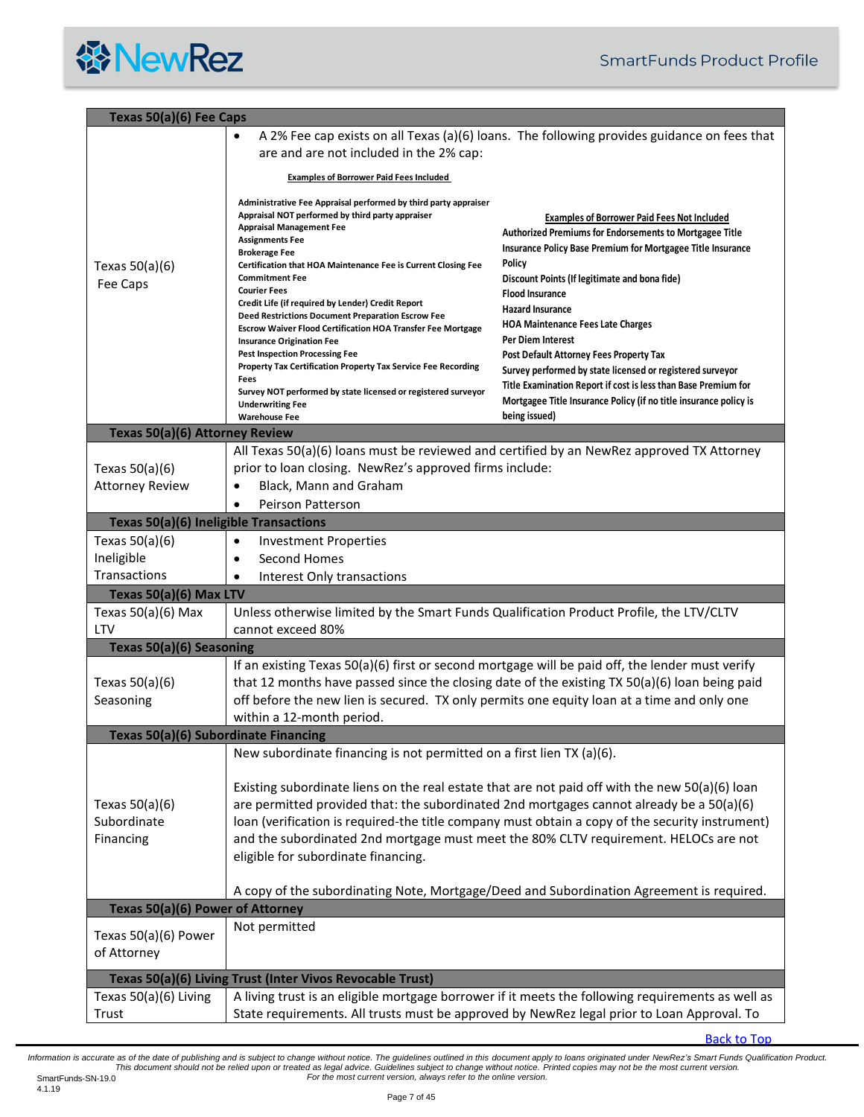<span id="page-6-5"></span><span id="page-6-4"></span><span id="page-6-3"></span><span id="page-6-2"></span><span id="page-6-1"></span><span id="page-6-0"></span>

|                                                                                      | Texas 50(a)(6) Fee Caps                                                                                                                                                                                                                                                                                                                                                                                                                                                                                                                                                                                                                                                                                                                                                             |                                                                                                                                                                                                                                                                                                                                                                                                                                                                                                                                                                                                                                             |  |
|--------------------------------------------------------------------------------------|-------------------------------------------------------------------------------------------------------------------------------------------------------------------------------------------------------------------------------------------------------------------------------------------------------------------------------------------------------------------------------------------------------------------------------------------------------------------------------------------------------------------------------------------------------------------------------------------------------------------------------------------------------------------------------------------------------------------------------------------------------------------------------------|---------------------------------------------------------------------------------------------------------------------------------------------------------------------------------------------------------------------------------------------------------------------------------------------------------------------------------------------------------------------------------------------------------------------------------------------------------------------------------------------------------------------------------------------------------------------------------------------------------------------------------------------|--|
|                                                                                      | $\bullet$<br>are and are not included in the 2% cap:                                                                                                                                                                                                                                                                                                                                                                                                                                                                                                                                                                                                                                                                                                                                | A 2% Fee cap exists on all Texas (a)(6) loans. The following provides guidance on fees that                                                                                                                                                                                                                                                                                                                                                                                                                                                                                                                                                 |  |
|                                                                                      | <b>Examples of Borrower Paid Fees Included</b>                                                                                                                                                                                                                                                                                                                                                                                                                                                                                                                                                                                                                                                                                                                                      |                                                                                                                                                                                                                                                                                                                                                                                                                                                                                                                                                                                                                                             |  |
| Texas $50(a)(6)$<br>Fee Caps                                                         | Administrative Fee Appraisal performed by third party appraiser<br>Appraisal NOT performed by third party appraiser<br><b>Appraisal Management Fee</b><br><b>Assignments Fee</b><br><b>Brokerage Fee</b><br>Certification that HOA Maintenance Fee is Current Closing Fee<br><b>Commitment Fee</b><br><b>Courier Fees</b><br>Credit Life (if required by Lender) Credit Report<br>Deed Restrictions Document Preparation Escrow Fee<br><b>Escrow Waiver Flood Certification HOA Transfer Fee Mortgage</b><br><b>Insurance Origination Fee</b><br><b>Pest Inspection Processing Fee</b><br>Property Tax Certification Property Tax Service Fee Recording<br>Fees<br>Survey NOT performed by state licensed or registered surveyor<br><b>Underwriting Fee</b><br><b>Warehouse Fee</b> | <b>Examples of Borrower Paid Fees Not Included</b><br><b>Authorized Premiums for Endorsements to Mortgagee Title</b><br>Insurance Policy Base Premium for Mortgagee Title Insurance<br>Policy<br>Discount Points (If legitimate and bona fide)<br><b>Flood Insurance</b><br><b>Hazard Insurance</b><br><b>HOA Maintenance Fees Late Charges</b><br><b>Per Diem Interest</b><br>Post Default Attorney Fees Property Tax<br>Survey performed by state licensed or registered surveyor<br>Title Examination Report if cost is less than Base Premium for<br>Mortgagee Title Insurance Policy (if no title insurance policy is<br>being issued) |  |
| Texas 50(a)(6) Attorney Review                                                       |                                                                                                                                                                                                                                                                                                                                                                                                                                                                                                                                                                                                                                                                                                                                                                                     |                                                                                                                                                                                                                                                                                                                                                                                                                                                                                                                                                                                                                                             |  |
| Texas $50(a)(6)$<br><b>Attorney Review</b><br>Texas 50(a)(6) Ineligible Transactions | prior to loan closing. NewRez's approved firms include:<br>Black, Mann and Graham<br>$\bullet$<br><b>Peirson Patterson</b>                                                                                                                                                                                                                                                                                                                                                                                                                                                                                                                                                                                                                                                          | All Texas 50(a)(6) loans must be reviewed and certified by an NewRez approved TX Attorney                                                                                                                                                                                                                                                                                                                                                                                                                                                                                                                                                   |  |
| Texas $50(a)(6)$                                                                     | <b>Investment Properties</b><br>$\bullet$                                                                                                                                                                                                                                                                                                                                                                                                                                                                                                                                                                                                                                                                                                                                           |                                                                                                                                                                                                                                                                                                                                                                                                                                                                                                                                                                                                                                             |  |
| Ineligible                                                                           | Second Homes<br>$\bullet$                                                                                                                                                                                                                                                                                                                                                                                                                                                                                                                                                                                                                                                                                                                                                           |                                                                                                                                                                                                                                                                                                                                                                                                                                                                                                                                                                                                                                             |  |
| <b>Transactions</b>                                                                  | Interest Only transactions<br>$\bullet$                                                                                                                                                                                                                                                                                                                                                                                                                                                                                                                                                                                                                                                                                                                                             |                                                                                                                                                                                                                                                                                                                                                                                                                                                                                                                                                                                                                                             |  |
| Texas 50(a)(6) Max LTV                                                               |                                                                                                                                                                                                                                                                                                                                                                                                                                                                                                                                                                                                                                                                                                                                                                                     |                                                                                                                                                                                                                                                                                                                                                                                                                                                                                                                                                                                                                                             |  |
| Texas $50(a)(6)$ Max                                                                 | Unless otherwise limited by the Smart Funds Qualification Product Profile, the LTV/CLTV                                                                                                                                                                                                                                                                                                                                                                                                                                                                                                                                                                                                                                                                                             |                                                                                                                                                                                                                                                                                                                                                                                                                                                                                                                                                                                                                                             |  |
| LTV                                                                                  | cannot exceed 80%                                                                                                                                                                                                                                                                                                                                                                                                                                                                                                                                                                                                                                                                                                                                                                   |                                                                                                                                                                                                                                                                                                                                                                                                                                                                                                                                                                                                                                             |  |
| Texas 50(a)(6) Seasoning                                                             |                                                                                                                                                                                                                                                                                                                                                                                                                                                                                                                                                                                                                                                                                                                                                                                     |                                                                                                                                                                                                                                                                                                                                                                                                                                                                                                                                                                                                                                             |  |
| Texas $50(a)(6)$<br>Seasoning                                                        | off before the new lien is secured. TX only permits one equity loan at a time and only one<br>within a 12-month period.                                                                                                                                                                                                                                                                                                                                                                                                                                                                                                                                                                                                                                                             | If an existing Texas 50(a)(6) first or second mortgage will be paid off, the lender must verify<br>that 12 months have passed since the closing date of the existing TX 50(a)(6) loan being paid                                                                                                                                                                                                                                                                                                                                                                                                                                            |  |
| Texas 50(a)(6) Subordinate Financing                                                 |                                                                                                                                                                                                                                                                                                                                                                                                                                                                                                                                                                                                                                                                                                                                                                                     |                                                                                                                                                                                                                                                                                                                                                                                                                                                                                                                                                                                                                                             |  |
| Texas $50(a)(6)$<br>Subordinate<br>Financing                                         | New subordinate financing is not permitted on a first lien TX (a)(6).<br>Existing subordinate liens on the real estate that are not paid off with the new $50(a)(6)$ loan<br>are permitted provided that: the subordinated 2nd mortgages cannot already be a 50(a)(6)<br>loan (verification is required-the title company must obtain a copy of the security instrument)<br>and the subordinated 2nd mortgage must meet the 80% CLTV requirement. HELOCs are not<br>eligible for subordinate financing.                                                                                                                                                                                                                                                                             |                                                                                                                                                                                                                                                                                                                                                                                                                                                                                                                                                                                                                                             |  |
|                                                                                      |                                                                                                                                                                                                                                                                                                                                                                                                                                                                                                                                                                                                                                                                                                                                                                                     | A copy of the subordinating Note, Mortgage/Deed and Subordination Agreement is required.                                                                                                                                                                                                                                                                                                                                                                                                                                                                                                                                                    |  |
| Texas 50(a)(6) Power of Attorney                                                     | Not permitted                                                                                                                                                                                                                                                                                                                                                                                                                                                                                                                                                                                                                                                                                                                                                                       |                                                                                                                                                                                                                                                                                                                                                                                                                                                                                                                                                                                                                                             |  |
| Texas 50(a)(6) Power<br>of Attorney                                                  |                                                                                                                                                                                                                                                                                                                                                                                                                                                                                                                                                                                                                                                                                                                                                                                     |                                                                                                                                                                                                                                                                                                                                                                                                                                                                                                                                                                                                                                             |  |
|                                                                                      | Texas 50(a)(6) Living Trust (Inter Vivos Revocable Trust)                                                                                                                                                                                                                                                                                                                                                                                                                                                                                                                                                                                                                                                                                                                           |                                                                                                                                                                                                                                                                                                                                                                                                                                                                                                                                                                                                                                             |  |
| Texas 50(a)(6) Living                                                                |                                                                                                                                                                                                                                                                                                                                                                                                                                                                                                                                                                                                                                                                                                                                                                                     | A living trust is an eligible mortgage borrower if it meets the following requirements as well as                                                                                                                                                                                                                                                                                                                                                                                                                                                                                                                                           |  |
| Trust                                                                                | State requirements. All trusts must be approved by NewRez legal prior to Loan Approval. To                                                                                                                                                                                                                                                                                                                                                                                                                                                                                                                                                                                                                                                                                          |                                                                                                                                                                                                                                                                                                                                                                                                                                                                                                                                                                                                                                             |  |

<span id="page-6-7"></span><span id="page-6-6"></span>[Back to Top](#page-0-0)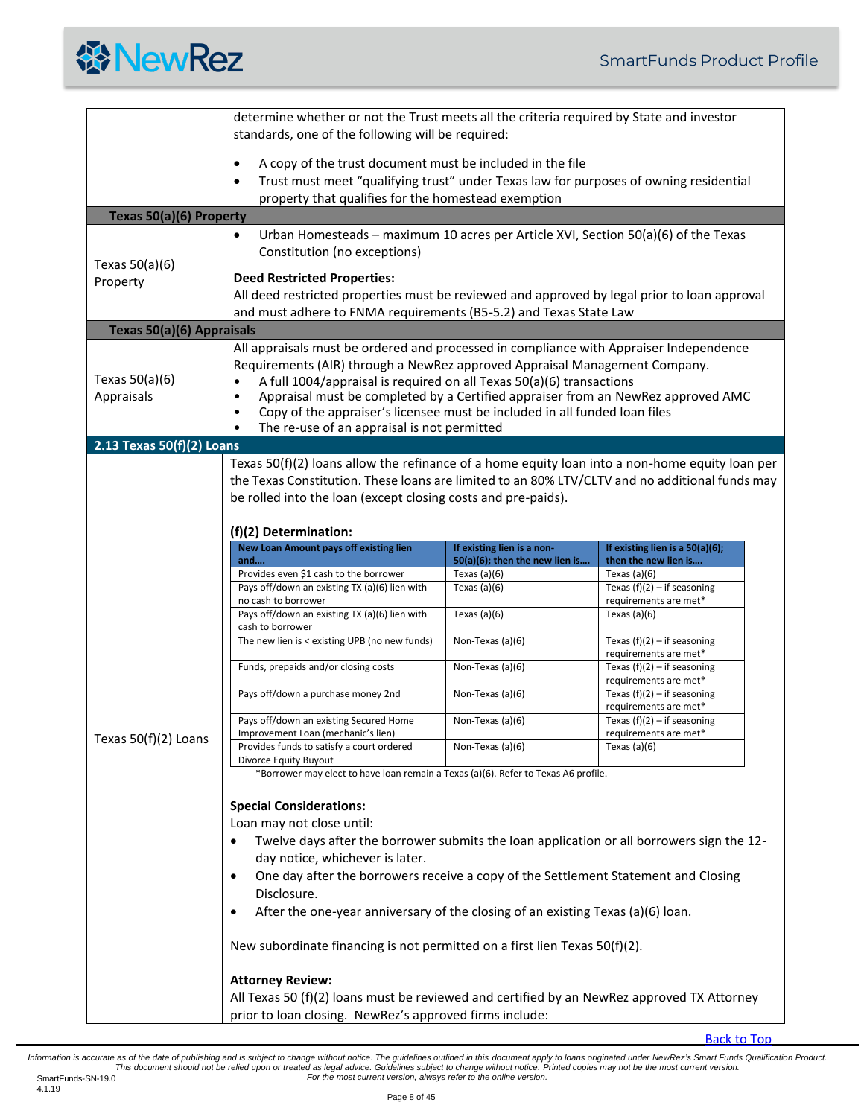

<span id="page-7-2"></span><span id="page-7-1"></span><span id="page-7-0"></span>

|                                | determine whether or not the Trust meets all the criteria required by State and investor<br>standards, one of the following will be required:                                                                                                                                                                                                                                                                                                                              |                                                                                                                                                                                                         |                                                         |  |  |
|--------------------------------|----------------------------------------------------------------------------------------------------------------------------------------------------------------------------------------------------------------------------------------------------------------------------------------------------------------------------------------------------------------------------------------------------------------------------------------------------------------------------|---------------------------------------------------------------------------------------------------------------------------------------------------------------------------------------------------------|---------------------------------------------------------|--|--|
|                                | A copy of the trust document must be included in the file<br>$\bullet$<br>Trust must meet "qualifying trust" under Texas law for purposes of owning residential<br>$\bullet$<br>property that qualifies for the homestead exemption                                                                                                                                                                                                                                        |                                                                                                                                                                                                         |                                                         |  |  |
| Texas 50(a)(6) Property        |                                                                                                                                                                                                                                                                                                                                                                                                                                                                            |                                                                                                                                                                                                         |                                                         |  |  |
| Texas $50(a)(6)$               | Urban Homesteads - maximum 10 acres per Article XVI, Section 50(a)(6) of the Texas<br>Constitution (no exceptions)                                                                                                                                                                                                                                                                                                                                                         |                                                                                                                                                                                                         |                                                         |  |  |
| Property                       |                                                                                                                                                                                                                                                                                                                                                                                                                                                                            | <b>Deed Restricted Properties:</b><br>All deed restricted properties must be reviewed and approved by legal prior to loan approval<br>and must adhere to FNMA requirements (B5-5.2) and Texas State Law |                                                         |  |  |
| Texas 50(a)(6) Appraisals      |                                                                                                                                                                                                                                                                                                                                                                                                                                                                            |                                                                                                                                                                                                         |                                                         |  |  |
| Texas $50(a)(6)$<br>Appraisals | All appraisals must be ordered and processed in compliance with Appraiser Independence<br>Requirements (AIR) through a NewRez approved Appraisal Management Company.<br>A full 1004/appraisal is required on all Texas 50(a)(6) transactions<br>Appraisal must be completed by a Certified appraiser from an NewRez approved AMC<br>Copy of the appraiser's licensee must be included in all funded loan files<br>$\bullet$<br>The re-use of an appraisal is not permitted |                                                                                                                                                                                                         |                                                         |  |  |
| 2.13 Texas 50(f)(2) Loans      |                                                                                                                                                                                                                                                                                                                                                                                                                                                                            |                                                                                                                                                                                                         |                                                         |  |  |
|                                | the Texas Constitution. These loans are limited to an 80% LTV/CLTV and no additional funds may<br>be rolled into the loan (except closing costs and pre-paids).<br>(f)(2) Determination:                                                                                                                                                                                                                                                                                   |                                                                                                                                                                                                         |                                                         |  |  |
|                                | <b>New Loan Amount pays off existing lien</b><br>and                                                                                                                                                                                                                                                                                                                                                                                                                       | If existing lien is a non-<br>50(a)(6); then the new lien is                                                                                                                                            | If existing lien is a 50(a)(6);<br>then the new lien is |  |  |
|                                | Provides even \$1 cash to the borrower                                                                                                                                                                                                                                                                                                                                                                                                                                     | Texas $(a)(6)$                                                                                                                                                                                          | Texas $(a)(6)$                                          |  |  |
|                                | Pays off/down an existing TX (a)(6) lien with<br>no cash to borrower                                                                                                                                                                                                                                                                                                                                                                                                       | Texas $(a)(6)$                                                                                                                                                                                          | Texas $(f)(2) - if$ seasoning<br>requirements are met*  |  |  |
|                                | Pays off/down an existing TX (a)(6) lien with<br>cash to borrower                                                                                                                                                                                                                                                                                                                                                                                                          | Texas $(a)(6)$                                                                                                                                                                                          | Texas $(a)(6)$                                          |  |  |
|                                | The new lien is < existing UPB (no new funds)                                                                                                                                                                                                                                                                                                                                                                                                                              | Non-Texas (a)(6)                                                                                                                                                                                        | Texas $(f)(2) - if$ seasoning<br>requirements are met*  |  |  |
|                                | Funds, prepaids and/or closing costs                                                                                                                                                                                                                                                                                                                                                                                                                                       | Non-Texas (a)(6)                                                                                                                                                                                        | Texas $(f)(2) - if$ seasoning<br>requirements are met*  |  |  |
|                                | Pays off/down a purchase money 2nd                                                                                                                                                                                                                                                                                                                                                                                                                                         | Non-Texas (a)(6)                                                                                                                                                                                        | Texas $(f)(2) - if$ seasoning<br>requirements are met*  |  |  |
|                                | Pays off/down an existing Secured Home                                                                                                                                                                                                                                                                                                                                                                                                                                     | Non-Texas (a)(6)                                                                                                                                                                                        | Texas $(f)(2) - if$ seasoning<br>requirements are met*  |  |  |
| Texas 50(f)(2) Loans           | Improvement Loan (mechanic's lien)<br>Provides funds to satisfy a court ordered<br>Divorce Equity Buyout                                                                                                                                                                                                                                                                                                                                                                   | Non-Texas (a)(6)                                                                                                                                                                                        | Texas $(a)(6)$                                          |  |  |
|                                | *Borrower may elect to have loan remain a Texas (a)(6). Refer to Texas A6 profile.                                                                                                                                                                                                                                                                                                                                                                                         |                                                                                                                                                                                                         |                                                         |  |  |
|                                | <b>Special Considerations:</b><br>Loan may not close until:<br>Twelve days after the borrower submits the loan application or all borrowers sign the 12-<br>day notice, whichever is later.<br>One day after the borrowers receive a copy of the Settlement Statement and Closing<br>Disclosure.<br>After the one-year anniversary of the closing of an existing Texas (a)(6) loan.<br>٠<br>New subordinate financing is not permitted on a first lien Texas 50(f)(2).     |                                                                                                                                                                                                         |                                                         |  |  |
|                                | <b>Attorney Review:</b><br>All Texas 50 (f)(2) loans must be reviewed and certified by an NewRez approved TX Attorney<br>prior to loan closing. NewRez's approved firms include:                                                                                                                                                                                                                                                                                           |                                                                                                                                                                                                         |                                                         |  |  |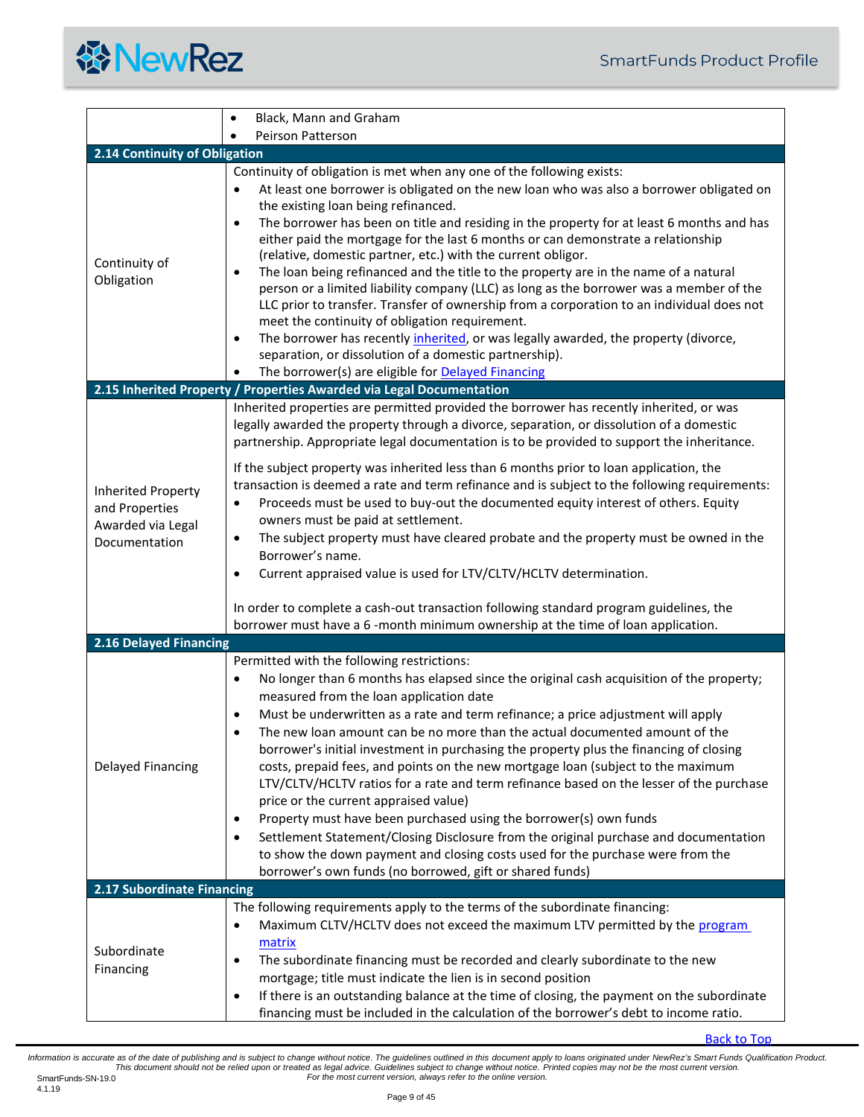<span id="page-8-3"></span><span id="page-8-2"></span><span id="page-8-1"></span><span id="page-8-0"></span>

|                                                                            | Black, Mann and Graham<br>$\bullet$                                                                                                                                                                                                                                                                                                                                                                                                                                                                                                                                                                                                                                                                                                                                                                                                                                                                                                                                                                                                                          |  |  |
|----------------------------------------------------------------------------|--------------------------------------------------------------------------------------------------------------------------------------------------------------------------------------------------------------------------------------------------------------------------------------------------------------------------------------------------------------------------------------------------------------------------------------------------------------------------------------------------------------------------------------------------------------------------------------------------------------------------------------------------------------------------------------------------------------------------------------------------------------------------------------------------------------------------------------------------------------------------------------------------------------------------------------------------------------------------------------------------------------------------------------------------------------|--|--|
|                                                                            | Peirson Patterson                                                                                                                                                                                                                                                                                                                                                                                                                                                                                                                                                                                                                                                                                                                                                                                                                                                                                                                                                                                                                                            |  |  |
| 2.14 Continuity of Obligation                                              |                                                                                                                                                                                                                                                                                                                                                                                                                                                                                                                                                                                                                                                                                                                                                                                                                                                                                                                                                                                                                                                              |  |  |
| Continuity of<br>Obligation                                                | Continuity of obligation is met when any one of the following exists:<br>At least one borrower is obligated on the new loan who was also a borrower obligated on<br>$\bullet$<br>the existing loan being refinanced.<br>The borrower has been on title and residing in the property for at least 6 months and has<br>$\bullet$<br>either paid the mortgage for the last 6 months or can demonstrate a relationship<br>(relative, domestic partner, etc.) with the current obligor.<br>The loan being refinanced and the title to the property are in the name of a natural<br>$\bullet$<br>person or a limited liability company (LLC) as long as the borrower was a member of the<br>LLC prior to transfer. Transfer of ownership from a corporation to an individual does not<br>meet the continuity of obligation requirement.<br>The borrower has recently inherited, or was legally awarded, the property (divorce,<br>$\bullet$<br>separation, or dissolution of a domestic partnership).<br>The borrower(s) are eligible for <b>Delayed Financing</b> |  |  |
|                                                                            | 2.15 Inherited Property / Properties Awarded via Legal Documentation                                                                                                                                                                                                                                                                                                                                                                                                                                                                                                                                                                                                                                                                                                                                                                                                                                                                                                                                                                                         |  |  |
| Inherited Property<br>and Properties<br>Awarded via Legal<br>Documentation | Inherited properties are permitted provided the borrower has recently inherited, or was<br>legally awarded the property through a divorce, separation, or dissolution of a domestic<br>partnership. Appropriate legal documentation is to be provided to support the inheritance.<br>If the subject property was inherited less than 6 months prior to loan application, the<br>transaction is deemed a rate and term refinance and is subject to the following requirements:<br>Proceeds must be used to buy-out the documented equity interest of others. Equity<br>$\bullet$<br>owners must be paid at settlement.<br>The subject property must have cleared probate and the property must be owned in the<br>٠<br>Borrower's name.<br>Current appraised value is used for LTV/CLTV/HCLTV determination.<br>٠<br>In order to complete a cash-out transaction following standard program guidelines, the<br>borrower must have a 6-month minimum ownership at the time of loan application.                                                                |  |  |
| 2.16 Delayed Financing                                                     |                                                                                                                                                                                                                                                                                                                                                                                                                                                                                                                                                                                                                                                                                                                                                                                                                                                                                                                                                                                                                                                              |  |  |
| Delayed Financing                                                          | Permitted with the following restrictions:<br>No longer than 6 months has elapsed since the original cash acquisition of the property;<br>$\bullet$<br>measured from the loan application date<br>Must be underwritten as a rate and term refinance; a price adjustment will apply<br>$\bullet$<br>The new loan amount can be no more than the actual documented amount of the<br>٠<br>borrower's initial investment in purchasing the property plus the financing of closing<br>costs, prepaid fees, and points on the new mortgage loan (subject to the maximum<br>LTV/CLTV/HCLTV ratios for a rate and term refinance based on the lesser of the purchase<br>price or the current appraised value)<br>Property must have been purchased using the borrower(s) own funds<br>٠<br>Settlement Statement/Closing Disclosure from the original purchase and documentation<br>٠<br>to show the down payment and closing costs used for the purchase were from the<br>borrower's own funds (no borrowed, gift or shared funds)                                   |  |  |
| 2.17 Subordinate Financing                                                 |                                                                                                                                                                                                                                                                                                                                                                                                                                                                                                                                                                                                                                                                                                                                                                                                                                                                                                                                                                                                                                                              |  |  |
| Subordinate<br>Financing                                                   | The following requirements apply to the terms of the subordinate financing:<br>Maximum CLTV/HCLTV does not exceed the maximum LTV permitted by the program<br>$\bullet$<br>matrix<br>The subordinate financing must be recorded and clearly subordinate to the new<br>٠<br>mortgage; title must indicate the lien is in second position<br>If there is an outstanding balance at the time of closing, the payment on the subordinate<br>$\bullet$<br>financing must be included in the calculation of the borrower's debt to income ratio.                                                                                                                                                                                                                                                                                                                                                                                                                                                                                                                   |  |  |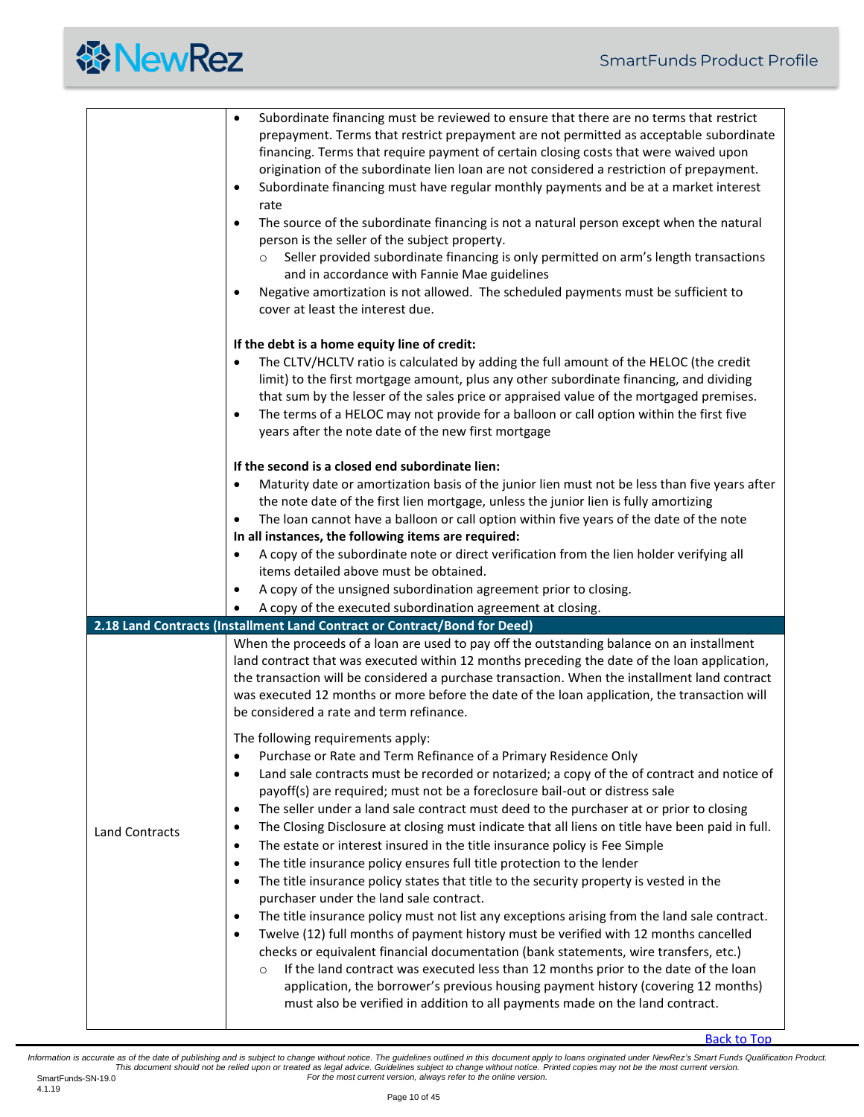<span id="page-9-0"></span>

|                       | Subordinate financing must be reviewed to ensure that there are no terms that restrict<br>$\bullet$<br>prepayment. Terms that restrict prepayment are not permitted as acceptable subordinate<br>financing. Terms that require payment of certain closing costs that were waived upon<br>origination of the subordinate lien loan are not considered a restriction of prepayment.<br>Subordinate financing must have regular monthly payments and be at a market interest<br>$\bullet$<br>rate<br>The source of the subordinate financing is not a natural person except when the natural<br>$\bullet$<br>person is the seller of the subject property.<br>Seller provided subordinate financing is only permitted on arm's length transactions<br>$\circ$<br>and in accordance with Fannie Mae guidelines<br>Negative amortization is not allowed. The scheduled payments must be sufficient to<br>٠ |
|-----------------------|-------------------------------------------------------------------------------------------------------------------------------------------------------------------------------------------------------------------------------------------------------------------------------------------------------------------------------------------------------------------------------------------------------------------------------------------------------------------------------------------------------------------------------------------------------------------------------------------------------------------------------------------------------------------------------------------------------------------------------------------------------------------------------------------------------------------------------------------------------------------------------------------------------|
|                       | cover at least the interest due.                                                                                                                                                                                                                                                                                                                                                                                                                                                                                                                                                                                                                                                                                                                                                                                                                                                                      |
|                       | If the debt is a home equity line of credit:<br>The CLTV/HCLTV ratio is calculated by adding the full amount of the HELOC (the credit<br>$\bullet$<br>limit) to the first mortgage amount, plus any other subordinate financing, and dividing<br>that sum by the lesser of the sales price or appraised value of the mortgaged premises.<br>The terms of a HELOC may not provide for a balloon or call option within the first five<br>$\bullet$<br>years after the note date of the new first mortgage                                                                                                                                                                                                                                                                                                                                                                                               |
|                       | If the second is a closed end subordinate lien:                                                                                                                                                                                                                                                                                                                                                                                                                                                                                                                                                                                                                                                                                                                                                                                                                                                       |
|                       | Maturity date or amortization basis of the junior lien must not be less than five years after<br>the note date of the first lien mortgage, unless the junior lien is fully amortizing                                                                                                                                                                                                                                                                                                                                                                                                                                                                                                                                                                                                                                                                                                                 |
|                       | The loan cannot have a balloon or call option within five years of the date of the note<br>٠<br>In all instances, the following items are required:                                                                                                                                                                                                                                                                                                                                                                                                                                                                                                                                                                                                                                                                                                                                                   |
|                       | A copy of the subordinate note or direct verification from the lien holder verifying all<br>٠                                                                                                                                                                                                                                                                                                                                                                                                                                                                                                                                                                                                                                                                                                                                                                                                         |
|                       | items detailed above must be obtained.                                                                                                                                                                                                                                                                                                                                                                                                                                                                                                                                                                                                                                                                                                                                                                                                                                                                |
|                       | A copy of the unsigned subordination agreement prior to closing.<br>٠                                                                                                                                                                                                                                                                                                                                                                                                                                                                                                                                                                                                                                                                                                                                                                                                                                 |
|                       | A copy of the executed subordination agreement at closing.                                                                                                                                                                                                                                                                                                                                                                                                                                                                                                                                                                                                                                                                                                                                                                                                                                            |
|                       | 2.18 Land Contracts (Installment Land Contract or Contract/Bond for Deed)                                                                                                                                                                                                                                                                                                                                                                                                                                                                                                                                                                                                                                                                                                                                                                                                                             |
|                       | When the proceeds of a loan are used to pay off the outstanding balance on an installment<br>land contract that was executed within 12 months preceding the date of the loan application,<br>the transaction will be considered a purchase transaction. When the installment land contract<br>was executed 12 months or more before the date of the loan application, the transaction will<br>be considered a rate and term refinance.                                                                                                                                                                                                                                                                                                                                                                                                                                                                |
|                       | The following requirements apply:                                                                                                                                                                                                                                                                                                                                                                                                                                                                                                                                                                                                                                                                                                                                                                                                                                                                     |
|                       | Purchase or Rate and Term Refinance of a Primary Residence Only<br>٠<br>Land sale contracts must be recorded or notarized; a copy of the of contract and notice of<br>$\bullet$                                                                                                                                                                                                                                                                                                                                                                                                                                                                                                                                                                                                                                                                                                                       |
|                       | payoff(s) are required; must not be a foreclosure bail-out or distress sale                                                                                                                                                                                                                                                                                                                                                                                                                                                                                                                                                                                                                                                                                                                                                                                                                           |
|                       | The seller under a land sale contract must deed to the purchaser at or prior to closing<br>$\bullet$<br>The Closing Disclosure at closing must indicate that all liens on title have been paid in full.<br>$\bullet$                                                                                                                                                                                                                                                                                                                                                                                                                                                                                                                                                                                                                                                                                  |
| <b>Land Contracts</b> | The estate or interest insured in the title insurance policy is Fee Simple<br>$\bullet$                                                                                                                                                                                                                                                                                                                                                                                                                                                                                                                                                                                                                                                                                                                                                                                                               |
|                       | The title insurance policy ensures full title protection to the lender<br>$\bullet$                                                                                                                                                                                                                                                                                                                                                                                                                                                                                                                                                                                                                                                                                                                                                                                                                   |
|                       | The title insurance policy states that title to the security property is vested in the<br>$\bullet$                                                                                                                                                                                                                                                                                                                                                                                                                                                                                                                                                                                                                                                                                                                                                                                                   |
|                       | purchaser under the land sale contract.<br>The title insurance policy must not list any exceptions arising from the land sale contract.<br>٠<br>Twelve (12) full months of payment history must be verified with 12 months cancelled<br>$\bullet$<br>checks or equivalent financial documentation (bank statements, wire transfers, etc.)<br>If the land contract was executed less than 12 months prior to the date of the loan<br>$\circ$<br>application, the borrower's previous housing payment history (covering 12 months)<br>must also be verified in addition to all payments made on the land contract.                                                                                                                                                                                                                                                                                      |
|                       |                                                                                                                                                                                                                                                                                                                                                                                                                                                                                                                                                                                                                                                                                                                                                                                                                                                                                                       |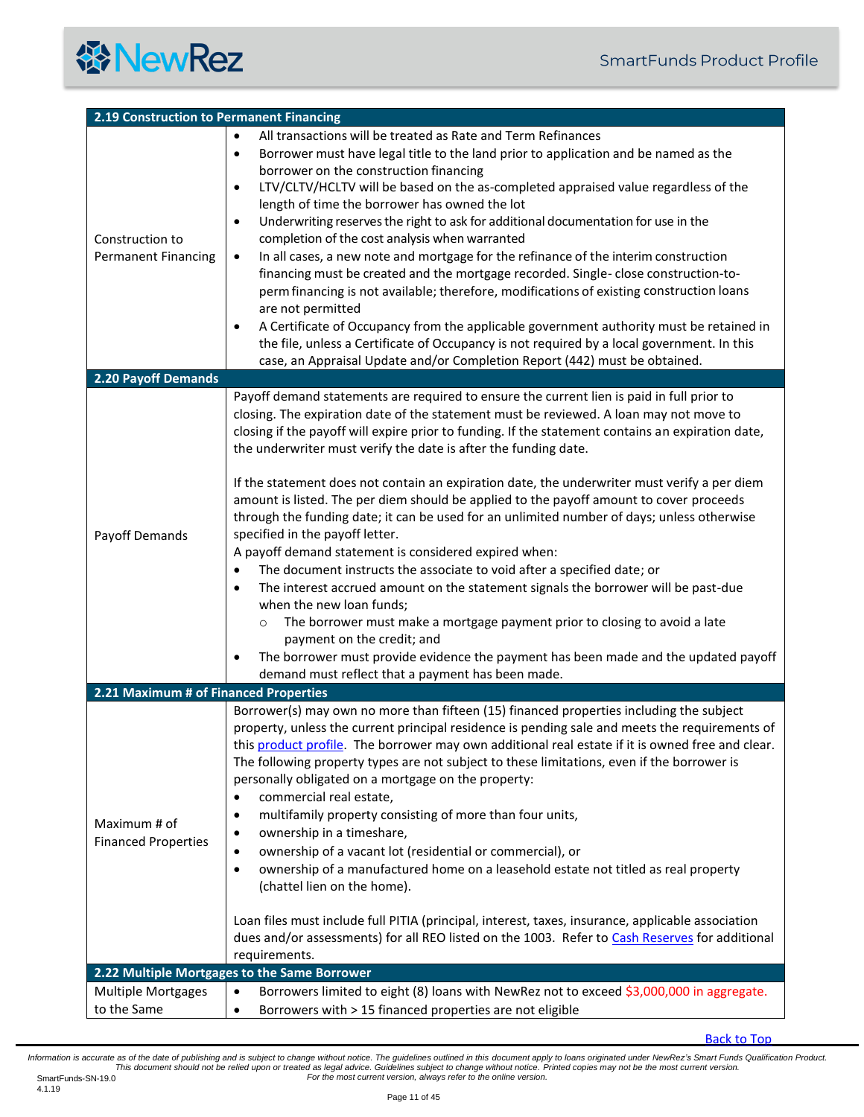<span id="page-10-2"></span><span id="page-10-1"></span><span id="page-10-0"></span>

| 2.19 Construction to Permanent Financing      |                                                                                                                                                                                                                                                                                                                                                                                                                                                                                                                                                                                                                                                                                                                                                                                                                                                                                                                                                                                                                                                                                                                                                                                                                                                 |  |
|-----------------------------------------------|-------------------------------------------------------------------------------------------------------------------------------------------------------------------------------------------------------------------------------------------------------------------------------------------------------------------------------------------------------------------------------------------------------------------------------------------------------------------------------------------------------------------------------------------------------------------------------------------------------------------------------------------------------------------------------------------------------------------------------------------------------------------------------------------------------------------------------------------------------------------------------------------------------------------------------------------------------------------------------------------------------------------------------------------------------------------------------------------------------------------------------------------------------------------------------------------------------------------------------------------------|--|
| Construction to<br><b>Permanent Financing</b> | All transactions will be treated as Rate and Term Refinances<br>$\bullet$<br>Borrower must have legal title to the land prior to application and be named as the<br>$\bullet$<br>borrower on the construction financing<br>LTV/CLTV/HCLTV will be based on the as-completed appraised value regardless of the<br>$\bullet$<br>length of time the borrower has owned the lot<br>Underwriting reserves the right to ask for additional documentation for use in the<br>$\bullet$<br>completion of the cost analysis when warranted<br>In all cases, a new note and mortgage for the refinance of the interim construction<br>$\bullet$<br>financing must be created and the mortgage recorded. Single-close construction-to-<br>perm financing is not available; therefore, modifications of existing construction loans<br>are not permitted<br>A Certificate of Occupancy from the applicable government authority must be retained in<br>$\bullet$<br>the file, unless a Certificate of Occupancy is not required by a local government. In this<br>case, an Appraisal Update and/or Completion Report (442) must be obtained.                                                                                                                 |  |
| 2.20 Payoff Demands                           |                                                                                                                                                                                                                                                                                                                                                                                                                                                                                                                                                                                                                                                                                                                                                                                                                                                                                                                                                                                                                                                                                                                                                                                                                                                 |  |
| Payoff Demands                                | Payoff demand statements are required to ensure the current lien is paid in full prior to<br>closing. The expiration date of the statement must be reviewed. A loan may not move to<br>closing if the payoff will expire prior to funding. If the statement contains an expiration date,<br>the underwriter must verify the date is after the funding date.<br>If the statement does not contain an expiration date, the underwriter must verify a per diem<br>amount is listed. The per diem should be applied to the payoff amount to cover proceeds<br>through the funding date; it can be used for an unlimited number of days; unless otherwise<br>specified in the payoff letter.<br>A payoff demand statement is considered expired when:<br>The document instructs the associate to void after a specified date; or<br>$\bullet$<br>The interest accrued amount on the statement signals the borrower will be past-due<br>$\bullet$<br>when the new loan funds;<br>The borrower must make a mortgage payment prior to closing to avoid a late<br>$\circ$<br>payment on the credit; and<br>The borrower must provide evidence the payment has been made and the updated payoff<br>٠<br>demand must reflect that a payment has been made. |  |
| 2.21 Maximum # of Financed Properties         |                                                                                                                                                                                                                                                                                                                                                                                                                                                                                                                                                                                                                                                                                                                                                                                                                                                                                                                                                                                                                                                                                                                                                                                                                                                 |  |
| Maximum # of<br><b>Financed Properties</b>    | Borrower(s) may own no more than fifteen (15) financed properties including the subject<br>property, unless the current principal residence is pending sale and meets the requirements of<br>this product profile. The borrower may own additional real estate if it is owned free and clear.<br>The following property types are not subject to these limitations, even if the borrower is<br>personally obligated on a mortgage on the property:<br>commercial real estate,<br>$\bullet$<br>multifamily property consisting of more than four units,<br>$\bullet$<br>ownership in a timeshare,<br>$\bullet$<br>ownership of a vacant lot (residential or commercial), or<br>$\bullet$<br>ownership of a manufactured home on a leasehold estate not titled as real property<br>$\bullet$<br>(chattel lien on the home).<br>Loan files must include full PITIA (principal, interest, taxes, insurance, applicable association<br>dues and/or assessments) for all REO listed on the 1003. Refer to Cash Reserves for additional<br>requirements.                                                                                                                                                                                               |  |
|                                               | 2.22 Multiple Mortgages to the Same Borrower                                                                                                                                                                                                                                                                                                                                                                                                                                                                                                                                                                                                                                                                                                                                                                                                                                                                                                                                                                                                                                                                                                                                                                                                    |  |
| <b>Multiple Mortgages</b><br>to the Same      | Borrowers limited to eight (8) loans with NewRez not to exceed \$3,000,000 in aggregate.<br>$\bullet$<br>Borrowers with > 15 financed properties are not eligible<br>٠                                                                                                                                                                                                                                                                                                                                                                                                                                                                                                                                                                                                                                                                                                                                                                                                                                                                                                                                                                                                                                                                          |  |

<span id="page-10-3"></span>[Back to Top](#page-0-0)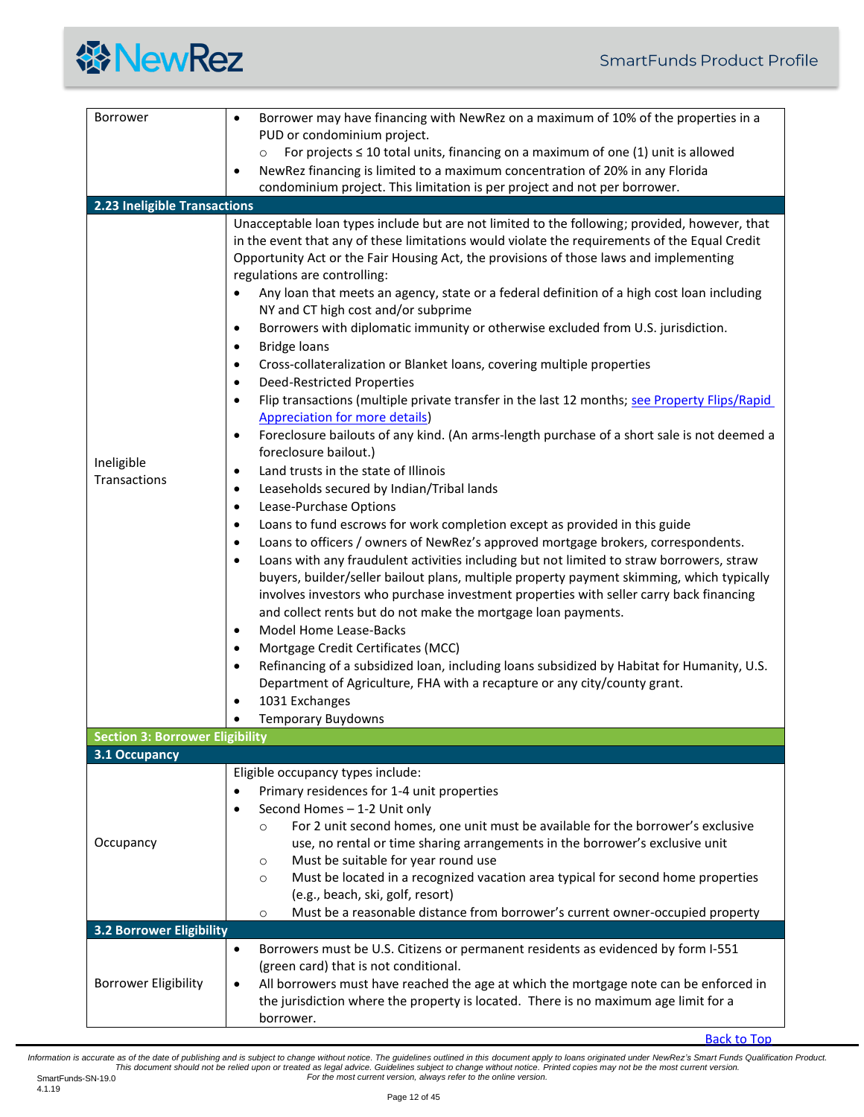<span id="page-11-2"></span><span id="page-11-1"></span><span id="page-11-0"></span>

| Borrower                               | Borrower may have financing with NewRez on a maximum of 10% of the properties in a<br>$\bullet$<br>PUD or condominium project.                                                                                                                                                                                                                                                                                                                                                                                                                                                                                                                                                                                                                                                                                                                                                                                                                                                                                                                                                                                                                                                                                                                                                                                                                                                                                                                                                                                                                                                                                                                                                                                                                                                                                                                                                                                                                                                                                                                               |
|----------------------------------------|--------------------------------------------------------------------------------------------------------------------------------------------------------------------------------------------------------------------------------------------------------------------------------------------------------------------------------------------------------------------------------------------------------------------------------------------------------------------------------------------------------------------------------------------------------------------------------------------------------------------------------------------------------------------------------------------------------------------------------------------------------------------------------------------------------------------------------------------------------------------------------------------------------------------------------------------------------------------------------------------------------------------------------------------------------------------------------------------------------------------------------------------------------------------------------------------------------------------------------------------------------------------------------------------------------------------------------------------------------------------------------------------------------------------------------------------------------------------------------------------------------------------------------------------------------------------------------------------------------------------------------------------------------------------------------------------------------------------------------------------------------------------------------------------------------------------------------------------------------------------------------------------------------------------------------------------------------------------------------------------------------------------------------------------------------------|
|                                        | For projects $\leq$ 10 total units, financing on a maximum of one (1) unit is allowed<br>$\circ$                                                                                                                                                                                                                                                                                                                                                                                                                                                                                                                                                                                                                                                                                                                                                                                                                                                                                                                                                                                                                                                                                                                                                                                                                                                                                                                                                                                                                                                                                                                                                                                                                                                                                                                                                                                                                                                                                                                                                             |
|                                        | NewRez financing is limited to a maximum concentration of 20% in any Florida<br>٠                                                                                                                                                                                                                                                                                                                                                                                                                                                                                                                                                                                                                                                                                                                                                                                                                                                                                                                                                                                                                                                                                                                                                                                                                                                                                                                                                                                                                                                                                                                                                                                                                                                                                                                                                                                                                                                                                                                                                                            |
|                                        | condominium project. This limitation is per project and not per borrower.                                                                                                                                                                                                                                                                                                                                                                                                                                                                                                                                                                                                                                                                                                                                                                                                                                                                                                                                                                                                                                                                                                                                                                                                                                                                                                                                                                                                                                                                                                                                                                                                                                                                                                                                                                                                                                                                                                                                                                                    |
| 2.23 Ineligible Transactions           |                                                                                                                                                                                                                                                                                                                                                                                                                                                                                                                                                                                                                                                                                                                                                                                                                                                                                                                                                                                                                                                                                                                                                                                                                                                                                                                                                                                                                                                                                                                                                                                                                                                                                                                                                                                                                                                                                                                                                                                                                                                              |
| Ineligible<br>Transactions             | Unacceptable loan types include but are not limited to the following; provided, however, that<br>in the event that any of these limitations would violate the requirements of the Equal Credit<br>Opportunity Act or the Fair Housing Act, the provisions of those laws and implementing<br>regulations are controlling:<br>Any loan that meets an agency, state or a federal definition of a high cost loan including<br>$\bullet$<br>NY and CT high cost and/or subprime<br>Borrowers with diplomatic immunity or otherwise excluded from U.S. jurisdiction.<br>$\bullet$<br><b>Bridge loans</b><br>٠<br>Cross-collateralization or Blanket loans, covering multiple properties<br>٠<br><b>Deed-Restricted Properties</b><br>٠<br>Flip transactions (multiple private transfer in the last 12 months; see Property Flips/Rapid<br>$\bullet$<br><b>Appreciation for more details)</b><br>Foreclosure bailouts of any kind. (An arms-length purchase of a short sale is not deemed a<br>$\bullet$<br>foreclosure bailout.)<br>Land trusts in the state of Illinois<br>$\bullet$<br>Leaseholds secured by Indian/Tribal lands<br>$\bullet$<br>Lease-Purchase Options<br>$\bullet$<br>Loans to fund escrows for work completion except as provided in this guide<br>٠<br>Loans to officers / owners of NewRez's approved mortgage brokers, correspondents.<br>$\bullet$<br>Loans with any fraudulent activities including but not limited to straw borrowers, straw<br>٠<br>buyers, builder/seller bailout plans, multiple property payment skimming, which typically<br>involves investors who purchase investment properties with seller carry back financing<br>and collect rents but do not make the mortgage loan payments.<br>Model Home Lease-Backs<br>٠<br>Mortgage Credit Certificates (MCC)<br>$\bullet$<br>Refinancing of a subsidized loan, including loans subsidized by Habitat for Humanity, U.S.<br>٠<br>Department of Agriculture, FHA with a recapture or any city/county grant.<br>1031 Exchanges<br>$\bullet$<br><b>Temporary Buydowns</b> |
| <b>Section 3: Borrower Eligibility</b> |                                                                                                                                                                                                                                                                                                                                                                                                                                                                                                                                                                                                                                                                                                                                                                                                                                                                                                                                                                                                                                                                                                                                                                                                                                                                                                                                                                                                                                                                                                                                                                                                                                                                                                                                                                                                                                                                                                                                                                                                                                                              |
| 3.1 Occupancy                          | Eligible occupancy types include:                                                                                                                                                                                                                                                                                                                                                                                                                                                                                                                                                                                                                                                                                                                                                                                                                                                                                                                                                                                                                                                                                                                                                                                                                                                                                                                                                                                                                                                                                                                                                                                                                                                                                                                                                                                                                                                                                                                                                                                                                            |
|                                        | Primary residences for 1-4 unit properties<br>$\bullet$<br>Second Homes - 1-2 Unit only<br>٠                                                                                                                                                                                                                                                                                                                                                                                                                                                                                                                                                                                                                                                                                                                                                                                                                                                                                                                                                                                                                                                                                                                                                                                                                                                                                                                                                                                                                                                                                                                                                                                                                                                                                                                                                                                                                                                                                                                                                                 |
| Occupancy                              | For 2 unit second homes, one unit must be available for the borrower's exclusive<br>$\circ$<br>use, no rental or time sharing arrangements in the borrower's exclusive unit                                                                                                                                                                                                                                                                                                                                                                                                                                                                                                                                                                                                                                                                                                                                                                                                                                                                                                                                                                                                                                                                                                                                                                                                                                                                                                                                                                                                                                                                                                                                                                                                                                                                                                                                                                                                                                                                                  |
|                                        | Must be suitable for year round use<br>$\circ$                                                                                                                                                                                                                                                                                                                                                                                                                                                                                                                                                                                                                                                                                                                                                                                                                                                                                                                                                                                                                                                                                                                                                                                                                                                                                                                                                                                                                                                                                                                                                                                                                                                                                                                                                                                                                                                                                                                                                                                                               |
|                                        | Must be located in a recognized vacation area typical for second home properties<br>$\circ$<br>(e.g., beach, ski, golf, resort)                                                                                                                                                                                                                                                                                                                                                                                                                                                                                                                                                                                                                                                                                                                                                                                                                                                                                                                                                                                                                                                                                                                                                                                                                                                                                                                                                                                                                                                                                                                                                                                                                                                                                                                                                                                                                                                                                                                              |
|                                        | Must be a reasonable distance from borrower's current owner-occupied property<br>$\circ$                                                                                                                                                                                                                                                                                                                                                                                                                                                                                                                                                                                                                                                                                                                                                                                                                                                                                                                                                                                                                                                                                                                                                                                                                                                                                                                                                                                                                                                                                                                                                                                                                                                                                                                                                                                                                                                                                                                                                                     |
| <b>3.2 Borrower Eligibility</b>        |                                                                                                                                                                                                                                                                                                                                                                                                                                                                                                                                                                                                                                                                                                                                                                                                                                                                                                                                                                                                                                                                                                                                                                                                                                                                                                                                                                                                                                                                                                                                                                                                                                                                                                                                                                                                                                                                                                                                                                                                                                                              |
|                                        | Borrowers must be U.S. Citizens or permanent residents as evidenced by form I-551<br>٠                                                                                                                                                                                                                                                                                                                                                                                                                                                                                                                                                                                                                                                                                                                                                                                                                                                                                                                                                                                                                                                                                                                                                                                                                                                                                                                                                                                                                                                                                                                                                                                                                                                                                                                                                                                                                                                                                                                                                                       |
|                                        | (green card) that is not conditional.                                                                                                                                                                                                                                                                                                                                                                                                                                                                                                                                                                                                                                                                                                                                                                                                                                                                                                                                                                                                                                                                                                                                                                                                                                                                                                                                                                                                                                                                                                                                                                                                                                                                                                                                                                                                                                                                                                                                                                                                                        |
| <b>Borrower Eligibility</b>            | All borrowers must have reached the age at which the mortgage note can be enforced in<br>$\bullet$                                                                                                                                                                                                                                                                                                                                                                                                                                                                                                                                                                                                                                                                                                                                                                                                                                                                                                                                                                                                                                                                                                                                                                                                                                                                                                                                                                                                                                                                                                                                                                                                                                                                                                                                                                                                                                                                                                                                                           |
|                                        | the jurisdiction where the property is located. There is no maximum age limit for a<br>borrower.                                                                                                                                                                                                                                                                                                                                                                                                                                                                                                                                                                                                                                                                                                                                                                                                                                                                                                                                                                                                                                                                                                                                                                                                                                                                                                                                                                                                                                                                                                                                                                                                                                                                                                                                                                                                                                                                                                                                                             |

<span id="page-11-3"></span>[Back to Top](#page-0-0)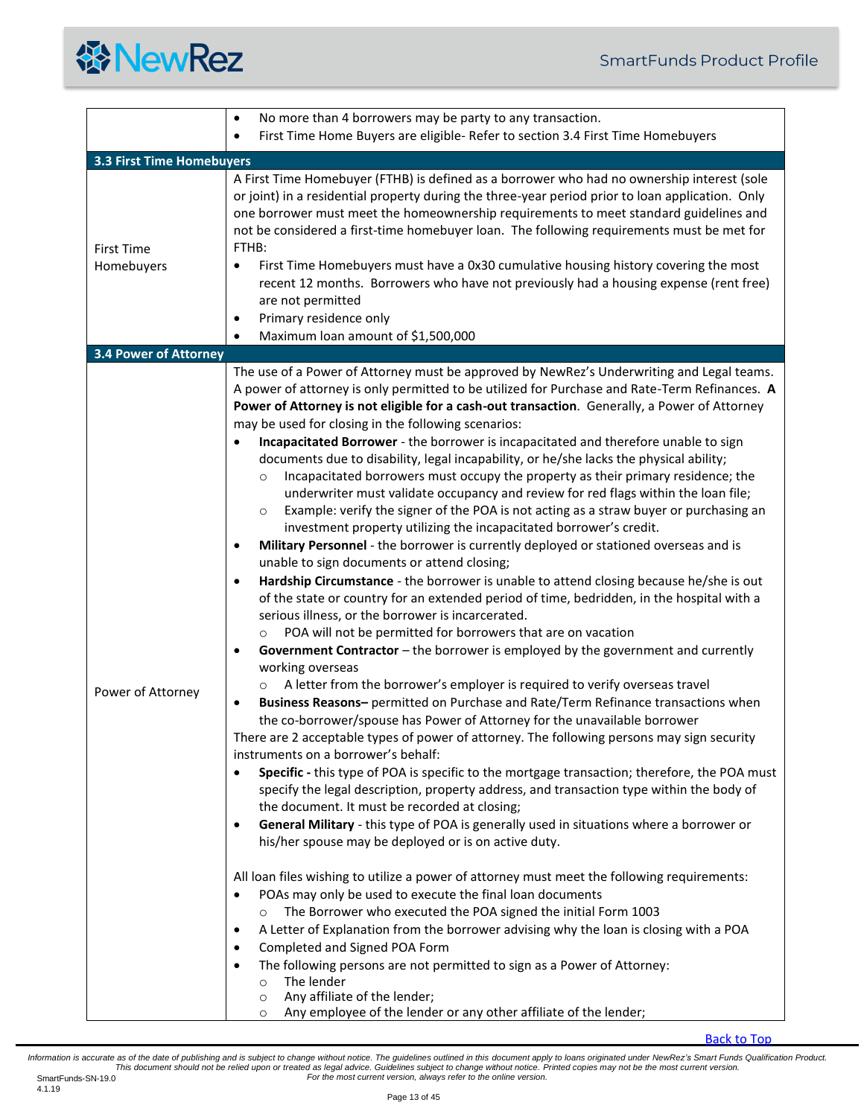<span id="page-12-1"></span><span id="page-12-0"></span>

|                                 | No more than 4 borrowers may be party to any transaction.<br>$\bullet$                                                                                                                                                                                                                                                                                                                                                                                                                                                                                                                                                                                                                                                                                                                                                                                                                                                                                                                                                                                                                                                                                                                                                                                                                                                                                                                                                                                                                                                                                                                                                                                                                                                                                                                                                                                                                                                                                                                                                                                                                                                                                                                                                                                                                                                                                                                                                                                                                                                                                                                                                                                                                                                                                                                                                                                                                                                                                      |
|---------------------------------|-------------------------------------------------------------------------------------------------------------------------------------------------------------------------------------------------------------------------------------------------------------------------------------------------------------------------------------------------------------------------------------------------------------------------------------------------------------------------------------------------------------------------------------------------------------------------------------------------------------------------------------------------------------------------------------------------------------------------------------------------------------------------------------------------------------------------------------------------------------------------------------------------------------------------------------------------------------------------------------------------------------------------------------------------------------------------------------------------------------------------------------------------------------------------------------------------------------------------------------------------------------------------------------------------------------------------------------------------------------------------------------------------------------------------------------------------------------------------------------------------------------------------------------------------------------------------------------------------------------------------------------------------------------------------------------------------------------------------------------------------------------------------------------------------------------------------------------------------------------------------------------------------------------------------------------------------------------------------------------------------------------------------------------------------------------------------------------------------------------------------------------------------------------------------------------------------------------------------------------------------------------------------------------------------------------------------------------------------------------------------------------------------------------------------------------------------------------------------------------------------------------------------------------------------------------------------------------------------------------------------------------------------------------------------------------------------------------------------------------------------------------------------------------------------------------------------------------------------------------------------------------------------------------------------------------------------------------|
|                                 | First Time Home Buyers are eligible- Refer to section 3.4 First Time Homebuyers<br>$\bullet$                                                                                                                                                                                                                                                                                                                                                                                                                                                                                                                                                                                                                                                                                                                                                                                                                                                                                                                                                                                                                                                                                                                                                                                                                                                                                                                                                                                                                                                                                                                                                                                                                                                                                                                                                                                                                                                                                                                                                                                                                                                                                                                                                                                                                                                                                                                                                                                                                                                                                                                                                                                                                                                                                                                                                                                                                                                                |
| 3.3 First Time Homebuyers       |                                                                                                                                                                                                                                                                                                                                                                                                                                                                                                                                                                                                                                                                                                                                                                                                                                                                                                                                                                                                                                                                                                                                                                                                                                                                                                                                                                                                                                                                                                                                                                                                                                                                                                                                                                                                                                                                                                                                                                                                                                                                                                                                                                                                                                                                                                                                                                                                                                                                                                                                                                                                                                                                                                                                                                                                                                                                                                                                                             |
| <b>First Time</b><br>Homebuyers | A First Time Homebuyer (FTHB) is defined as a borrower who had no ownership interest (sole<br>or joint) in a residential property during the three-year period prior to loan application. Only<br>one borrower must meet the homeownership requirements to meet standard guidelines and<br>not be considered a first-time homebuyer loan. The following requirements must be met for<br>FTHB:<br>First Time Homebuyers must have a 0x30 cumulative housing history covering the most<br>$\bullet$<br>recent 12 months. Borrowers who have not previously had a housing expense (rent free)<br>are not permitted<br>Primary residence only<br>$\bullet$<br>Maximum loan amount of \$1,500,000<br>$\bullet$                                                                                                                                                                                                                                                                                                                                                                                                                                                                                                                                                                                                                                                                                                                                                                                                                                                                                                                                                                                                                                                                                                                                                                                                                                                                                                                                                                                                                                                                                                                                                                                                                                                                                                                                                                                                                                                                                                                                                                                                                                                                                                                                                                                                                                                   |
| <b>3.4 Power of Attorney</b>    |                                                                                                                                                                                                                                                                                                                                                                                                                                                                                                                                                                                                                                                                                                                                                                                                                                                                                                                                                                                                                                                                                                                                                                                                                                                                                                                                                                                                                                                                                                                                                                                                                                                                                                                                                                                                                                                                                                                                                                                                                                                                                                                                                                                                                                                                                                                                                                                                                                                                                                                                                                                                                                                                                                                                                                                                                                                                                                                                                             |
| Power of Attorney               | The use of a Power of Attorney must be approved by NewRez's Underwriting and Legal teams.<br>A power of attorney is only permitted to be utilized for Purchase and Rate-Term Refinances. A<br>Power of Attorney is not eligible for a cash-out transaction. Generally, a Power of Attorney<br>may be used for closing in the following scenarios:<br>Incapacitated Borrower - the borrower is incapacitated and therefore unable to sign<br>documents due to disability, legal incapability, or he/she lacks the physical ability;<br>Incapacitated borrowers must occupy the property as their primary residence; the<br>$\circ$<br>underwriter must validate occupancy and review for red flags within the loan file;<br>Example: verify the signer of the POA is not acting as a straw buyer or purchasing an<br>$\circ$<br>investment property utilizing the incapacitated borrower's credit.<br>Military Personnel - the borrower is currently deployed or stationed overseas and is<br>$\bullet$<br>unable to sign documents or attend closing;<br>Hardship Circumstance - the borrower is unable to attend closing because he/she is out<br>$\bullet$<br>of the state or country for an extended period of time, bedridden, in the hospital with a<br>serious illness, or the borrower is incarcerated.<br>POA will not be permitted for borrowers that are on vacation<br>Government Contractor - the borrower is employed by the government and currently<br>$\bullet$<br>working overseas<br>A letter from the borrower's employer is required to verify overseas travel<br>Business Reasons- permitted on Purchase and Rate/Term Refinance transactions when<br>$\bullet$<br>the co-borrower/spouse has Power of Attorney for the unavailable borrower<br>There are 2 acceptable types of power of attorney. The following persons may sign security<br>instruments on a borrower's behalf:<br>Specific - this type of POA is specific to the mortgage transaction; therefore, the POA must<br>specify the legal description, property address, and transaction type within the body of<br>the document. It must be recorded at closing;<br>General Military - this type of POA is generally used in situations where a borrower or<br>$\bullet$<br>his/her spouse may be deployed or is on active duty.<br>All loan files wishing to utilize a power of attorney must meet the following requirements:<br>POAs may only be used to execute the final loan documents<br>$\bullet$<br>The Borrower who executed the POA signed the initial Form 1003<br>$\circ$<br>A Letter of Explanation from the borrower advising why the loan is closing with a POA<br>$\bullet$<br>Completed and Signed POA Form<br>The following persons are not permitted to sign as a Power of Attorney:<br>$\bullet$<br>The lender<br>$\circ$<br>Any affiliate of the lender;<br>$\circ$<br>Any employee of the lender or any other affiliate of the lender;<br>$\circ$ |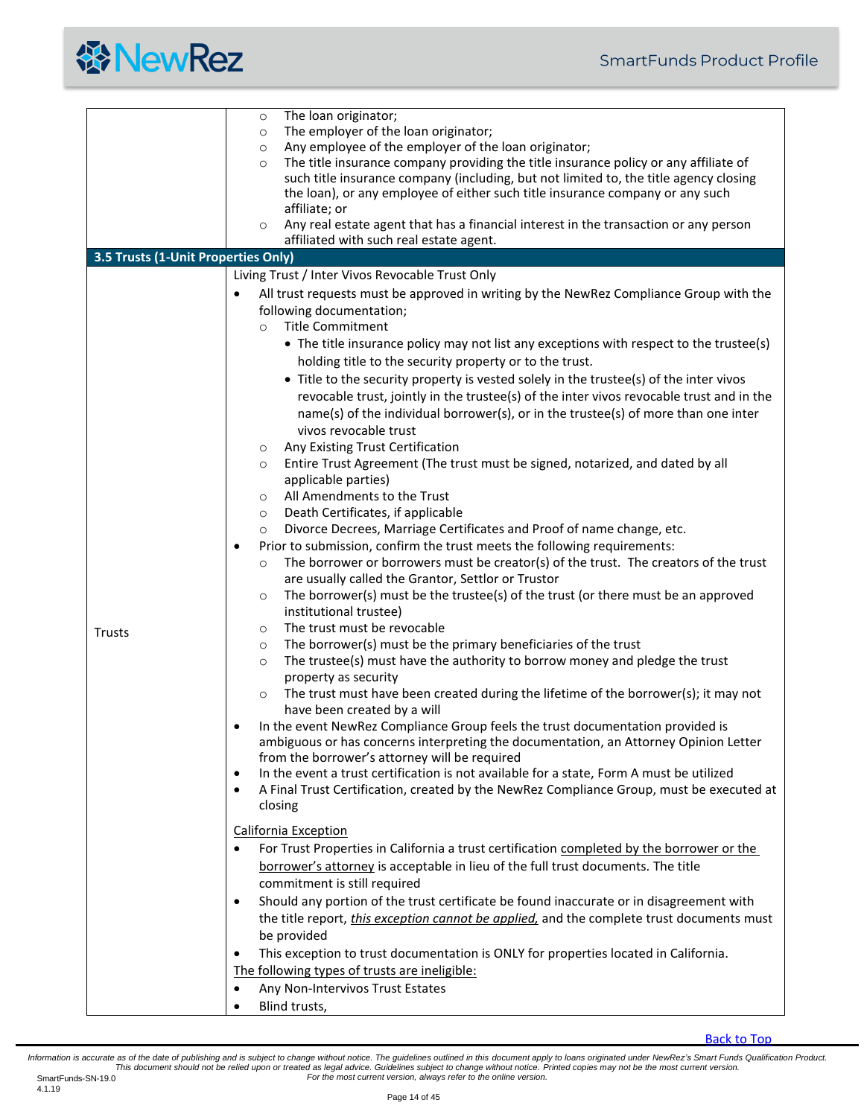

<span id="page-13-0"></span>

|                                     | The loan originator;<br>$\circ$                                                                       |
|-------------------------------------|-------------------------------------------------------------------------------------------------------|
|                                     | The employer of the loan originator;<br>$\circ$                                                       |
|                                     | Any employee of the employer of the loan originator;<br>$\circ$                                       |
|                                     | The title insurance company providing the title insurance policy or any affiliate of<br>$\circ$       |
|                                     | such title insurance company (including, but not limited to, the title agency closing                 |
|                                     | the loan), or any employee of either such title insurance company or any such                         |
|                                     | affiliate; or                                                                                         |
|                                     | Any real estate agent that has a financial interest in the transaction or any person<br>$\circ$       |
|                                     | affiliated with such real estate agent.                                                               |
| 3.5 Trusts (1-Unit Properties Only) |                                                                                                       |
|                                     |                                                                                                       |
|                                     | Living Trust / Inter Vivos Revocable Trust Only                                                       |
|                                     | All trust requests must be approved in writing by the NewRez Compliance Group with the                |
|                                     | following documentation;                                                                              |
|                                     | <b>Title Commitment</b><br>$\Omega$                                                                   |
|                                     | • The title insurance policy may not list any exceptions with respect to the trustee(s)               |
|                                     | holding title to the security property or to the trust.                                               |
|                                     | • Title to the security property is vested solely in the trustee(s) of the inter vivos                |
|                                     | revocable trust, jointly in the trustee(s) of the inter vivos revocable trust and in the              |
|                                     | name(s) of the individual borrower(s), or in the trustee(s) of more than one inter                    |
|                                     |                                                                                                       |
|                                     | vivos revocable trust                                                                                 |
|                                     | Any Existing Trust Certification<br>$\circ$                                                           |
|                                     | Entire Trust Agreement (The trust must be signed, notarized, and dated by all<br>$\circ$              |
|                                     | applicable parties)                                                                                   |
|                                     | All Amendments to the Trust<br>$\circ$                                                                |
|                                     | Death Certificates, if applicable<br>$\circ$                                                          |
|                                     | Divorce Decrees, Marriage Certificates and Proof of name change, etc.<br>$\circ$                      |
|                                     | Prior to submission, confirm the trust meets the following requirements:                              |
|                                     | The borrower or borrowers must be creator(s) of the trust. The creators of the trust<br>$\circ$       |
|                                     | are usually called the Grantor, Settlor or Trustor                                                    |
|                                     | The borrower(s) must be the trustee(s) of the trust (or there must be an approved<br>$\circ$          |
|                                     | institutional trustee)                                                                                |
|                                     | The trust must be revocable<br>$\circ$                                                                |
| Trusts                              | The borrower(s) must be the primary beneficiaries of the trust<br>$\circ$                             |
|                                     | The trustee(s) must have the authority to borrow money and pledge the trust<br>$\circ$                |
|                                     | property as security                                                                                  |
|                                     | The trust must have been created during the lifetime of the borrower(s); it may not<br>$\circ$        |
|                                     | have been created by a will                                                                           |
|                                     |                                                                                                       |
|                                     | In the event NewRez Compliance Group feels the trust documentation provided is                        |
|                                     | ambiguous or has concerns interpreting the documentation, an Attorney Opinion Letter                  |
|                                     | from the borrower's attorney will be required                                                         |
|                                     | In the event a trust certification is not available for a state, Form A must be utilized<br>$\bullet$ |
|                                     | A Final Trust Certification, created by the NewRez Compliance Group, must be executed at<br>$\bullet$ |
|                                     | closing                                                                                               |
|                                     | <b>California Exception</b>                                                                           |
|                                     | For Trust Properties in California a trust certification completed by the borrower or the             |
|                                     | borrower's attorney is acceptable in lieu of the full trust documents. The title                      |
|                                     | commitment is still required                                                                          |
|                                     |                                                                                                       |
|                                     | Should any portion of the trust certificate be found inaccurate or in disagreement with               |
|                                     | the title report, <i>this exception cannot be applied</i> , and the complete trust documents must     |
|                                     | be provided                                                                                           |
|                                     | This exception to trust documentation is ONLY for properties located in California.<br>$\bullet$      |
|                                     | The following types of trusts are ineligible:                                                         |
|                                     | Any Non-Intervivos Trust Estates<br>$\bullet$                                                         |
|                                     | Blind trusts,<br>$\bullet$                                                                            |
|                                     |                                                                                                       |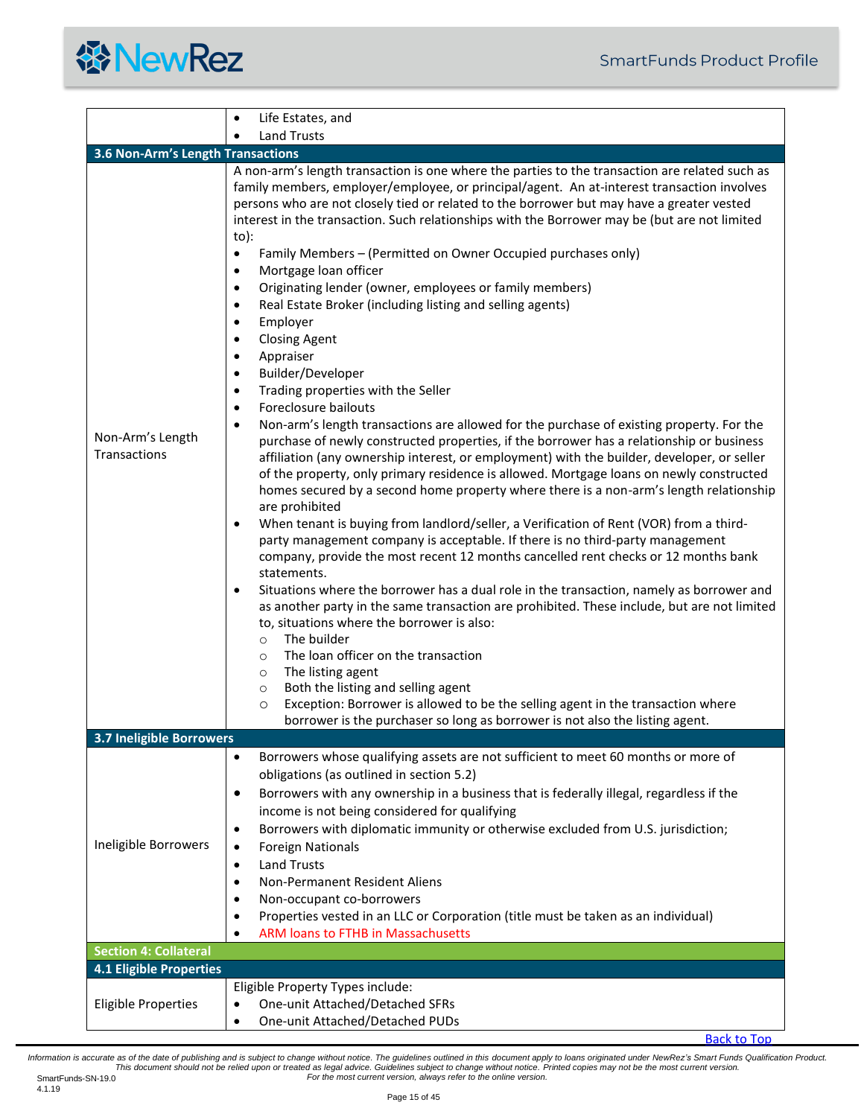<span id="page-14-3"></span><span id="page-14-2"></span><span id="page-14-1"></span><span id="page-14-0"></span>

| <b>Land Trusts</b><br>3.6 Non-Arm's Length Transactions<br>A non-arm's length transaction is one where the parties to the transaction are related such as<br>family members, employer/employee, or principal/agent. An at-interest transaction involves<br>persons who are not closely tied or related to the borrower but may have a greater vested<br>interest in the transaction. Such relationships with the Borrower may be (but are not limited<br>$to)$ :<br>Family Members - (Permitted on Owner Occupied purchases only)<br>$\bullet$<br>Mortgage loan officer<br>$\bullet$<br>Originating lender (owner, employees or family members)<br>$\bullet$<br>Real Estate Broker (including listing and selling agents)<br>$\bullet$<br>Employer<br>$\bullet$<br><b>Closing Agent</b><br>$\bullet$<br>Appraiser<br>$\bullet$<br>Builder/Developer<br>$\bullet$<br>Trading properties with the Seller<br>$\bullet$<br>Foreclosure bailouts<br>$\bullet$<br>Non-arm's length transactions are allowed for the purchase of existing property. For the<br>$\bullet$<br>Non-Arm's Length<br>purchase of newly constructed properties, if the borrower has a relationship or business<br><b>Transactions</b><br>affiliation (any ownership interest, or employment) with the builder, developer, or seller<br>of the property, only primary residence is allowed. Mortgage loans on newly constructed<br>are prohibited<br>When tenant is buying from landlord/seller, a Verification of Rent (VOR) from a third-<br>$\bullet$<br>party management company is acceptable. If there is no third-party management<br>company, provide the most recent 12 months cancelled rent checks or 12 months bank<br>statements.<br>$\bullet$<br>to, situations where the borrower is also:<br>The builder<br>$\circ$<br>The loan officer on the transaction<br>$\circ$<br>The listing agent<br>$\circ$<br>Both the listing and selling agent<br>$\circ$<br>Exception: Borrower is allowed to be the selling agent in the transaction where<br>$\circ$<br>borrower is the purchaser so long as borrower is not also the listing agent.<br><b>3.7 Ineligible Borrowers</b><br>Borrowers whose qualifying assets are not sufficient to meet 60 months or more of<br>$\bullet$<br>obligations (as outlined in section 5.2)<br>Borrowers with any ownership in a business that is federally illegal, regardless if the<br>$\bullet$<br>income is not being considered for qualifying<br>Borrowers with diplomatic immunity or otherwise excluded from U.S. jurisdiction;<br>$\bullet$<br>Ineligible Borrowers<br><b>Foreign Nationals</b><br>$\bullet$ | Life Estates, and<br>$\bullet$                                                                                                                                                                                                                                                    |
|------------------------------------------------------------------------------------------------------------------------------------------------------------------------------------------------------------------------------------------------------------------------------------------------------------------------------------------------------------------------------------------------------------------------------------------------------------------------------------------------------------------------------------------------------------------------------------------------------------------------------------------------------------------------------------------------------------------------------------------------------------------------------------------------------------------------------------------------------------------------------------------------------------------------------------------------------------------------------------------------------------------------------------------------------------------------------------------------------------------------------------------------------------------------------------------------------------------------------------------------------------------------------------------------------------------------------------------------------------------------------------------------------------------------------------------------------------------------------------------------------------------------------------------------------------------------------------------------------------------------------------------------------------------------------------------------------------------------------------------------------------------------------------------------------------------------------------------------------------------------------------------------------------------------------------------------------------------------------------------------------------------------------------------------------------------------------------------------------------------------------------------------------------------------------------------------------------------------------------------------------------------------------------------------------------------------------------------------------------------------------------------------------------------------------------------------------------------------------------------------------------------------------------------------------------------------------------------------------------------------------------|-----------------------------------------------------------------------------------------------------------------------------------------------------------------------------------------------------------------------------------------------------------------------------------|
|                                                                                                                                                                                                                                                                                                                                                                                                                                                                                                                                                                                                                                                                                                                                                                                                                                                                                                                                                                                                                                                                                                                                                                                                                                                                                                                                                                                                                                                                                                                                                                                                                                                                                                                                                                                                                                                                                                                                                                                                                                                                                                                                                                                                                                                                                                                                                                                                                                                                                                                                                                                                                                    |                                                                                                                                                                                                                                                                                   |
|                                                                                                                                                                                                                                                                                                                                                                                                                                                                                                                                                                                                                                                                                                                                                                                                                                                                                                                                                                                                                                                                                                                                                                                                                                                                                                                                                                                                                                                                                                                                                                                                                                                                                                                                                                                                                                                                                                                                                                                                                                                                                                                                                                                                                                                                                                                                                                                                                                                                                                                                                                                                                                    |                                                                                                                                                                                                                                                                                   |
|                                                                                                                                                                                                                                                                                                                                                                                                                                                                                                                                                                                                                                                                                                                                                                                                                                                                                                                                                                                                                                                                                                                                                                                                                                                                                                                                                                                                                                                                                                                                                                                                                                                                                                                                                                                                                                                                                                                                                                                                                                                                                                                                                                                                                                                                                                                                                                                                                                                                                                                                                                                                                                    | homes secured by a second home property where there is a non-arm's length relationship<br>Situations where the borrower has a dual role in the transaction, namely as borrower and<br>as another party in the same transaction are prohibited. These include, but are not limited |
|                                                                                                                                                                                                                                                                                                                                                                                                                                                                                                                                                                                                                                                                                                                                                                                                                                                                                                                                                                                                                                                                                                                                                                                                                                                                                                                                                                                                                                                                                                                                                                                                                                                                                                                                                                                                                                                                                                                                                                                                                                                                                                                                                                                                                                                                                                                                                                                                                                                                                                                                                                                                                                    |                                                                                                                                                                                                                                                                                   |
| <b>Land Trusts</b><br>٠<br>Non-Permanent Resident Aliens<br>٠<br>Non-occupant co-borrowers<br>٠<br>Properties vested in an LLC or Corporation (title must be taken as an individual)<br>$\bullet$<br><b>ARM loans to FTHB in Massachusetts</b>                                                                                                                                                                                                                                                                                                                                                                                                                                                                                                                                                                                                                                                                                                                                                                                                                                                                                                                                                                                                                                                                                                                                                                                                                                                                                                                                                                                                                                                                                                                                                                                                                                                                                                                                                                                                                                                                                                                                                                                                                                                                                                                                                                                                                                                                                                                                                                                     |                                                                                                                                                                                                                                                                                   |
| <b>Section 4: Collateral</b>                                                                                                                                                                                                                                                                                                                                                                                                                                                                                                                                                                                                                                                                                                                                                                                                                                                                                                                                                                                                                                                                                                                                                                                                                                                                                                                                                                                                                                                                                                                                                                                                                                                                                                                                                                                                                                                                                                                                                                                                                                                                                                                                                                                                                                                                                                                                                                                                                                                                                                                                                                                                       |                                                                                                                                                                                                                                                                                   |
| <b>4.1 Eligible Properties</b>                                                                                                                                                                                                                                                                                                                                                                                                                                                                                                                                                                                                                                                                                                                                                                                                                                                                                                                                                                                                                                                                                                                                                                                                                                                                                                                                                                                                                                                                                                                                                                                                                                                                                                                                                                                                                                                                                                                                                                                                                                                                                                                                                                                                                                                                                                                                                                                                                                                                                                                                                                                                     |                                                                                                                                                                                                                                                                                   |
| Eligible Property Types include:<br>One-unit Attached/Detached SFRs<br><b>Eligible Properties</b><br>$\bullet$<br>One-unit Attached/Detached PUDs<br>$\bullet$                                                                                                                                                                                                                                                                                                                                                                                                                                                                                                                                                                                                                                                                                                                                                                                                                                                                                                                                                                                                                                                                                                                                                                                                                                                                                                                                                                                                                                                                                                                                                                                                                                                                                                                                                                                                                                                                                                                                                                                                                                                                                                                                                                                                                                                                                                                                                                                                                                                                     | <b>Back to Top</b>                                                                                                                                                                                                                                                                |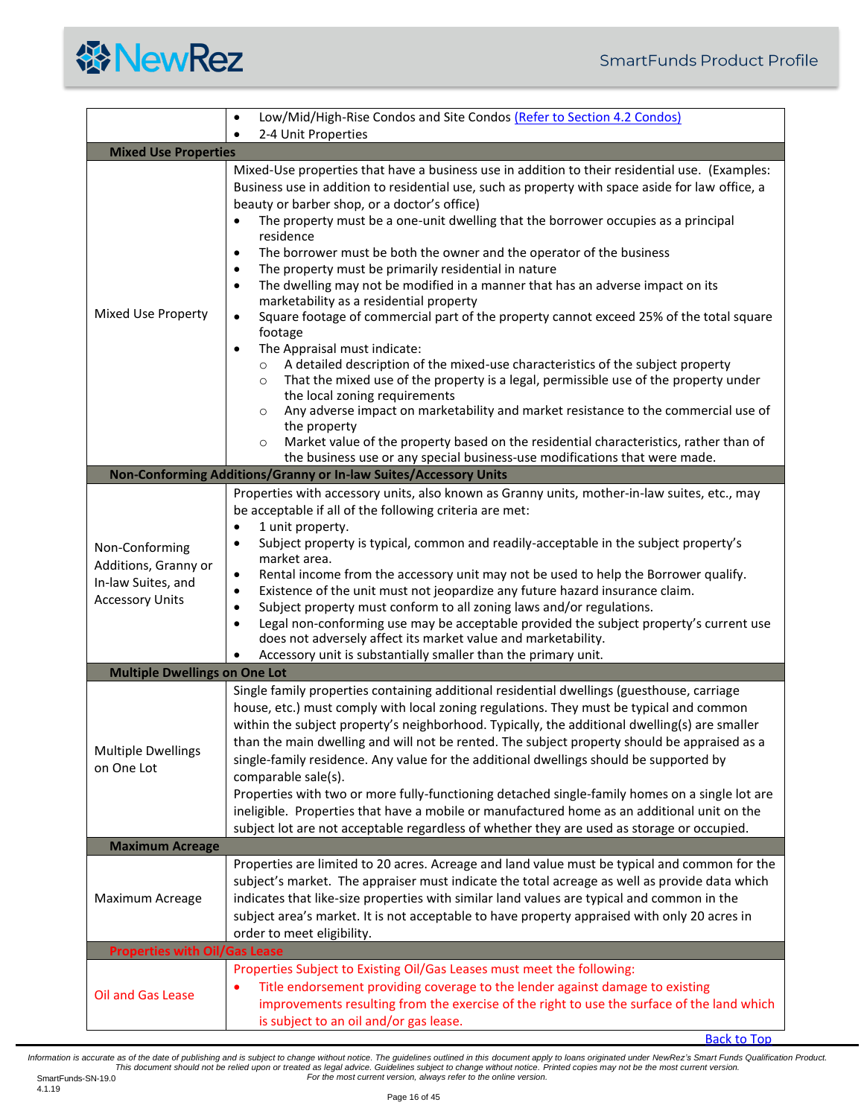

<span id="page-15-4"></span><span id="page-15-3"></span><span id="page-15-2"></span><span id="page-15-1"></span><span id="page-15-0"></span>

|                                                                                        | Low/Mid/High-Rise Condos and Site Condos (Refer to Section 4.2 Condos)                                                                                                                                                                                                                                                                                                                                                                                                                                                                                                                                                                                                                                                                                                                                                                                                                                                                                                                                                                                                                                                                                                                                                                                                                                                                                         |  |  |  |  |
|----------------------------------------------------------------------------------------|----------------------------------------------------------------------------------------------------------------------------------------------------------------------------------------------------------------------------------------------------------------------------------------------------------------------------------------------------------------------------------------------------------------------------------------------------------------------------------------------------------------------------------------------------------------------------------------------------------------------------------------------------------------------------------------------------------------------------------------------------------------------------------------------------------------------------------------------------------------------------------------------------------------------------------------------------------------------------------------------------------------------------------------------------------------------------------------------------------------------------------------------------------------------------------------------------------------------------------------------------------------------------------------------------------------------------------------------------------------|--|--|--|--|
|                                                                                        | 2-4 Unit Properties                                                                                                                                                                                                                                                                                                                                                                                                                                                                                                                                                                                                                                                                                                                                                                                                                                                                                                                                                                                                                                                                                                                                                                                                                                                                                                                                            |  |  |  |  |
| <b>Mixed Use Properties</b>                                                            |                                                                                                                                                                                                                                                                                                                                                                                                                                                                                                                                                                                                                                                                                                                                                                                                                                                                                                                                                                                                                                                                                                                                                                                                                                                                                                                                                                |  |  |  |  |
| Mixed Use Property                                                                     | Mixed-Use properties that have a business use in addition to their residential use. (Examples:<br>Business use in addition to residential use, such as property with space aside for law office, a<br>beauty or barber shop, or a doctor's office)<br>The property must be a one-unit dwelling that the borrower occupies as a principal<br>$\bullet$<br>residence<br>The borrower must be both the owner and the operator of the business<br>$\bullet$<br>The property must be primarily residential in nature<br>The dwelling may not be modified in a manner that has an adverse impact on its<br>$\bullet$<br>marketability as a residential property<br>Square footage of commercial part of the property cannot exceed 25% of the total square<br>$\bullet$<br>footage<br>The Appraisal must indicate:<br>$\bullet$<br>A detailed description of the mixed-use characteristics of the subject property<br>$\circ$<br>That the mixed use of the property is a legal, permissible use of the property under<br>$\circ$<br>the local zoning requirements<br>Any adverse impact on marketability and market resistance to the commercial use of<br>$\circ$<br>the property<br>Market value of the property based on the residential characteristics, rather than of<br>$\circ$<br>the business use or any special business-use modifications that were made. |  |  |  |  |
|                                                                                        | Non-Conforming Additions/Granny or In-law Suites/Accessory Units                                                                                                                                                                                                                                                                                                                                                                                                                                                                                                                                                                                                                                                                                                                                                                                                                                                                                                                                                                                                                                                                                                                                                                                                                                                                                               |  |  |  |  |
| Non-Conforming<br>Additions, Granny or<br>In-law Suites, and<br><b>Accessory Units</b> | Properties with accessory units, also known as Granny units, mother-in-law suites, etc., may<br>be acceptable if all of the following criteria are met:<br>1 unit property.<br>$\bullet$<br>Subject property is typical, common and readily-acceptable in the subject property's<br>$\bullet$<br>market area.<br>Rental income from the accessory unit may not be used to help the Borrower qualify.<br>$\bullet$<br>Existence of the unit must not jeopardize any future hazard insurance claim.<br>$\bullet$<br>Subject property must conform to all zoning laws and/or regulations.<br>$\bullet$<br>Legal non-conforming use may be acceptable provided the subject property's current use<br>$\bullet$<br>does not adversely affect its market value and marketability.<br>Accessory unit is substantially smaller than the primary unit.                                                                                                                                                                                                                                                                                                                                                                                                                                                                                                                  |  |  |  |  |
| <b>Multiple Dwellings on One Lot</b>                                                   |                                                                                                                                                                                                                                                                                                                                                                                                                                                                                                                                                                                                                                                                                                                                                                                                                                                                                                                                                                                                                                                                                                                                                                                                                                                                                                                                                                |  |  |  |  |
| <b>Multiple Dwellings</b><br>on One Lot                                                | Single family properties containing additional residential dwellings (guesthouse, carriage<br>house, etc.) must comply with local zoning regulations. They must be typical and common<br>within the subject property's neighborhood. Typically, the additional dwelling(s) are smaller<br>than the main dwelling and will not be rented. The subject property should be appraised as a<br>single-family residence. Any value for the additional dwellings should be supported by<br>comparable sale(s).<br>Properties with two or more fully-functioning detached single-family homes on a single lot are<br>ineligible. Properties that have a mobile or manufactured home as an additional unit on the<br>subject lot are not acceptable regardless of whether they are used as storage or occupied.                                                                                                                                                                                                                                                                                                                                                                                                                                                                                                                                                         |  |  |  |  |
| <b>Maximum Acreage</b>                                                                 |                                                                                                                                                                                                                                                                                                                                                                                                                                                                                                                                                                                                                                                                                                                                                                                                                                                                                                                                                                                                                                                                                                                                                                                                                                                                                                                                                                |  |  |  |  |
| Maximum Acreage                                                                        | Properties are limited to 20 acres. Acreage and land value must be typical and common for the<br>subject's market. The appraiser must indicate the total acreage as well as provide data which<br>indicates that like-size properties with similar land values are typical and common in the<br>subject area's market. It is not acceptable to have property appraised with only 20 acres in<br>order to meet eligibility.                                                                                                                                                                                                                                                                                                                                                                                                                                                                                                                                                                                                                                                                                                                                                                                                                                                                                                                                     |  |  |  |  |
| <b>Properties with Oil/Gas Lease</b>                                                   |                                                                                                                                                                                                                                                                                                                                                                                                                                                                                                                                                                                                                                                                                                                                                                                                                                                                                                                                                                                                                                                                                                                                                                                                                                                                                                                                                                |  |  |  |  |
| Oil and Gas Lease                                                                      | Properties Subject to Existing Oil/Gas Leases must meet the following:<br>Title endorsement providing coverage to the lender against damage to existing<br>improvements resulting from the exercise of the right to use the surface of the land which<br>is subject to an oil and/or gas lease.<br><b>Back to Top</b>                                                                                                                                                                                                                                                                                                                                                                                                                                                                                                                                                                                                                                                                                                                                                                                                                                                                                                                                                                                                                                          |  |  |  |  |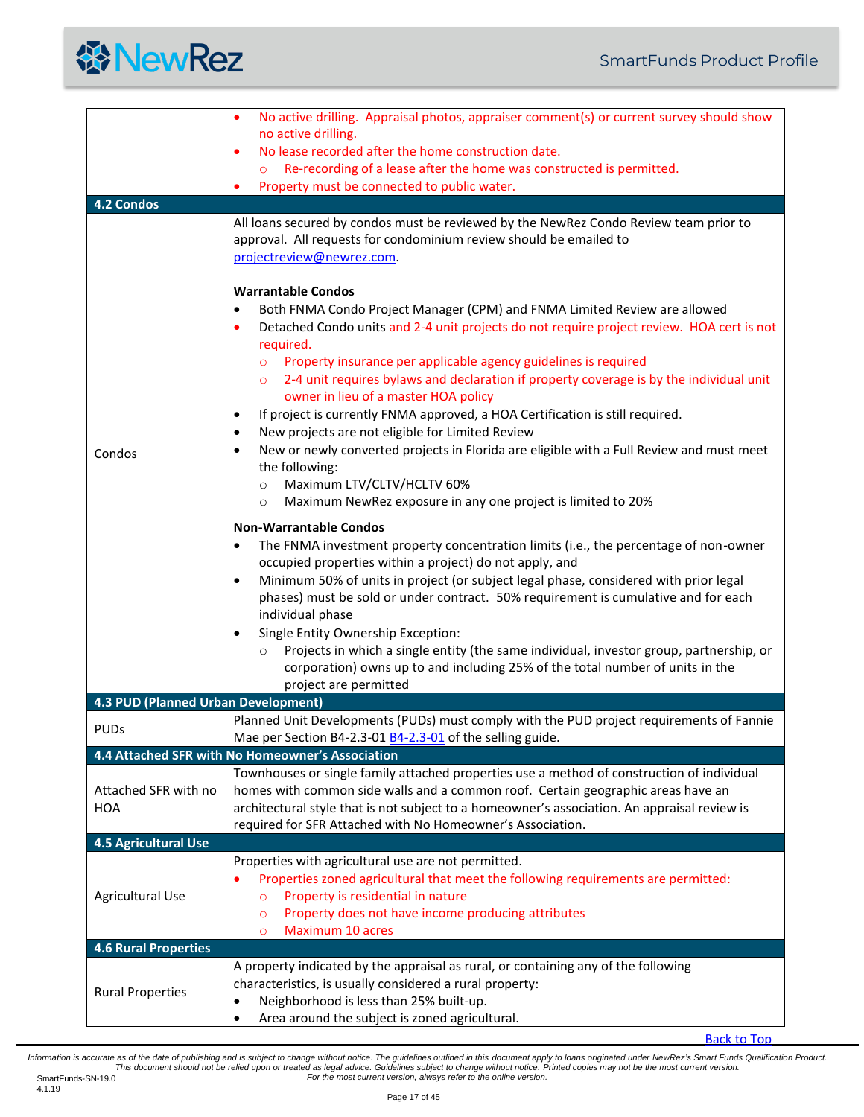

<span id="page-16-2"></span><span id="page-16-1"></span><span id="page-16-0"></span>

|                                     | No active drilling. Appraisal photos, appraiser comment(s) or current survey should show<br>$\bullet$                                                                                                                                                                                                                                                                                                                                                                                                                                                                                                                                                                                                                                                                                                                                                                                                                                                |
|-------------------------------------|------------------------------------------------------------------------------------------------------------------------------------------------------------------------------------------------------------------------------------------------------------------------------------------------------------------------------------------------------------------------------------------------------------------------------------------------------------------------------------------------------------------------------------------------------------------------------------------------------------------------------------------------------------------------------------------------------------------------------------------------------------------------------------------------------------------------------------------------------------------------------------------------------------------------------------------------------|
|                                     | no active drilling.                                                                                                                                                                                                                                                                                                                                                                                                                                                                                                                                                                                                                                                                                                                                                                                                                                                                                                                                  |
|                                     | No lease recorded after the home construction date.<br>$\bullet$<br>Re-recording of a lease after the home was constructed is permitted.                                                                                                                                                                                                                                                                                                                                                                                                                                                                                                                                                                                                                                                                                                                                                                                                             |
|                                     | Property must be connected to public water.<br>٠                                                                                                                                                                                                                                                                                                                                                                                                                                                                                                                                                                                                                                                                                                                                                                                                                                                                                                     |
| <b>4.2 Condos</b>                   |                                                                                                                                                                                                                                                                                                                                                                                                                                                                                                                                                                                                                                                                                                                                                                                                                                                                                                                                                      |
| Condos                              | All loans secured by condos must be reviewed by the NewRez Condo Review team prior to<br>approval. All requests for condominium review should be emailed to<br>projectreview@newrez.com.<br><b>Warrantable Condos</b><br>Both FNMA Condo Project Manager (CPM) and FNMA Limited Review are allowed<br>$\bullet$<br>Detached Condo units and 2-4 unit projects do not require project review. HOA cert is not<br>٠<br>required.<br>Property insurance per applicable agency guidelines is required<br>$\circ$<br>2-4 unit requires bylaws and declaration if property coverage is by the individual unit<br>$\circ$<br>owner in lieu of a master HOA policy<br>If project is currently FNMA approved, a HOA Certification is still required.<br>$\bullet$<br>New projects are not eligible for Limited Review<br>$\bullet$<br>New or newly converted projects in Florida are eligible with a Full Review and must meet<br>$\bullet$<br>the following: |
|                                     | Maximum LTV/CLTV/HCLTV 60%<br>$\circ$<br>Maximum NewRez exposure in any one project is limited to 20%<br>$\circ$                                                                                                                                                                                                                                                                                                                                                                                                                                                                                                                                                                                                                                                                                                                                                                                                                                     |
|                                     | <b>Non-Warrantable Condos</b><br>The FNMA investment property concentration limits (i.e., the percentage of non-owner<br>$\bullet$<br>occupied properties within a project) do not apply, and<br>Minimum 50% of units in project (or subject legal phase, considered with prior legal<br>$\bullet$<br>phases) must be sold or under contract. 50% requirement is cumulative and for each<br>individual phase<br>Single Entity Ownership Exception:<br>$\bullet$<br>Projects in which a single entity (the same individual, investor group, partnership, or<br>$\circ$<br>corporation) owns up to and including 25% of the total number of units in the                                                                                                                                                                                                                                                                                               |
| 4.3 PUD (Planned Urban Development) | project are permitted                                                                                                                                                                                                                                                                                                                                                                                                                                                                                                                                                                                                                                                                                                                                                                                                                                                                                                                                |
| <b>PUDs</b>                         | Planned Unit Developments (PUDs) must comply with the PUD project requirements of Fannie<br>Mae per Section B4-2.3-01 B4-2.3-01 of the selling guide.                                                                                                                                                                                                                                                                                                                                                                                                                                                                                                                                                                                                                                                                                                                                                                                                |
|                                     | 4.4 Attached SFR with No Homeowner's Association                                                                                                                                                                                                                                                                                                                                                                                                                                                                                                                                                                                                                                                                                                                                                                                                                                                                                                     |
| Attached SFR with no<br><b>HOA</b>  | Townhouses or single family attached properties use a method of construction of individual<br>homes with common side walls and a common roof. Certain geographic areas have an<br>architectural style that is not subject to a homeowner's association. An appraisal review is<br>required for SFR Attached with No Homeowner's Association.                                                                                                                                                                                                                                                                                                                                                                                                                                                                                                                                                                                                         |
| <b>4.5 Agricultural Use</b>         |                                                                                                                                                                                                                                                                                                                                                                                                                                                                                                                                                                                                                                                                                                                                                                                                                                                                                                                                                      |
| <b>Agricultural Use</b>             | Properties with agricultural use are not permitted.<br>Properties zoned agricultural that meet the following requirements are permitted:<br>Property is residential in nature<br>$\circ$<br>Property does not have income producing attributes<br>$\circ$<br>Maximum 10 acres<br>$\circ$                                                                                                                                                                                                                                                                                                                                                                                                                                                                                                                                                                                                                                                             |
| <b>4.6 Rural Properties</b>         |                                                                                                                                                                                                                                                                                                                                                                                                                                                                                                                                                                                                                                                                                                                                                                                                                                                                                                                                                      |
| <b>Rural Properties</b>             | A property indicated by the appraisal as rural, or containing any of the following<br>characteristics, is usually considered a rural property:<br>Neighborhood is less than 25% built-up.<br>$\bullet$<br>Area around the subject is zoned agricultural.<br>$\bullet$                                                                                                                                                                                                                                                                                                                                                                                                                                                                                                                                                                                                                                                                                |

<span id="page-16-4"></span><span id="page-16-3"></span>[Back to Top](#page-0-0)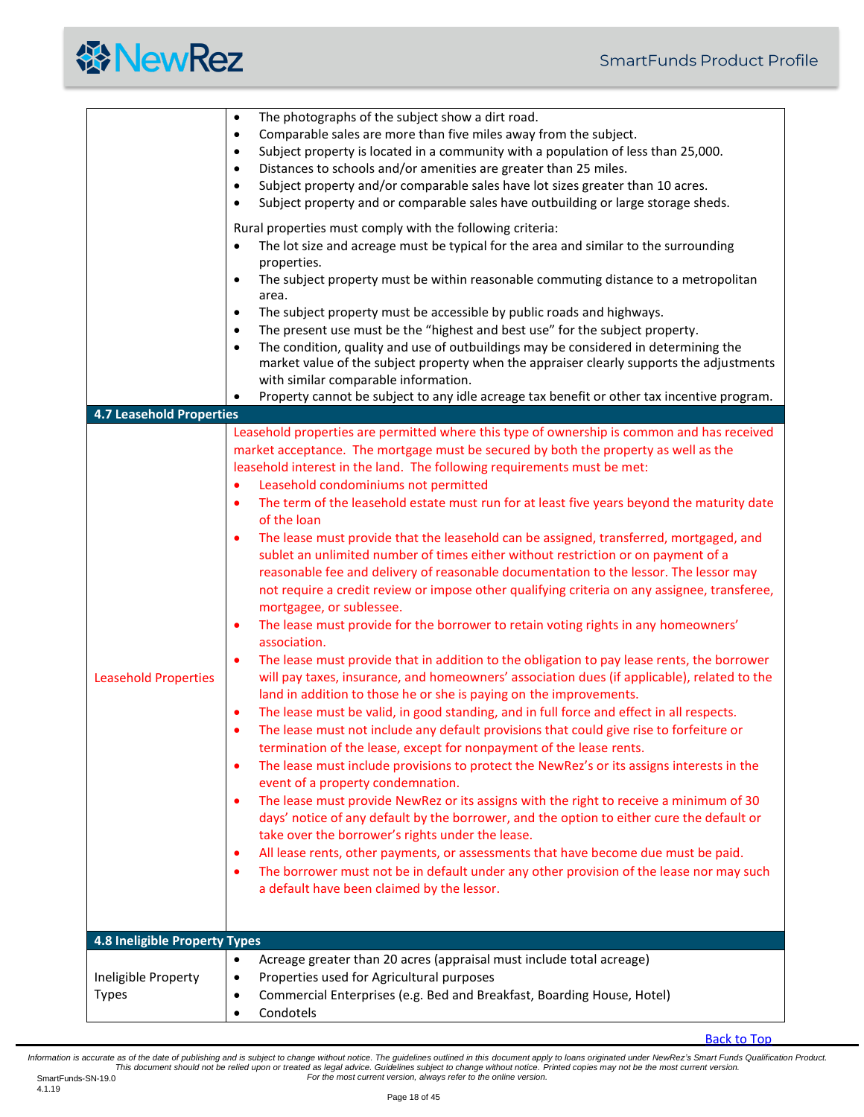<span id="page-17-1"></span><span id="page-17-0"></span>

|                                 | The photographs of the subject show a dirt road.<br>$\bullet$<br>Comparable sales are more than five miles away from the subject.<br>$\bullet$                                                         |
|---------------------------------|--------------------------------------------------------------------------------------------------------------------------------------------------------------------------------------------------------|
|                                 | Subject property is located in a community with a population of less than 25,000.<br>$\bullet$<br>Distances to schools and/or amenities are greater than 25 miles.<br>$\bullet$                        |
|                                 | Subject property and/or comparable sales have lot sizes greater than 10 acres.<br>$\bullet$                                                                                                            |
|                                 | Subject property and or comparable sales have outbuilding or large storage sheds.<br>$\bullet$                                                                                                         |
|                                 | Rural properties must comply with the following criteria:                                                                                                                                              |
|                                 | The lot size and acreage must be typical for the area and similar to the surrounding<br>properties.                                                                                                    |
|                                 | The subject property must be within reasonable commuting distance to a metropolitan<br>$\bullet$<br>area.                                                                                              |
|                                 | The subject property must be accessible by public roads and highways.<br>$\bullet$                                                                                                                     |
|                                 | The present use must be the "highest and best use" for the subject property.<br>$\bullet$<br>The condition, quality and use of outbuildings may be considered in determining the<br>$\bullet$          |
|                                 | market value of the subject property when the appraiser clearly supports the adjustments                                                                                                               |
|                                 | with similar comparable information.<br>Property cannot be subject to any idle acreage tax benefit or other tax incentive program.                                                                     |
| <b>4.7 Leasehold Properties</b> |                                                                                                                                                                                                        |
|                                 | Leasehold properties are permitted where this type of ownership is common and has received                                                                                                             |
|                                 | market acceptance. The mortgage must be secured by both the property as well as the<br>leasehold interest in the land. The following requirements must be met:                                         |
|                                 | Leasehold condominiums not permitted<br>$\bullet$                                                                                                                                                      |
|                                 | The term of the leasehold estate must run for at least five years beyond the maturity date<br>$\bullet$<br>of the loan                                                                                 |
|                                 | The lease must provide that the leasehold can be assigned, transferred, mortgaged, and<br>$\bullet$<br>sublet an unlimited number of times either without restriction or on payment of a               |
|                                 | reasonable fee and delivery of reasonable documentation to the lessor. The lessor may                                                                                                                  |
|                                 | not require a credit review or impose other qualifying criteria on any assignee, transferee,<br>mortgagee, or sublessee.                                                                               |
|                                 | The lease must provide for the borrower to retain voting rights in any homeowners'<br>٠<br>association.                                                                                                |
| <b>Leasehold Properties</b>     | The lease must provide that in addition to the obligation to pay lease rents, the borrower<br>$\bullet$<br>will pay taxes, insurance, and homeowners' association dues (if applicable), related to the |
|                                 | land in addition to those he or she is paying on the improvements.                                                                                                                                     |
|                                 | The lease must be valid, in good standing, and in full force and effect in all respects.<br>٠                                                                                                          |
|                                 | The lease must not include any default provisions that could give rise to forfeiture or<br>termination of the lease, except for nonpayment of the lease rents.                                         |
|                                 | The lease must include provisions to protect the NewRez's or its assigns interests in the<br>$\bullet$<br>event of a property condemnation.                                                            |
|                                 | The lease must provide NewRez or its assigns with the right to receive a minimum of 30<br>$\bullet$                                                                                                    |
|                                 | days' notice of any default by the borrower, and the option to either cure the default or<br>take over the borrower's rights under the lease.                                                          |
|                                 | All lease rents, other payments, or assessments that have become due must be paid.<br>٠                                                                                                                |
|                                 | The borrower must not be in default under any other provision of the lease nor may such<br>$\bullet$<br>a default have been claimed by the lessor.                                                     |
|                                 |                                                                                                                                                                                                        |
|                                 |                                                                                                                                                                                                        |
| 4.8 Ineligible Property Types   | Acreage greater than 20 acres (appraisal must include total acreage)<br>$\bullet$                                                                                                                      |
| Ineligible Property             | Properties used for Agricultural purposes<br>$\bullet$                                                                                                                                                 |
| <b>Types</b>                    | Commercial Enterprises (e.g. Bed and Breakfast, Boarding House, Hotel)<br>$\bullet$                                                                                                                    |
|                                 | Condotels<br>$\bullet$                                                                                                                                                                                 |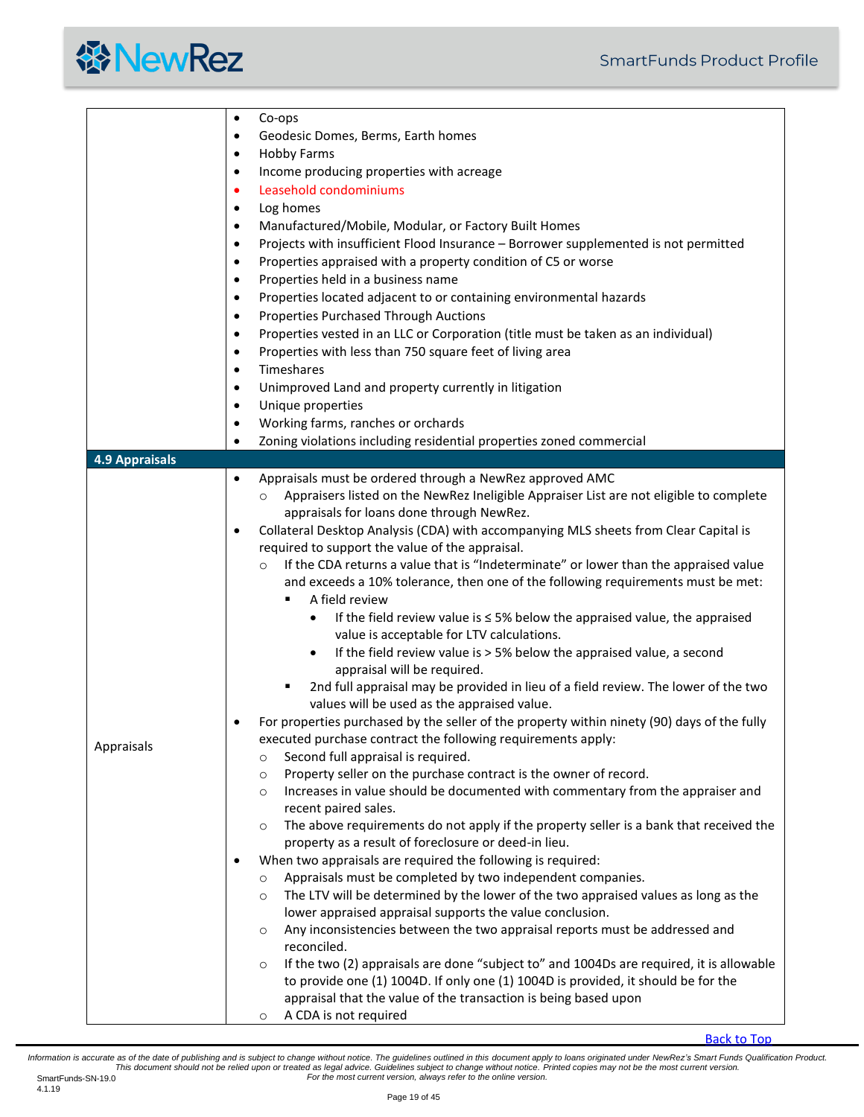<span id="page-18-0"></span>

|                       | Co-ops<br>$\bullet$                                                                                 |
|-----------------------|-----------------------------------------------------------------------------------------------------|
|                       | Geodesic Domes, Berms, Earth homes<br>$\bullet$                                                     |
|                       | <b>Hobby Farms</b><br>$\bullet$                                                                     |
|                       | Income producing properties with acreage<br>٠                                                       |
|                       | Leasehold condominiums<br>٠                                                                         |
|                       |                                                                                                     |
|                       | Log homes<br>$\bullet$                                                                              |
|                       | Manufactured/Mobile, Modular, or Factory Built Homes                                                |
|                       | Projects with insufficient Flood Insurance - Borrower supplemented is not permitted<br>٠            |
|                       | Properties appraised with a property condition of C5 or worse<br>$\bullet$                          |
|                       | Properties held in a business name<br>$\bullet$                                                     |
|                       | Properties located adjacent to or containing environmental hazards                                  |
|                       | <b>Properties Purchased Through Auctions</b>                                                        |
|                       |                                                                                                     |
|                       | Properties vested in an LLC or Corporation (title must be taken as an individual)                   |
|                       | Properties with less than 750 square feet of living area<br>٠                                       |
|                       | Timeshares<br>$\bullet$                                                                             |
|                       | Unimproved Land and property currently in litigation                                                |
|                       | Unique properties<br>$\bullet$                                                                      |
|                       | Working farms, ranches or orchards<br>$\bullet$                                                     |
|                       | Zoning violations including residential properties zoned commercial<br>$\bullet$                    |
| <b>4.9 Appraisals</b> |                                                                                                     |
|                       | Appraisals must be ordered through a NewRez approved AMC<br>$\bullet$                               |
|                       |                                                                                                     |
|                       | Appraisers listed on the NewRez Ineligible Appraiser List are not eligible to complete<br>$\circ$   |
|                       | appraisals for loans done through NewRez.                                                           |
|                       | Collateral Desktop Analysis (CDA) with accompanying MLS sheets from Clear Capital is                |
|                       | required to support the value of the appraisal.                                                     |
|                       | If the CDA returns a value that is "Indeterminate" or lower than the appraised value<br>$\circ$     |
|                       | and exceeds a 10% tolerance, then one of the following requirements must be met:                    |
|                       | A field review                                                                                      |
|                       | If the field review value is $\leq$ 5% below the appraised value, the appraised<br>$\bullet$        |
|                       | value is acceptable for LTV calculations.                                                           |
|                       | If the field review value is > 5% below the appraised value, a second<br>$\bullet$                  |
|                       | appraisal will be required.                                                                         |
|                       | 2nd full appraisal may be provided in lieu of a field review. The lower of the two<br>٠             |
|                       |                                                                                                     |
|                       | values will be used as the appraised value.                                                         |
|                       | For properties purchased by the seller of the property within ninety (90) days of the fully         |
| Appraisals            | executed purchase contract the following requirements apply:                                        |
|                       | Second full appraisal is required.<br>$\circ$                                                       |
|                       | Property seller on the purchase contract is the owner of record.<br>$\circ$                         |
|                       | Increases in value should be documented with commentary from the appraiser and<br>$\circ$           |
|                       | recent paired sales.                                                                                |
|                       | The above requirements do not apply if the property seller is a bank that received the<br>$\circ$   |
|                       | property as a result of foreclosure or deed-in lieu.                                                |
|                       | When two appraisals are required the following is required:                                         |
|                       | Appraisals must be completed by two independent companies.<br>$\circ$                               |
|                       | The LTV will be determined by the lower of the two appraised values as long as the<br>$\circ$       |
|                       | lower appraised appraisal supports the value conclusion.                                            |
|                       |                                                                                                     |
|                       | Any inconsistencies between the two appraisal reports must be addressed and<br>$\circ$              |
|                       | reconciled.                                                                                         |
|                       | If the two (2) appraisals are done "subject to" and 1004Ds are required, it is allowable<br>$\circ$ |
|                       | to provide one (1) 1004D. If only one (1) 1004D is provided, it should be for the                   |
|                       | appraisal that the value of the transaction is being based upon                                     |
|                       | A CDA is not required<br>$\circ$                                                                    |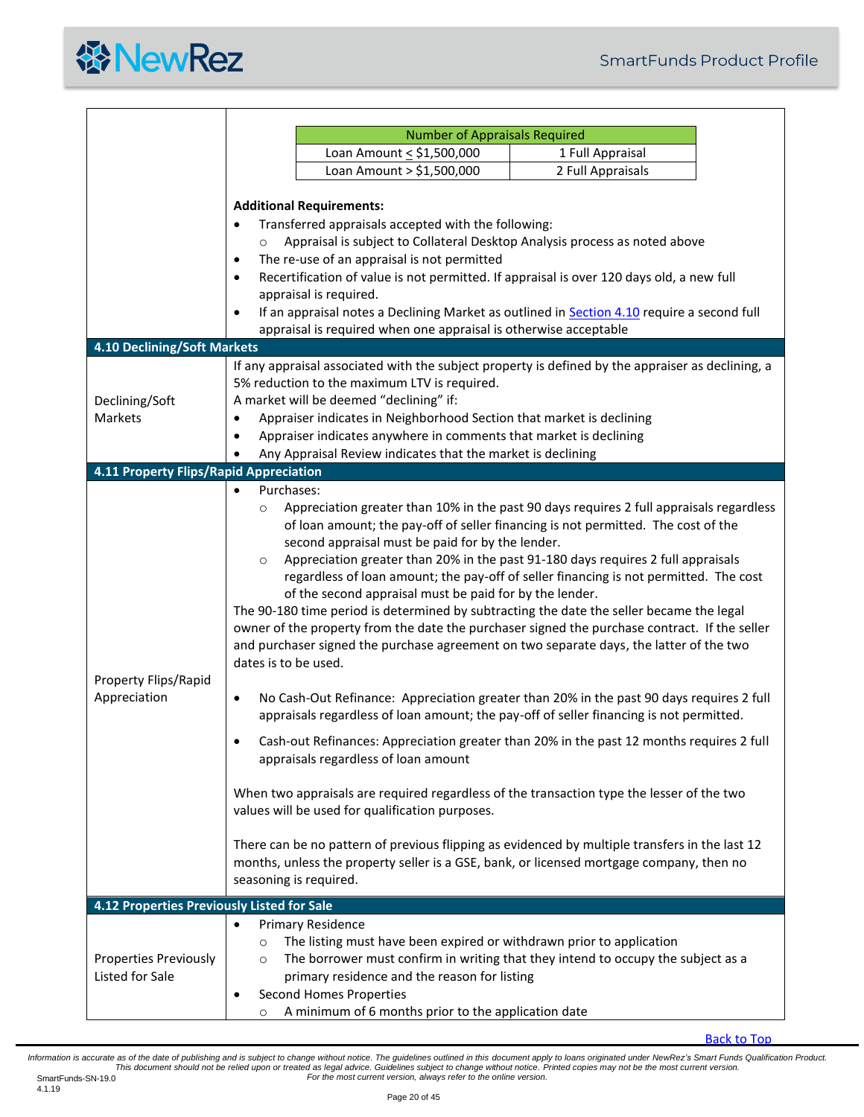

<span id="page-19-1"></span><span id="page-19-0"></span>

|                                                 | <b>Number of Appraisals Required</b>                                                                                                                                                                                                                       |                                                                                                                                                                                                                                                                                                                                                                                                                                                                                                                                                                                                                                                                                                                                               |  |  |  |  |
|-------------------------------------------------|------------------------------------------------------------------------------------------------------------------------------------------------------------------------------------------------------------------------------------------------------------|-----------------------------------------------------------------------------------------------------------------------------------------------------------------------------------------------------------------------------------------------------------------------------------------------------------------------------------------------------------------------------------------------------------------------------------------------------------------------------------------------------------------------------------------------------------------------------------------------------------------------------------------------------------------------------------------------------------------------------------------------|--|--|--|--|
|                                                 | Loan Amount < \$1,500,000                                                                                                                                                                                                                                  | 1 Full Appraisal                                                                                                                                                                                                                                                                                                                                                                                                                                                                                                                                                                                                                                                                                                                              |  |  |  |  |
|                                                 | Loan Amount > \$1,500,000                                                                                                                                                                                                                                  | 2 Full Appraisals                                                                                                                                                                                                                                                                                                                                                                                                                                                                                                                                                                                                                                                                                                                             |  |  |  |  |
|                                                 |                                                                                                                                                                                                                                                            |                                                                                                                                                                                                                                                                                                                                                                                                                                                                                                                                                                                                                                                                                                                                               |  |  |  |  |
|                                                 | <b>Additional Requirements:</b>                                                                                                                                                                                                                            |                                                                                                                                                                                                                                                                                                                                                                                                                                                                                                                                                                                                                                                                                                                                               |  |  |  |  |
|                                                 | Transferred appraisals accepted with the following:<br>٠                                                                                                                                                                                                   |                                                                                                                                                                                                                                                                                                                                                                                                                                                                                                                                                                                                                                                                                                                                               |  |  |  |  |
|                                                 | $\circ$                                                                                                                                                                                                                                                    | Appraisal is subject to Collateral Desktop Analysis process as noted above                                                                                                                                                                                                                                                                                                                                                                                                                                                                                                                                                                                                                                                                    |  |  |  |  |
|                                                 | The re-use of an appraisal is not permitted<br>$\bullet$                                                                                                                                                                                                   |                                                                                                                                                                                                                                                                                                                                                                                                                                                                                                                                                                                                                                                                                                                                               |  |  |  |  |
|                                                 | $\bullet$                                                                                                                                                                                                                                                  | Recertification of value is not permitted. If appraisal is over 120 days old, a new full                                                                                                                                                                                                                                                                                                                                                                                                                                                                                                                                                                                                                                                      |  |  |  |  |
|                                                 | appraisal is required.<br>$\bullet$                                                                                                                                                                                                                        | If an appraisal notes a Declining Market as outlined in Section 4.10 require a second full                                                                                                                                                                                                                                                                                                                                                                                                                                                                                                                                                                                                                                                    |  |  |  |  |
|                                                 | appraisal is required when one appraisal is otherwise acceptable                                                                                                                                                                                           |                                                                                                                                                                                                                                                                                                                                                                                                                                                                                                                                                                                                                                                                                                                                               |  |  |  |  |
| 4.10 Declining/Soft Markets                     |                                                                                                                                                                                                                                                            |                                                                                                                                                                                                                                                                                                                                                                                                                                                                                                                                                                                                                                                                                                                                               |  |  |  |  |
| Declining/Soft<br>Markets                       | 5% reduction to the maximum LTV is required.<br>A market will be deemed "declining" if:<br>$\bullet$<br>Appraiser indicates anywhere in comments that market is declining<br>٠<br>Any Appraisal Review indicates that the market is declining<br>$\bullet$ | If any appraisal associated with the subject property is defined by the appraiser as declining, a<br>Appraiser indicates in Neighborhood Section that market is declining                                                                                                                                                                                                                                                                                                                                                                                                                                                                                                                                                                     |  |  |  |  |
| 4.11 Property Flips/Rapid Appreciation          | Purchases:                                                                                                                                                                                                                                                 |                                                                                                                                                                                                                                                                                                                                                                                                                                                                                                                                                                                                                                                                                                                                               |  |  |  |  |
| Property Flips/Rapid<br>Appreciation            | $\circ$<br>second appraisal must be paid for by the lender.<br>$\circ$<br>of the second appraisal must be paid for by the lender.<br>dates is to be used.<br>$\bullet$                                                                                     | Appreciation greater than 10% in the past 90 days requires 2 full appraisals regardless<br>of loan amount; the pay-off of seller financing is not permitted. The cost of the<br>Appreciation greater than 20% in the past 91-180 days requires 2 full appraisals<br>regardless of loan amount; the pay-off of seller financing is not permitted. The cost<br>The 90-180 time period is determined by subtracting the date the seller became the legal<br>owner of the property from the date the purchaser signed the purchase contract. If the seller<br>and purchaser signed the purchase agreement on two separate days, the latter of the two<br>No Cash-Out Refinance: Appreciation greater than 20% in the past 90 days requires 2 full |  |  |  |  |
|                                                 | appraisals regardless of loan amount                                                                                                                                                                                                                       | appraisals regardless of loan amount; the pay-off of seller financing is not permitted.<br>Cash-out Refinances: Appreciation greater than 20% in the past 12 months requires 2 full                                                                                                                                                                                                                                                                                                                                                                                                                                                                                                                                                           |  |  |  |  |
|                                                 | values will be used for qualification purposes.                                                                                                                                                                                                            | When two appraisals are required regardless of the transaction type the lesser of the two                                                                                                                                                                                                                                                                                                                                                                                                                                                                                                                                                                                                                                                     |  |  |  |  |
|                                                 | seasoning is required.                                                                                                                                                                                                                                     | There can be no pattern of previous flipping as evidenced by multiple transfers in the last 12<br>months, unless the property seller is a GSE, bank, or licensed mortgage company, then no                                                                                                                                                                                                                                                                                                                                                                                                                                                                                                                                                    |  |  |  |  |
| 4.12 Properties Previously Listed for Sale      |                                                                                                                                                                                                                                                            |                                                                                                                                                                                                                                                                                                                                                                                                                                                                                                                                                                                                                                                                                                                                               |  |  |  |  |
| <b>Properties Previously</b><br>Listed for Sale | <b>Primary Residence</b><br>$\circ$<br>$\circ$<br>primary residence and the reason for listing<br>Second Homes Properties<br>A minimum of 6 months prior to the application date<br>O                                                                      | The listing must have been expired or withdrawn prior to application<br>The borrower must confirm in writing that they intend to occupy the subject as a                                                                                                                                                                                                                                                                                                                                                                                                                                                                                                                                                                                      |  |  |  |  |

<span id="page-19-2"></span>[Back to Top](#page-0-0)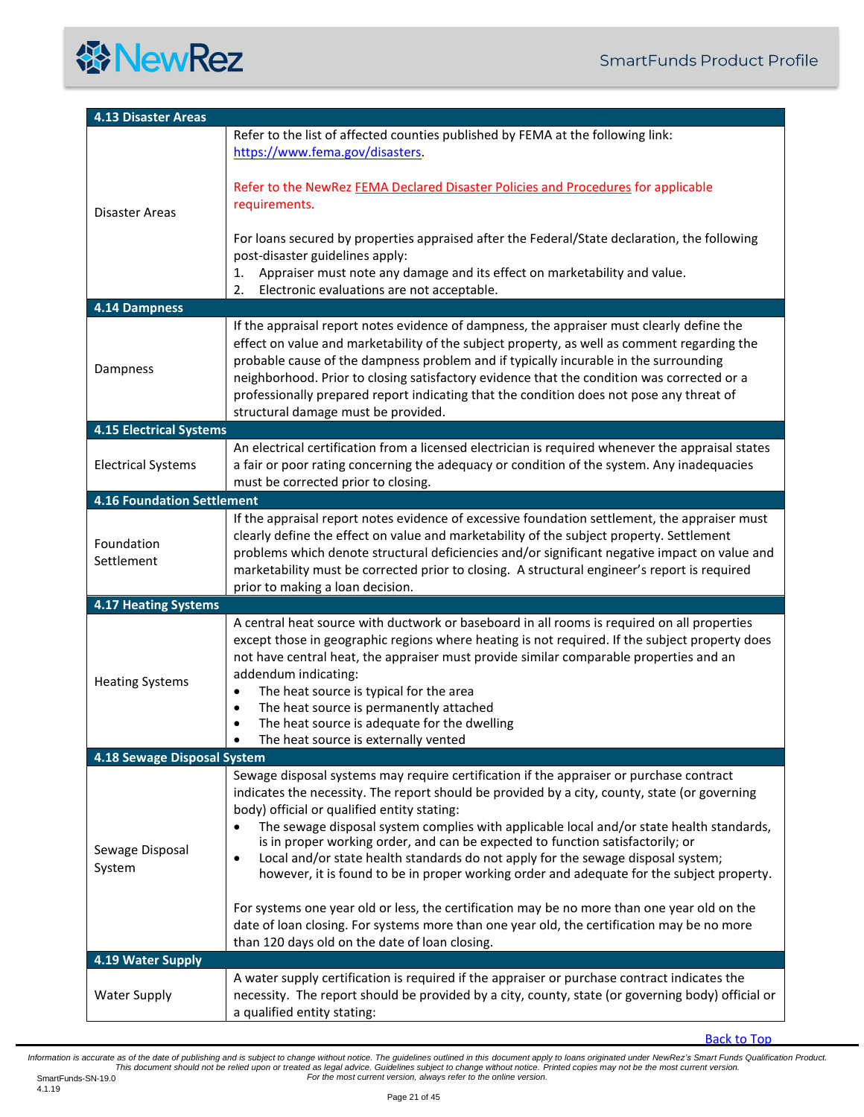<span id="page-20-6"></span><span id="page-20-5"></span><span id="page-20-4"></span><span id="page-20-3"></span><span id="page-20-2"></span><span id="page-20-1"></span><span id="page-20-0"></span>

| <b>4.13 Disaster Areas</b>        |                                                                                                                                                                                                                                                                                                                                                                                                                                                                                                                                                                                                                                  |
|-----------------------------------|----------------------------------------------------------------------------------------------------------------------------------------------------------------------------------------------------------------------------------------------------------------------------------------------------------------------------------------------------------------------------------------------------------------------------------------------------------------------------------------------------------------------------------------------------------------------------------------------------------------------------------|
|                                   | Refer to the list of affected counties published by FEMA at the following link:<br>https://www.fema.gov/disasters.                                                                                                                                                                                                                                                                                                                                                                                                                                                                                                               |
| Disaster Areas                    | Refer to the NewRez FEMA Declared Disaster Policies and Procedures for applicable<br>requirements.                                                                                                                                                                                                                                                                                                                                                                                                                                                                                                                               |
|                                   | For loans secured by properties appraised after the Federal/State declaration, the following<br>post-disaster guidelines apply:<br>Appraiser must note any damage and its effect on marketability and value.<br>1.                                                                                                                                                                                                                                                                                                                                                                                                               |
|                                   | 2.<br>Electronic evaluations are not acceptable.                                                                                                                                                                                                                                                                                                                                                                                                                                                                                                                                                                                 |
| 4.14 Dampness                     | If the appraisal report notes evidence of dampness, the appraiser must clearly define the                                                                                                                                                                                                                                                                                                                                                                                                                                                                                                                                        |
| Dampness                          | effect on value and marketability of the subject property, as well as comment regarding the<br>probable cause of the dampness problem and if typically incurable in the surrounding<br>neighborhood. Prior to closing satisfactory evidence that the condition was corrected or a<br>professionally prepared report indicating that the condition does not pose any threat of<br>structural damage must be provided.                                                                                                                                                                                                             |
| <b>4.15 Electrical Systems</b>    |                                                                                                                                                                                                                                                                                                                                                                                                                                                                                                                                                                                                                                  |
| <b>Electrical Systems</b>         | An electrical certification from a licensed electrician is required whenever the appraisal states<br>a fair or poor rating concerning the adequacy or condition of the system. Any inadequacies<br>must be corrected prior to closing.                                                                                                                                                                                                                                                                                                                                                                                           |
| <b>4.16 Foundation Settlement</b> |                                                                                                                                                                                                                                                                                                                                                                                                                                                                                                                                                                                                                                  |
| Foundation<br>Settlement          | If the appraisal report notes evidence of excessive foundation settlement, the appraiser must<br>clearly define the effect on value and marketability of the subject property. Settlement<br>problems which denote structural deficiencies and/or significant negative impact on value and<br>marketability must be corrected prior to closing. A structural engineer's report is required<br>prior to making a loan decision.                                                                                                                                                                                                   |
| <b>4.17 Heating Systems</b>       |                                                                                                                                                                                                                                                                                                                                                                                                                                                                                                                                                                                                                                  |
| <b>Heating Systems</b>            | A central heat source with ductwork or baseboard in all rooms is required on all properties<br>except those in geographic regions where heating is not required. If the subject property does<br>not have central heat, the appraiser must provide similar comparable properties and an<br>addendum indicating:<br>The heat source is typical for the area<br>$\bullet$<br>The heat source is permanently attached<br>$\bullet$<br>The heat source is adequate for the dwelling<br>$\bullet$<br>The heat source is externally vented                                                                                             |
| 4.18 Sewage Disposal System       |                                                                                                                                                                                                                                                                                                                                                                                                                                                                                                                                                                                                                                  |
| Sewage Disposal<br>System         | Sewage disposal systems may require certification if the appraiser or purchase contract<br>indicates the necessity. The report should be provided by a city, county, state (or governing<br>body) official or qualified entity stating:<br>The sewage disposal system complies with applicable local and/or state health standards,<br>$\bullet$<br>is in proper working order, and can be expected to function satisfactorily; or<br>Local and/or state health standards do not apply for the sewage disposal system;<br>$\bullet$<br>however, it is found to be in proper working order and adequate for the subject property. |
|                                   | For systems one year old or less, the certification may be no more than one year old on the<br>date of loan closing. For systems more than one year old, the certification may be no more<br>than 120 days old on the date of loan closing.                                                                                                                                                                                                                                                                                                                                                                                      |
| 4.19 Water Supply                 |                                                                                                                                                                                                                                                                                                                                                                                                                                                                                                                                                                                                                                  |
| <b>Water Supply</b>               | A water supply certification is required if the appraiser or purchase contract indicates the<br>necessity. The report should be provided by a city, county, state (or governing body) official or<br>a qualified entity stating:                                                                                                                                                                                                                                                                                                                                                                                                 |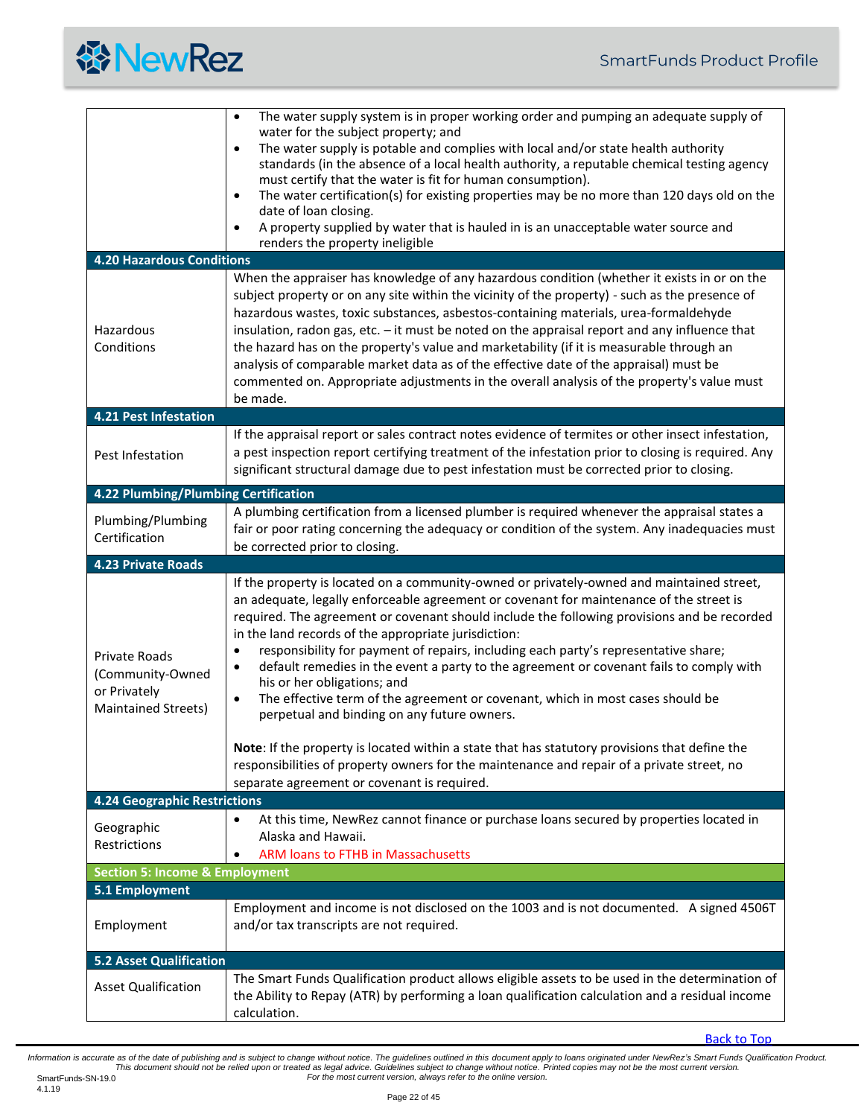

<span id="page-21-7"></span><span id="page-21-6"></span><span id="page-21-5"></span><span id="page-21-4"></span><span id="page-21-3"></span><span id="page-21-2"></span><span id="page-21-1"></span><span id="page-21-0"></span>

|                                           | The water supply system is in proper working order and pumping an adequate supply of<br>$\bullet$<br>water for the subject property; and                                                                                                                                                             |
|-------------------------------------------|------------------------------------------------------------------------------------------------------------------------------------------------------------------------------------------------------------------------------------------------------------------------------------------------------|
|                                           | The water supply is potable and complies with local and/or state health authority<br>$\bullet$                                                                                                                                                                                                       |
|                                           | standards (in the absence of a local health authority, a reputable chemical testing agency<br>must certify that the water is fit for human consumption).                                                                                                                                             |
|                                           | The water certification(s) for existing properties may be no more than 120 days old on the<br>$\bullet$                                                                                                                                                                                              |
|                                           | date of loan closing.                                                                                                                                                                                                                                                                                |
|                                           | A property supplied by water that is hauled in is an unacceptable water source and<br>٠<br>renders the property ineligible                                                                                                                                                                           |
| <b>4.20 Hazardous Conditions</b>          |                                                                                                                                                                                                                                                                                                      |
|                                           | When the appraiser has knowledge of any hazardous condition (whether it exists in or on the                                                                                                                                                                                                          |
|                                           | subject property or on any site within the vicinity of the property) - such as the presence of                                                                                                                                                                                                       |
|                                           | hazardous wastes, toxic substances, asbestos-containing materials, urea-formaldehyde                                                                                                                                                                                                                 |
| Hazardous<br>Conditions                   | insulation, radon gas, etc. - it must be noted on the appraisal report and any influence that<br>the hazard has on the property's value and marketability (if it is measurable through an                                                                                                            |
|                                           | analysis of comparable market data as of the effective date of the appraisal) must be                                                                                                                                                                                                                |
|                                           | commented on. Appropriate adjustments in the overall analysis of the property's value must                                                                                                                                                                                                           |
|                                           | be made.                                                                                                                                                                                                                                                                                             |
| <b>4.21 Pest Infestation</b>              |                                                                                                                                                                                                                                                                                                      |
| Pest Infestation                          | If the appraisal report or sales contract notes evidence of termites or other insect infestation,<br>a pest inspection report certifying treatment of the infestation prior to closing is required. Any<br>significant structural damage due to pest infestation must be corrected prior to closing. |
| 4.22 Plumbing/Plumbing Certification      |                                                                                                                                                                                                                                                                                                      |
| Plumbing/Plumbing                         | A plumbing certification from a licensed plumber is required whenever the appraisal states a<br>fair or poor rating concerning the adequacy or condition of the system. Any inadequacies must                                                                                                        |
| Certification                             | be corrected prior to closing.                                                                                                                                                                                                                                                                       |
| <b>4.23 Private Roads</b>                 |                                                                                                                                                                                                                                                                                                      |
|                                           | If the property is located on a community-owned or privately-owned and maintained street,                                                                                                                                                                                                            |
|                                           | an adequate, legally enforceable agreement or covenant for maintenance of the street is<br>required. The agreement or covenant should include the following provisions and be recorded                                                                                                               |
|                                           | in the land records of the appropriate jurisdiction:                                                                                                                                                                                                                                                 |
| Private Roads                             | responsibility for payment of repairs, including each party's representative share;<br>$\bullet$                                                                                                                                                                                                     |
| (Community-Owned                          | default remedies in the event a party to the agreement or covenant fails to comply with<br>$\bullet$                                                                                                                                                                                                 |
| or Privately                              | his or her obligations; and<br>The effective term of the agreement or covenant, which in most cases should be<br>$\bullet$                                                                                                                                                                           |
| <b>Maintained Streets)</b>                | perpetual and binding on any future owners.                                                                                                                                                                                                                                                          |
|                                           |                                                                                                                                                                                                                                                                                                      |
|                                           | Note: If the property is located within a state that has statutory provisions that define the<br>responsibilities of property owners for the maintenance and repair of a private street, no                                                                                                          |
|                                           | separate agreement or covenant is required.                                                                                                                                                                                                                                                          |
| <b>4.24 Geographic Restrictions</b>       |                                                                                                                                                                                                                                                                                                      |
| Geographic                                | At this time, NewRez cannot finance or purchase loans secured by properties located in<br>$\bullet$                                                                                                                                                                                                  |
| Restrictions                              | Alaska and Hawaii.                                                                                                                                                                                                                                                                                   |
| <b>Section 5: Income &amp; Employment</b> | <b>ARM loans to FTHB in Massachusetts</b><br>٠                                                                                                                                                                                                                                                       |
| 5.1 Employment                            |                                                                                                                                                                                                                                                                                                      |
|                                           | Employment and income is not disclosed on the 1003 and is not documented. A signed 4506T                                                                                                                                                                                                             |
| Employment                                | and/or tax transcripts are not required.                                                                                                                                                                                                                                                             |
| <b>5.2 Asset Qualification</b>            |                                                                                                                                                                                                                                                                                                      |
| <b>Asset Qualification</b>                | The Smart Funds Qualification product allows eligible assets to be used in the determination of                                                                                                                                                                                                      |
|                                           | the Ability to Repay (ATR) by performing a loan qualification calculation and a residual income<br>calculation.                                                                                                                                                                                      |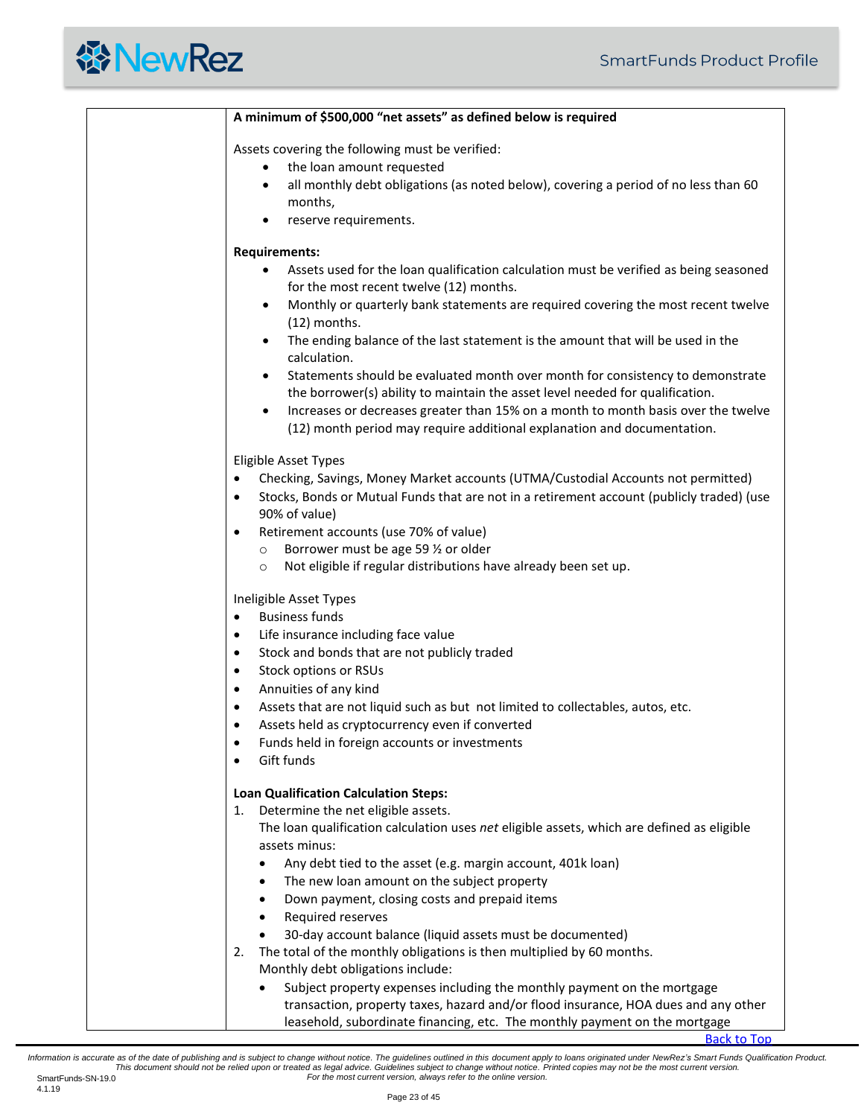|           | A minimum of \$500,000 "net assets" as defined below is required                                   |
|-----------|----------------------------------------------------------------------------------------------------|
|           | Assets covering the following must be verified:                                                    |
|           | the loan amount requested<br>$\bullet$                                                             |
|           | all monthly debt obligations (as noted below), covering a period of no less than 60<br>$\bullet$   |
|           | months,                                                                                            |
|           | reserve requirements.<br>$\bullet$                                                                 |
|           | <b>Requirements:</b>                                                                               |
|           | Assets used for the loan qualification calculation must be verified as being seasoned<br>$\bullet$ |
|           | for the most recent twelve (12) months.                                                            |
|           | Monthly or quarterly bank statements are required covering the most recent twelve<br>$\bullet$     |
|           | (12) months.                                                                                       |
|           | The ending balance of the last statement is the amount that will be used in the<br>$\bullet$       |
|           | calculation.                                                                                       |
|           | Statements should be evaluated month over month for consistency to demonstrate<br>٠                |
|           | the borrower(s) ability to maintain the asset level needed for qualification.                      |
|           | Increases or decreases greater than 15% on a month to month basis over the twelve<br>$\bullet$     |
|           | (12) month period may require additional explanation and documentation.                            |
|           | <b>Eligible Asset Types</b>                                                                        |
| $\bullet$ | Checking, Savings, Money Market accounts (UTMA/Custodial Accounts not permitted)                   |
| ٠         | Stocks, Bonds or Mutual Funds that are not in a retirement account (publicly traded) (use          |
|           | 90% of value)                                                                                      |
| ٠         | Retirement accounts (use 70% of value)                                                             |
|           | Borrower must be age 59 % or older<br>$\circ$                                                      |
|           | Not eligible if regular distributions have already been set up.<br>$\circ$                         |
|           | Ineligible Asset Types                                                                             |
| $\bullet$ | <b>Business funds</b>                                                                              |
| ٠         | Life insurance including face value                                                                |
| ٠         | Stock and bonds that are not publicly traded                                                       |
| ٠         | Stock options or RSUs                                                                              |
| ٠         | Annuities of any kind                                                                              |
| ٠         | Assets that are not liquid such as but not limited to collectables, autos, etc.                    |
|           | Assets held as cryptocurrency even if converted                                                    |
| ٠         | Funds held in foreign accounts or investments                                                      |
|           | Gift funds                                                                                         |
|           | <b>Loan Qualification Calculation Steps:</b>                                                       |
| 1.        | Determine the net eligible assets.                                                                 |
|           | The loan qualification calculation uses net eligible assets, which are defined as eligible         |
|           | assets minus:                                                                                      |
|           | Any debt tied to the asset (e.g. margin account, 401k loan)<br>$\bullet$                           |
|           | The new loan amount on the subject property<br>$\bullet$                                           |
|           | Down payment, closing costs and prepaid items<br>$\bullet$                                         |
|           | Required reserves<br>$\bullet$                                                                     |
|           | 30-day account balance (liquid assets must be documented)<br>$\bullet$                             |
| 2.        | The total of the monthly obligations is then multiplied by 60 months.                              |
|           | Monthly debt obligations include:                                                                  |
|           | Subject property expenses including the monthly payment on the mortgage<br>٠                       |
|           | transaction, property taxes, hazard and/or flood insurance, HOA dues and any other                 |
|           | leasehold, subordinate financing, etc. The monthly payment on the mortgage                         |

[Back to Top](#page-0-0)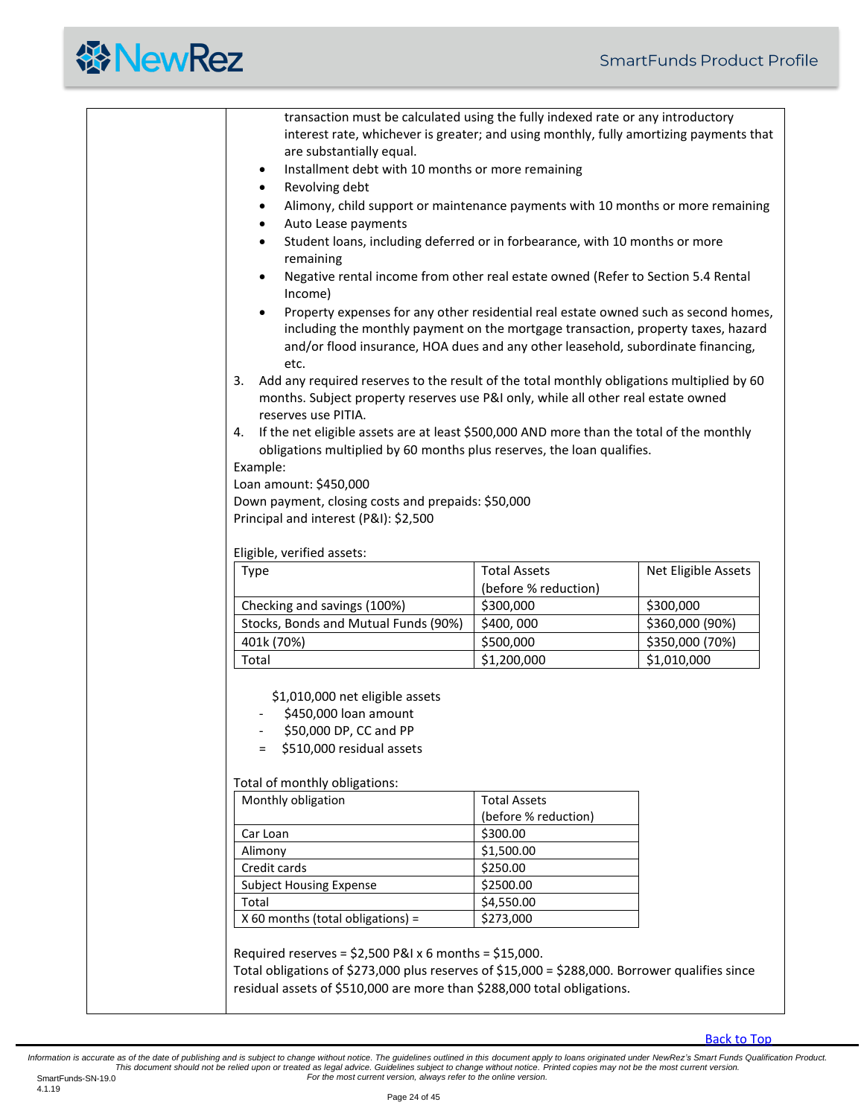|                                                                                                 | transaction must be calculated using the fully indexed rate or any introductory |                     |  |  |  |  |
|-------------------------------------------------------------------------------------------------|---------------------------------------------------------------------------------|---------------------|--|--|--|--|
| interest rate, whichever is greater; and using monthly, fully amortizing payments that          |                                                                                 |                     |  |  |  |  |
| are substantially equal.                                                                        |                                                                                 |                     |  |  |  |  |
| Installment debt with 10 months or more remaining<br>٠                                          |                                                                                 |                     |  |  |  |  |
| Revolving debt<br>$\bullet$                                                                     |                                                                                 |                     |  |  |  |  |
| Alimony, child support or maintenance payments with 10 months or more remaining                 |                                                                                 |                     |  |  |  |  |
| Auto Lease payments<br>٠                                                                        |                                                                                 |                     |  |  |  |  |
| Student loans, including deferred or in forbearance, with 10 months or more<br>٠                |                                                                                 |                     |  |  |  |  |
| remaining                                                                                       |                                                                                 |                     |  |  |  |  |
| Negative rental income from other real estate owned (Refer to Section 5.4 Rental<br>Income)     |                                                                                 |                     |  |  |  |  |
| Property expenses for any other residential real estate owned such as second homes,             |                                                                                 |                     |  |  |  |  |
| including the monthly payment on the mortgage transaction, property taxes, hazard               |                                                                                 |                     |  |  |  |  |
| and/or flood insurance, HOA dues and any other leasehold, subordinate financing,                |                                                                                 |                     |  |  |  |  |
| etc.                                                                                            |                                                                                 |                     |  |  |  |  |
| Add any required reserves to the result of the total monthly obligations multiplied by 60<br>3. |                                                                                 |                     |  |  |  |  |
| months. Subject property reserves use P&I only, while all other real estate owned               |                                                                                 |                     |  |  |  |  |
| reserves use PITIA.                                                                             |                                                                                 |                     |  |  |  |  |
| If the net eligible assets are at least \$500,000 AND more than the total of the monthly<br>4.  |                                                                                 |                     |  |  |  |  |
| obligations multiplied by 60 months plus reserves, the loan qualifies.                          |                                                                                 |                     |  |  |  |  |
| Example:                                                                                        |                                                                                 |                     |  |  |  |  |
| Loan amount: \$450,000                                                                          |                                                                                 |                     |  |  |  |  |
| Down payment, closing costs and prepaids: \$50,000                                              |                                                                                 |                     |  |  |  |  |
| Principal and interest (P&I): \$2,500                                                           |                                                                                 |                     |  |  |  |  |
|                                                                                                 |                                                                                 |                     |  |  |  |  |
|                                                                                                 | Eligible, verified assets:                                                      |                     |  |  |  |  |
|                                                                                                 |                                                                                 |                     |  |  |  |  |
| Type                                                                                            | <b>Total Assets</b>                                                             | Net Eligible Assets |  |  |  |  |
|                                                                                                 | (before % reduction)                                                            |                     |  |  |  |  |
| Checking and savings (100%)                                                                     | \$300,000                                                                       | \$300,000           |  |  |  |  |
| Stocks, Bonds and Mutual Funds (90%)                                                            | \$400,000                                                                       | \$360,000 (90%)     |  |  |  |  |
| 401k (70%)                                                                                      | \$500,000                                                                       | \$350,000 (70%)     |  |  |  |  |
| Total                                                                                           | \$1,200,000                                                                     | \$1,010,000         |  |  |  |  |
|                                                                                                 |                                                                                 |                     |  |  |  |  |
| \$1,010,000 net eligible assets                                                                 |                                                                                 |                     |  |  |  |  |
| \$450,000 loan amount                                                                           |                                                                                 |                     |  |  |  |  |
| \$50,000 DP, CC and PP                                                                          |                                                                                 |                     |  |  |  |  |
| \$510,000 residual assets                                                                       |                                                                                 |                     |  |  |  |  |
|                                                                                                 |                                                                                 |                     |  |  |  |  |
| Monthly obligation                                                                              | <b>Total Assets</b>                                                             |                     |  |  |  |  |
| Total of monthly obligations:                                                                   | (before % reduction)                                                            |                     |  |  |  |  |
| Car Loan                                                                                        | \$300.00                                                                        |                     |  |  |  |  |
| Alimony                                                                                         | \$1,500.00                                                                      |                     |  |  |  |  |
| Credit cards                                                                                    | \$250.00                                                                        |                     |  |  |  |  |
| <b>Subject Housing Expense</b>                                                                  | \$2500.00                                                                       |                     |  |  |  |  |
| Total                                                                                           | \$4,550.00                                                                      |                     |  |  |  |  |
| X 60 months (total obligations) =                                                               | \$273,000                                                                       |                     |  |  |  |  |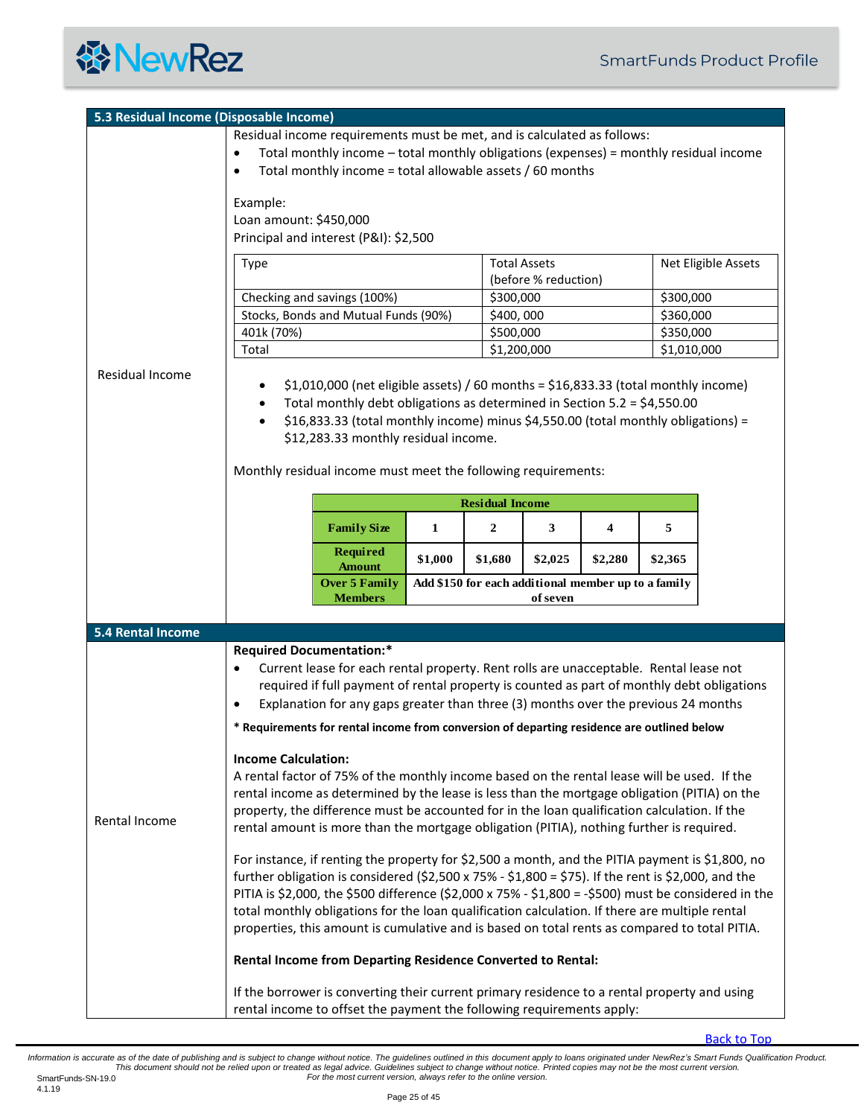<span id="page-24-1"></span><span id="page-24-0"></span>

|                          | 5.3 Residual Income (Disposable Income)                                                                                                                                                      |                                                                                                 |                          |                      |         |                          |                     |  |
|--------------------------|----------------------------------------------------------------------------------------------------------------------------------------------------------------------------------------------|-------------------------------------------------------------------------------------------------|--------------------------|----------------------|---------|--------------------------|---------------------|--|
|                          | Residual income requirements must be met, and is calculated as follows:                                                                                                                      |                                                                                                 |                          |                      |         |                          |                     |  |
|                          | Total monthly income - total monthly obligations (expenses) = monthly residual income<br>$\bullet$                                                                                           |                                                                                                 |                          |                      |         |                          |                     |  |
|                          | Total monthly income = total allowable assets / 60 months<br>$\bullet$                                                                                                                       |                                                                                                 |                          |                      |         |                          |                     |  |
|                          |                                                                                                                                                                                              |                                                                                                 |                          |                      |         |                          |                     |  |
|                          | Example:<br>Loan amount: \$450,000                                                                                                                                                           |                                                                                                 |                          |                      |         |                          |                     |  |
|                          | Principal and interest (P&I): \$2,500                                                                                                                                                        |                                                                                                 |                          |                      |         |                          |                     |  |
|                          |                                                                                                                                                                                              |                                                                                                 |                          |                      |         |                          |                     |  |
|                          | Type                                                                                                                                                                                         |                                                                                                 |                          | <b>Total Assets</b>  |         |                          | Net Eligible Assets |  |
|                          |                                                                                                                                                                                              |                                                                                                 |                          | (before % reduction) |         |                          |                     |  |
|                          | Checking and savings (100%)                                                                                                                                                                  |                                                                                                 |                          | \$300,000            |         | \$300,000                |                     |  |
|                          | Stocks, Bonds and Mutual Funds (90%)                                                                                                                                                         |                                                                                                 | \$400,000                |                      |         | \$360,000                |                     |  |
|                          | 401k (70%)<br>Total                                                                                                                                                                          |                                                                                                 | \$500,000<br>\$1,200,000 |                      |         | \$350,000<br>\$1,010,000 |                     |  |
|                          |                                                                                                                                                                                              |                                                                                                 |                          |                      |         |                          |                     |  |
| Residual Income          | $$1,010,000$ (net eligible assets) / 60 months = $$16,833.33$ (total monthly income)                                                                                                         |                                                                                                 |                          |                      |         |                          |                     |  |
|                          | Total monthly debt obligations as determined in Section 5.2 = \$4,550.00                                                                                                                     |                                                                                                 |                          |                      |         |                          |                     |  |
|                          | \$16,833.33 (total monthly income) minus \$4,550.00 (total monthly obligations) =<br>$\bullet$                                                                                               |                                                                                                 |                          |                      |         |                          |                     |  |
|                          | \$12,283.33 monthly residual income.                                                                                                                                                         |                                                                                                 |                          |                      |         |                          |                     |  |
|                          |                                                                                                                                                                                              |                                                                                                 |                          |                      |         |                          |                     |  |
|                          | Monthly residual income must meet the following requirements:                                                                                                                                |                                                                                                 |                          |                      |         |                          |                     |  |
|                          |                                                                                                                                                                                              |                                                                                                 | <b>Residual Income</b>   |                      |         |                          |                     |  |
|                          |                                                                                                                                                                                              |                                                                                                 |                          |                      |         |                          |                     |  |
|                          | <b>Family Size</b>                                                                                                                                                                           | 1                                                                                               | $\overline{2}$           | 3                    | 4       | 5                        |                     |  |
|                          | <b>Required</b>                                                                                                                                                                              | \$1,000                                                                                         | \$1,680                  | \$2,025              | \$2,280 | \$2,365                  |                     |  |
|                          | <b>Amount</b>                                                                                                                                                                                |                                                                                                 |                          |                      |         |                          |                     |  |
|                          | Add \$150 for each additional member up to a family<br><b>Over 5 Family</b><br><b>Members</b><br>of seven                                                                                    |                                                                                                 |                          |                      |         |                          |                     |  |
|                          |                                                                                                                                                                                              |                                                                                                 |                          |                      |         |                          |                     |  |
| <b>5.4 Rental Income</b> |                                                                                                                                                                                              |                                                                                                 |                          |                      |         |                          |                     |  |
|                          | <b>Required Documentation:*</b>                                                                                                                                                              |                                                                                                 |                          |                      |         |                          |                     |  |
|                          | Current lease for each rental property. Rent rolls are unacceptable. Rental lease not<br>$\bullet$                                                                                           |                                                                                                 |                          |                      |         |                          |                     |  |
|                          | required if full payment of rental property is counted as part of monthly debt obligations                                                                                                   |                                                                                                 |                          |                      |         |                          |                     |  |
|                          |                                                                                                                                                                                              | Explanation for any gaps greater than three (3) months over the previous 24 months<br>$\bullet$ |                          |                      |         |                          |                     |  |
|                          | * Requirements for rental income from conversion of departing residence are outlined below                                                                                                   |                                                                                                 |                          |                      |         |                          |                     |  |
|                          |                                                                                                                                                                                              |                                                                                                 |                          |                      |         |                          |                     |  |
|                          | <b>Income Calculation:</b><br>A rental factor of 75% of the monthly income based on the rental lease will be used. If the                                                                    |                                                                                                 |                          |                      |         |                          |                     |  |
|                          | rental income as determined by the lease is less than the mortgage obligation (PITIA) on the<br>property, the difference must be accounted for in the loan qualification calculation. If the |                                                                                                 |                          |                      |         |                          |                     |  |
|                          |                                                                                                                                                                                              |                                                                                                 |                          |                      |         |                          |                     |  |
| Rental Income            | rental amount is more than the mortgage obligation (PITIA), nothing further is required.                                                                                                     |                                                                                                 |                          |                      |         |                          |                     |  |
|                          |                                                                                                                                                                                              |                                                                                                 |                          |                      |         |                          |                     |  |
|                          | For instance, if renting the property for \$2,500 a month, and the PITIA payment is \$1,800, no                                                                                              |                                                                                                 |                          |                      |         |                          |                     |  |
|                          | further obligation is considered (\$2,500 x 75% - \$1,800 = \$75). If the rent is \$2,000, and the                                                                                           |                                                                                                 |                          |                      |         |                          |                     |  |
|                          | PITIA is \$2,000, the \$500 difference (\$2,000 x 75% - \$1,800 = -\$500) must be considered in the                                                                                          |                                                                                                 |                          |                      |         |                          |                     |  |
|                          | total monthly obligations for the loan qualification calculation. If there are multiple rental                                                                                               |                                                                                                 |                          |                      |         |                          |                     |  |
|                          | properties, this amount is cumulative and is based on total rents as compared to total PITIA.                                                                                                |                                                                                                 |                          |                      |         |                          |                     |  |
|                          | Rental Income from Departing Residence Converted to Rental:                                                                                                                                  |                                                                                                 |                          |                      |         |                          |                     |  |
|                          |                                                                                                                                                                                              |                                                                                                 |                          |                      |         |                          |                     |  |
|                          | If the borrower is converting their current primary residence to a rental property and using<br>rental income to offset the payment the following requirements apply:                        |                                                                                                 |                          |                      |         |                          |                     |  |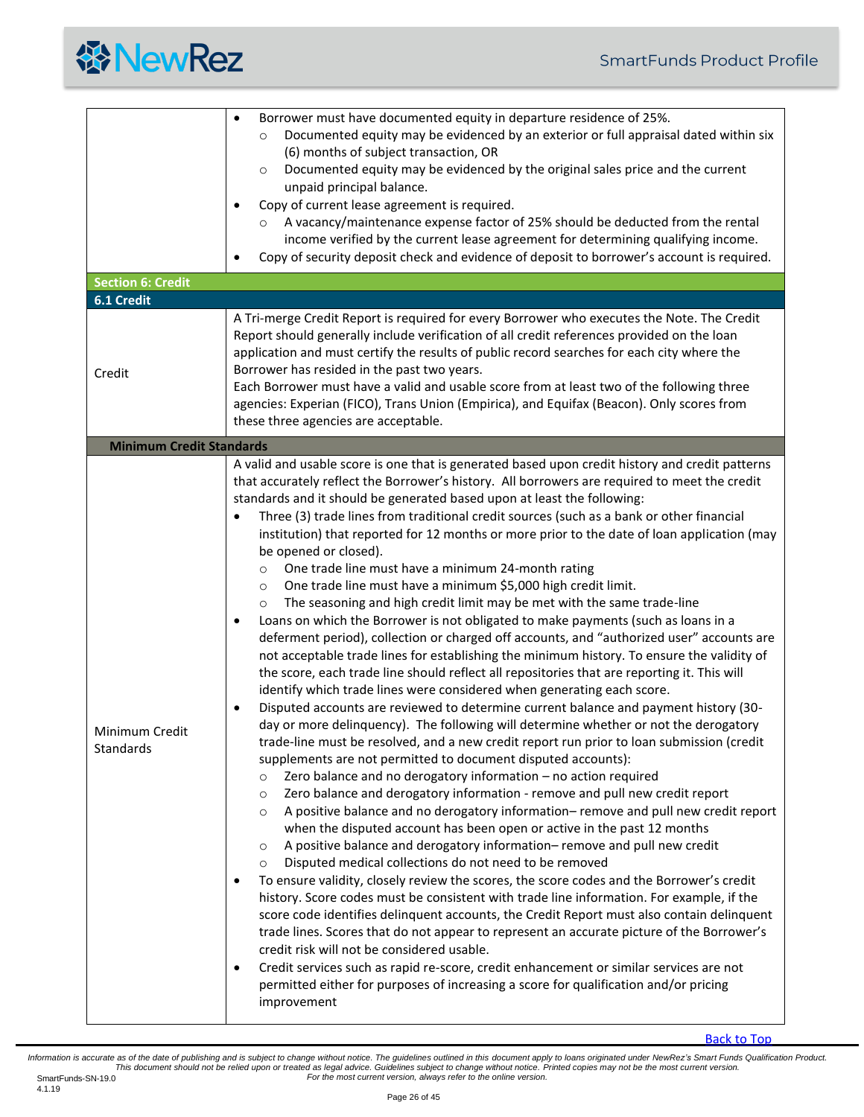

<span id="page-25-2"></span><span id="page-25-1"></span><span id="page-25-0"></span>

| <b>Section 6: Credit</b>        | Documented equity may be evidenced by an exterior or full appraisal dated within six<br>O<br>(6) months of subject transaction, OR<br>Documented equity may be evidenced by the original sales price and the current<br>$\circ$<br>unpaid principal balance.<br>Copy of current lease agreement is required.<br>٠<br>A vacancy/maintenance expense factor of 25% should be deducted from the rental<br>$\circ$<br>income verified by the current lease agreement for determining qualifying income.<br>Copy of security deposit check and evidence of deposit to borrower's account is required.<br>٠                                                                                                                                                                                                                                                                                                                                                                                                                                                                                                                                                                                                                                                                                                                                                                                                                                                                                                                                                                                                                                                                                                                                                                                                                                                                                                                                                                                                                                                                                                                                                                                                                                                                                                                                                                                                                                                                                                                                                                                                                                                                                                                          |
|---------------------------------|--------------------------------------------------------------------------------------------------------------------------------------------------------------------------------------------------------------------------------------------------------------------------------------------------------------------------------------------------------------------------------------------------------------------------------------------------------------------------------------------------------------------------------------------------------------------------------------------------------------------------------------------------------------------------------------------------------------------------------------------------------------------------------------------------------------------------------------------------------------------------------------------------------------------------------------------------------------------------------------------------------------------------------------------------------------------------------------------------------------------------------------------------------------------------------------------------------------------------------------------------------------------------------------------------------------------------------------------------------------------------------------------------------------------------------------------------------------------------------------------------------------------------------------------------------------------------------------------------------------------------------------------------------------------------------------------------------------------------------------------------------------------------------------------------------------------------------------------------------------------------------------------------------------------------------------------------------------------------------------------------------------------------------------------------------------------------------------------------------------------------------------------------------------------------------------------------------------------------------------------------------------------------------------------------------------------------------------------------------------------------------------------------------------------------------------------------------------------------------------------------------------------------------------------------------------------------------------------------------------------------------------------------------------------------------------------------------------------------------|
| 6.1 Credit                      |                                                                                                                                                                                                                                                                                                                                                                                                                                                                                                                                                                                                                                                                                                                                                                                                                                                                                                                                                                                                                                                                                                                                                                                                                                                                                                                                                                                                                                                                                                                                                                                                                                                                                                                                                                                                                                                                                                                                                                                                                                                                                                                                                                                                                                                                                                                                                                                                                                                                                                                                                                                                                                                                                                                                |
| Credit                          | A Tri-merge Credit Report is required for every Borrower who executes the Note. The Credit<br>Report should generally include verification of all credit references provided on the loan<br>application and must certify the results of public record searches for each city where the<br>Borrower has resided in the past two years.<br>Each Borrower must have a valid and usable score from at least two of the following three<br>agencies: Experian (FICO), Trans Union (Empirica), and Equifax (Beacon). Only scores from<br>these three agencies are acceptable.                                                                                                                                                                                                                                                                                                                                                                                                                                                                                                                                                                                                                                                                                                                                                                                                                                                                                                                                                                                                                                                                                                                                                                                                                                                                                                                                                                                                                                                                                                                                                                                                                                                                                                                                                                                                                                                                                                                                                                                                                                                                                                                                                        |
| <b>Minimum Credit Standards</b> |                                                                                                                                                                                                                                                                                                                                                                                                                                                                                                                                                                                                                                                                                                                                                                                                                                                                                                                                                                                                                                                                                                                                                                                                                                                                                                                                                                                                                                                                                                                                                                                                                                                                                                                                                                                                                                                                                                                                                                                                                                                                                                                                                                                                                                                                                                                                                                                                                                                                                                                                                                                                                                                                                                                                |
| Minimum Credit<br>Standards     | A valid and usable score is one that is generated based upon credit history and credit patterns<br>that accurately reflect the Borrower's history. All borrowers are required to meet the credit<br>standards and it should be generated based upon at least the following:<br>Three (3) trade lines from traditional credit sources (such as a bank or other financial<br>institution) that reported for 12 months or more prior to the date of loan application (may<br>be opened or closed).<br>One trade line must have a minimum 24-month rating<br>$\circ$<br>One trade line must have a minimum \$5,000 high credit limit.<br>$\circ$<br>The seasoning and high credit limit may be met with the same trade-line<br>$\circ$<br>Loans on which the Borrower is not obligated to make payments (such as loans in a<br>٠<br>deferment period), collection or charged off accounts, and "authorized user" accounts are<br>not acceptable trade lines for establishing the minimum history. To ensure the validity of<br>the score, each trade line should reflect all repositories that are reporting it. This will<br>identify which trade lines were considered when generating each score.<br>Disputed accounts are reviewed to determine current balance and payment history (30-<br>$\bullet$<br>day or more delinquency). The following will determine whether or not the derogatory<br>trade-line must be resolved, and a new credit report run prior to loan submission (credit<br>supplements are not permitted to document disputed accounts):<br>Zero balance and no derogatory information - no action required<br>$\circ$<br>Zero balance and derogatory information - remove and pull new credit report<br>$\circ$<br>A positive balance and no derogatory information-remove and pull new credit report<br>$\circ$<br>when the disputed account has been open or active in the past 12 months<br>A positive balance and derogatory information-remove and pull new credit<br>$\circ$<br>Disputed medical collections do not need to be removed<br>$\circ$<br>To ensure validity, closely review the scores, the score codes and the Borrower's credit<br>٠<br>history. Score codes must be consistent with trade line information. For example, if the<br>score code identifies delinquent accounts, the Credit Report must also contain delinquent<br>trade lines. Scores that do not appear to represent an accurate picture of the Borrower's<br>credit risk will not be considered usable.<br>Credit services such as rapid re-score, credit enhancement or similar services are not<br>$\bullet$<br>permitted either for purposes of increasing a score for qualification and/or pricing<br>improvement |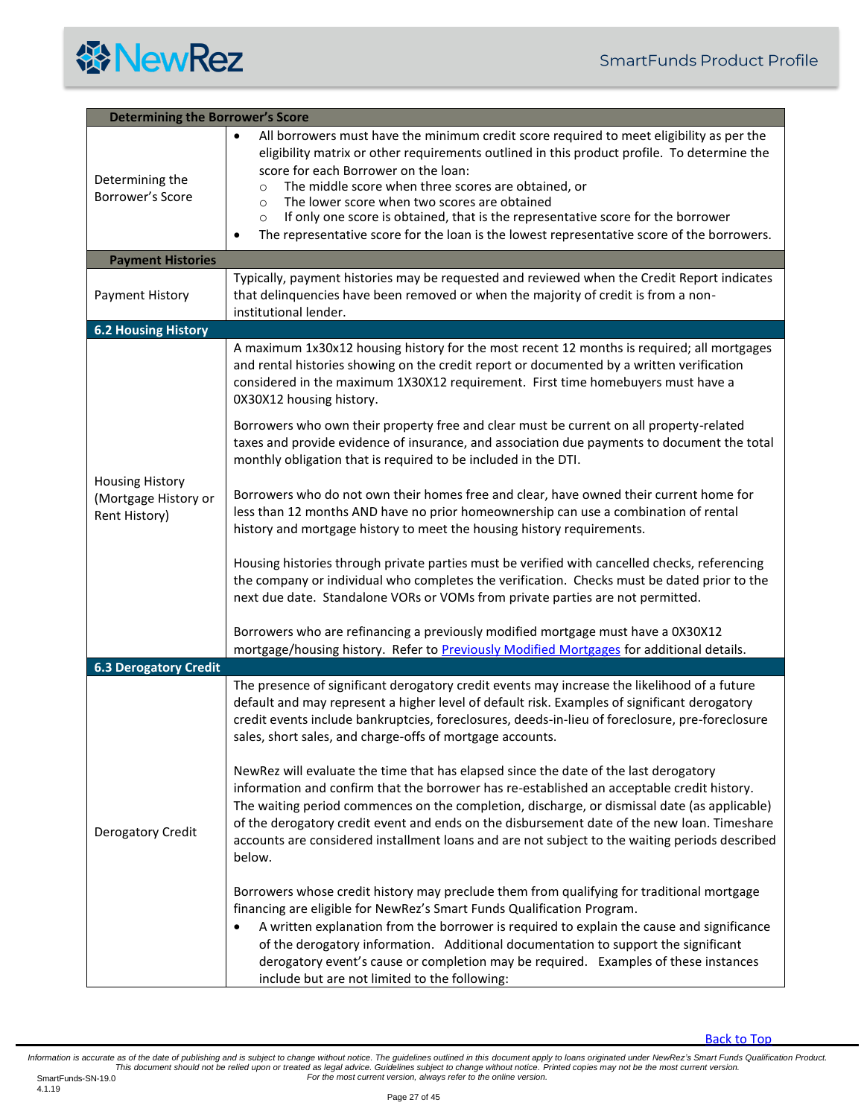<span id="page-26-3"></span><span id="page-26-2"></span><span id="page-26-1"></span><span id="page-26-0"></span>

| <b>Determining the Borrower's Score</b>                         |                                                                                                                                                                                                                                                                                                                                                                                                                                                                                                                                                                                                                                                                                                                                                                                                                                                                                                                                                                                                                                                                                                                                                                                                                                                                                                                                                                 |  |
|-----------------------------------------------------------------|-----------------------------------------------------------------------------------------------------------------------------------------------------------------------------------------------------------------------------------------------------------------------------------------------------------------------------------------------------------------------------------------------------------------------------------------------------------------------------------------------------------------------------------------------------------------------------------------------------------------------------------------------------------------------------------------------------------------------------------------------------------------------------------------------------------------------------------------------------------------------------------------------------------------------------------------------------------------------------------------------------------------------------------------------------------------------------------------------------------------------------------------------------------------------------------------------------------------------------------------------------------------------------------------------------------------------------------------------------------------|--|
| Determining the<br>Borrower's Score                             | All borrowers must have the minimum credit score required to meet eligibility as per the<br>$\bullet$<br>eligibility matrix or other requirements outlined in this product profile. To determine the<br>score for each Borrower on the loan:<br>The middle score when three scores are obtained, or<br>$\circ$<br>The lower score when two scores are obtained<br>$\circ$<br>If only one score is obtained, that is the representative score for the borrower<br>$\circ$<br>The representative score for the loan is the lowest representative score of the borrowers.<br>٠                                                                                                                                                                                                                                                                                                                                                                                                                                                                                                                                                                                                                                                                                                                                                                                     |  |
| <b>Payment Histories</b>                                        |                                                                                                                                                                                                                                                                                                                                                                                                                                                                                                                                                                                                                                                                                                                                                                                                                                                                                                                                                                                                                                                                                                                                                                                                                                                                                                                                                                 |  |
| Payment History                                                 | Typically, payment histories may be requested and reviewed when the Credit Report indicates<br>that delinquencies have been removed or when the majority of credit is from a non-<br>institutional lender.                                                                                                                                                                                                                                                                                                                                                                                                                                                                                                                                                                                                                                                                                                                                                                                                                                                                                                                                                                                                                                                                                                                                                      |  |
| <b>6.2 Housing History</b>                                      |                                                                                                                                                                                                                                                                                                                                                                                                                                                                                                                                                                                                                                                                                                                                                                                                                                                                                                                                                                                                                                                                                                                                                                                                                                                                                                                                                                 |  |
| <b>Housing History</b><br>(Mortgage History or<br>Rent History) | A maximum 1x30x12 housing history for the most recent 12 months is required; all mortgages<br>and rental histories showing on the credit report or documented by a written verification<br>considered in the maximum 1X30X12 requirement. First time homebuyers must have a<br>0X30X12 housing history.<br>Borrowers who own their property free and clear must be current on all property-related<br>taxes and provide evidence of insurance, and association due payments to document the total<br>monthly obligation that is required to be included in the DTI.<br>Borrowers who do not own their homes free and clear, have owned their current home for<br>less than 12 months AND have no prior homeownership can use a combination of rental<br>history and mortgage history to meet the housing history requirements.<br>Housing histories through private parties must be verified with cancelled checks, referencing<br>the company or individual who completes the verification. Checks must be dated prior to the<br>next due date. Standalone VORs or VOMs from private parties are not permitted.                                                                                                                                                                                                                                                |  |
|                                                                 | Borrowers who are refinancing a previously modified mortgage must have a 0X30X12<br>mortgage/housing history. Refer to Previously Modified Mortgages for additional details.                                                                                                                                                                                                                                                                                                                                                                                                                                                                                                                                                                                                                                                                                                                                                                                                                                                                                                                                                                                                                                                                                                                                                                                    |  |
| <b>6.3 Derogatory Credit</b>                                    |                                                                                                                                                                                                                                                                                                                                                                                                                                                                                                                                                                                                                                                                                                                                                                                                                                                                                                                                                                                                                                                                                                                                                                                                                                                                                                                                                                 |  |
| Derogatory Credit                                               | The presence of significant derogatory credit events may increase the likelihood of a future<br>default and may represent a higher level of default risk. Examples of significant derogatory<br>credit events include bankruptcies, foreclosures, deeds-in-lieu of foreclosure, pre-foreclosure<br>sales, short sales, and charge-offs of mortgage accounts.<br>NewRez will evaluate the time that has elapsed since the date of the last derogatory<br>information and confirm that the borrower has re-established an acceptable credit history.<br>The waiting period commences on the completion, discharge, or dismissal date (as applicable)<br>of the derogatory credit event and ends on the disbursement date of the new loan. Timeshare<br>accounts are considered installment loans and are not subject to the waiting periods described<br>below.<br>Borrowers whose credit history may preclude them from qualifying for traditional mortgage<br>financing are eligible for NewRez's Smart Funds Qualification Program.<br>A written explanation from the borrower is required to explain the cause and significance<br>of the derogatory information. Additional documentation to support the significant<br>derogatory event's cause or completion may be required. Examples of these instances<br>include but are not limited to the following: |  |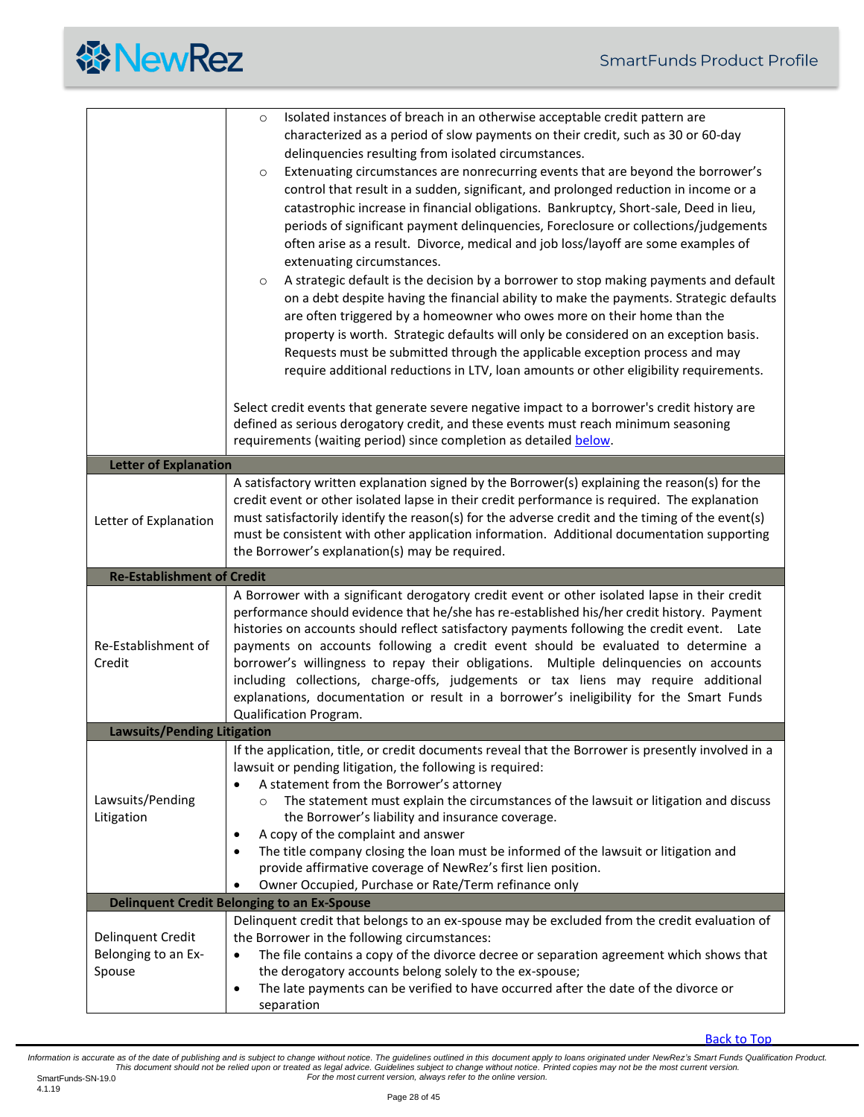

<span id="page-27-3"></span><span id="page-27-2"></span><span id="page-27-1"></span><span id="page-27-0"></span>

|                                    | Isolated instances of breach in an otherwise acceptable credit pattern are<br>$\circ$                                 |
|------------------------------------|-----------------------------------------------------------------------------------------------------------------------|
|                                    | characterized as a period of slow payments on their credit, such as 30 or 60-day                                      |
|                                    | delinquencies resulting from isolated circumstances.                                                                  |
|                                    | Extenuating circumstances are nonrecurring events that are beyond the borrower's<br>$\circ$                           |
|                                    | control that result in a sudden, significant, and prolonged reduction in income or a                                  |
|                                    | catastrophic increase in financial obligations. Bankruptcy, Short-sale, Deed in lieu,                                 |
|                                    |                                                                                                                       |
|                                    | periods of significant payment delinquencies, Foreclosure or collections/judgements                                   |
|                                    | often arise as a result. Divorce, medical and job loss/layoff are some examples of                                    |
|                                    | extenuating circumstances.                                                                                            |
|                                    | A strategic default is the decision by a borrower to stop making payments and default<br>$\circ$                      |
|                                    | on a debt despite having the financial ability to make the payments. Strategic defaults                               |
|                                    | are often triggered by a homeowner who owes more on their home than the                                               |
|                                    | property is worth. Strategic defaults will only be considered on an exception basis.                                  |
|                                    | Requests must be submitted through the applicable exception process and may                                           |
|                                    | require additional reductions in LTV, loan amounts or other eligibility requirements.                                 |
|                                    | Select credit events that generate severe negative impact to a borrower's credit history are                          |
|                                    | defined as serious derogatory credit, and these events must reach minimum seasoning                                   |
|                                    | requirements (waiting period) since completion as detailed below.                                                     |
| <b>Letter of Explanation</b>       |                                                                                                                       |
|                                    | A satisfactory written explanation signed by the Borrower(s) explaining the reason(s) for the                         |
|                                    | credit event or other isolated lapse in their credit performance is required. The explanation                         |
| Letter of Explanation              | must satisfactorily identify the reason(s) for the adverse credit and the timing of the event(s)                      |
|                                    | must be consistent with other application information. Additional documentation supporting                            |
|                                    | the Borrower's explanation(s) may be required.                                                                        |
|                                    |                                                                                                                       |
| <b>Re-Establishment of Credit</b>  |                                                                                                                       |
|                                    | A Borrower with a significant derogatory credit event or other isolated lapse in their credit                         |
|                                    | performance should evidence that he/she has re-established his/her credit history. Payment                            |
|                                    | histories on accounts should reflect satisfactory payments following the credit event. Late                           |
| Re-Establishment of                | payments on accounts following a credit event should be evaluated to determine a                                      |
| Credit                             | borrower's willingness to repay their obligations. Multiple delinquencies on accounts                                 |
|                                    | including collections, charge-offs, judgements or tax liens may require additional                                    |
|                                    | explanations, documentation or result in a borrower's ineligibility for the Smart Funds                               |
|                                    | Qualification Program.                                                                                                |
| <b>Lawsuits/Pending Litigation</b> |                                                                                                                       |
|                                    | If the application, title, or credit documents reveal that the Borrower is presently involved in a                    |
|                                    | lawsuit or pending litigation, the following is required:                                                             |
|                                    | A statement from the Borrower's attorney                                                                              |
| Lawsuits/Pending                   | The statement must explain the circumstances of the lawsuit or litigation and discuss<br>$\Omega$                     |
| Litigation                         | the Borrower's liability and insurance coverage.                                                                      |
|                                    | A copy of the complaint and answer<br>٠                                                                               |
|                                    | The title company closing the loan must be informed of the lawsuit or litigation and<br>$\bullet$                     |
|                                    | provide affirmative coverage of NewRez's first lien position.<br>Owner Occupied, Purchase or Rate/Term refinance only |
|                                    | <b>Delinquent Credit Belonging to an Ex-Spouse</b>                                                                    |
|                                    | Delinquent credit that belongs to an ex-spouse may be excluded from the credit evaluation of                          |
| Delinquent Credit                  | the Borrower in the following circumstances:                                                                          |
| Belonging to an Ex-                | The file contains a copy of the divorce decree or separation agreement which shows that                               |
| Spouse                             | the derogatory accounts belong solely to the ex-spouse;                                                               |
|                                    | The late payments can be verified to have occurred after the date of the divorce or<br>$\bullet$                      |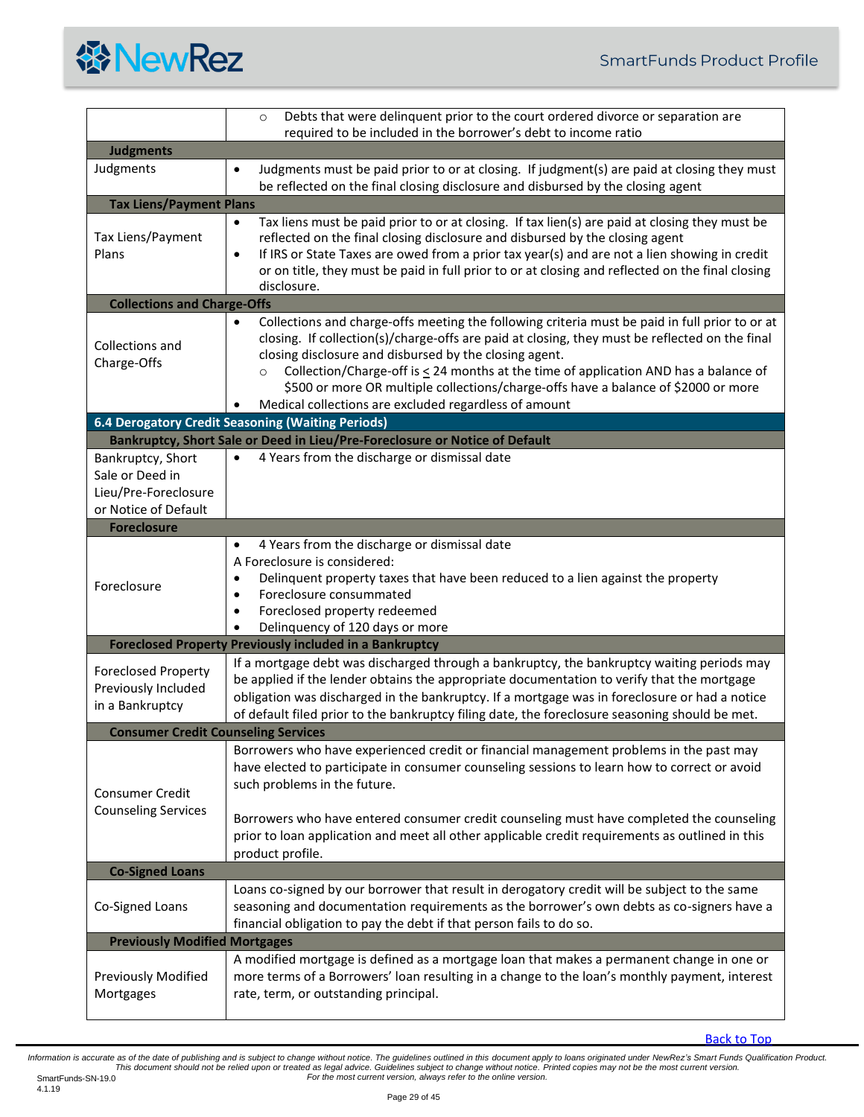

<span id="page-28-9"></span><span id="page-28-8"></span><span id="page-28-7"></span><span id="page-28-6"></span><span id="page-28-5"></span><span id="page-28-4"></span><span id="page-28-3"></span><span id="page-28-2"></span><span id="page-28-1"></span><span id="page-28-0"></span>

|                                                                                      | Debts that were delinquent prior to the court ordered divorce or separation are<br>$\circ$                                                                                                                                                                                                                                                                                                                                                                                                                                     |
|--------------------------------------------------------------------------------------|--------------------------------------------------------------------------------------------------------------------------------------------------------------------------------------------------------------------------------------------------------------------------------------------------------------------------------------------------------------------------------------------------------------------------------------------------------------------------------------------------------------------------------|
|                                                                                      | required to be included in the borrower's debt to income ratio                                                                                                                                                                                                                                                                                                                                                                                                                                                                 |
| <b>Judgments</b>                                                                     |                                                                                                                                                                                                                                                                                                                                                                                                                                                                                                                                |
| Judgments                                                                            | Judgments must be paid prior to or at closing. If judgment(s) are paid at closing they must<br>$\bullet$<br>be reflected on the final closing disclosure and disbursed by the closing agent                                                                                                                                                                                                                                                                                                                                    |
| <b>Tax Liens/Payment Plans</b>                                                       |                                                                                                                                                                                                                                                                                                                                                                                                                                                                                                                                |
| Tax Liens/Payment<br>Plans                                                           | Tax liens must be paid prior to or at closing. If tax lien(s) are paid at closing they must be<br>$\bullet$<br>reflected on the final closing disclosure and disbursed by the closing agent<br>If IRS or State Taxes are owed from a prior tax year(s) and are not a lien showing in credit<br>$\bullet$<br>or on title, they must be paid in full prior to or at closing and reflected on the final closing<br>disclosure.                                                                                                    |
| <b>Collections and Charge-Offs</b>                                                   |                                                                                                                                                                                                                                                                                                                                                                                                                                                                                                                                |
| Collections and<br>Charge-Offs                                                       | Collections and charge-offs meeting the following criteria must be paid in full prior to or at<br>$\bullet$<br>closing. If collection(s)/charge-offs are paid at closing, they must be reflected on the final<br>closing disclosure and disbursed by the closing agent.<br>Collection/Charge-off is $\leq$ 24 months at the time of application AND has a balance of<br>$\circ$<br>\$500 or more OR multiple collections/charge-offs have a balance of \$2000 or more<br>Medical collections are excluded regardless of amount |
|                                                                                      | <b>6.4 Derogatory Credit Seasoning (Waiting Periods)</b>                                                                                                                                                                                                                                                                                                                                                                                                                                                                       |
|                                                                                      | Bankruptcy, Short Sale or Deed in Lieu/Pre-Foreclosure or Notice of Default                                                                                                                                                                                                                                                                                                                                                                                                                                                    |
| Bankruptcy, Short<br>Sale or Deed in<br>Lieu/Pre-Foreclosure<br>or Notice of Default | 4 Years from the discharge or dismissal date<br>$\bullet$                                                                                                                                                                                                                                                                                                                                                                                                                                                                      |
| <b>Foreclosure</b>                                                                   |                                                                                                                                                                                                                                                                                                                                                                                                                                                                                                                                |
| Foreclosure                                                                          | 4 Years from the discharge or dismissal date<br>$\bullet$<br>A Foreclosure is considered:<br>Delinquent property taxes that have been reduced to a lien against the property<br>٠<br>Foreclosure consummated<br>$\bullet$<br>Foreclosed property redeemed<br>$\bullet$<br>Delinquency of 120 days or more<br>$\bullet$                                                                                                                                                                                                         |
|                                                                                      | <b>Foreclosed Property Previously included in a Bankruptcy</b>                                                                                                                                                                                                                                                                                                                                                                                                                                                                 |
| <b>Foreclosed Property</b><br>Previously Included<br>in a Bankruptcy                 | If a mortgage debt was discharged through a bankruptcy, the bankruptcy waiting periods may<br>be applied if the lender obtains the appropriate documentation to verify that the mortgage<br>obligation was discharged in the bankruptcy. If a mortgage was in foreclosure or had a notice<br>of default filed prior to the bankruptcy filing date, the foreclosure seasoning should be met.                                                                                                                                    |
| <b>Consumer Credit Counseling Services</b>                                           |                                                                                                                                                                                                                                                                                                                                                                                                                                                                                                                                |
| <b>Consumer Credit</b><br><b>Counseling Services</b>                                 | Borrowers who have experienced credit or financial management problems in the past may<br>have elected to participate in consumer counseling sessions to learn how to correct or avoid<br>such problems in the future.<br>Borrowers who have entered consumer credit counseling must have completed the counseling<br>prior to loan application and meet all other applicable credit requirements as outlined in this<br>product profile.                                                                                      |
| <b>Co-Signed Loans</b>                                                               |                                                                                                                                                                                                                                                                                                                                                                                                                                                                                                                                |
| Co-Signed Loans                                                                      | Loans co-signed by our borrower that result in derogatory credit will be subject to the same<br>seasoning and documentation requirements as the borrower's own debts as co-signers have a<br>financial obligation to pay the debt if that person fails to do so.                                                                                                                                                                                                                                                               |
| <b>Previously Modified Mortgages</b>                                                 |                                                                                                                                                                                                                                                                                                                                                                                                                                                                                                                                |
| <b>Previously Modified</b><br>Mortgages                                              | A modified mortgage is defined as a mortgage loan that makes a permanent change in one or<br>more terms of a Borrowers' loan resulting in a change to the loan's monthly payment, interest<br>rate, term, or outstanding principal.                                                                                                                                                                                                                                                                                            |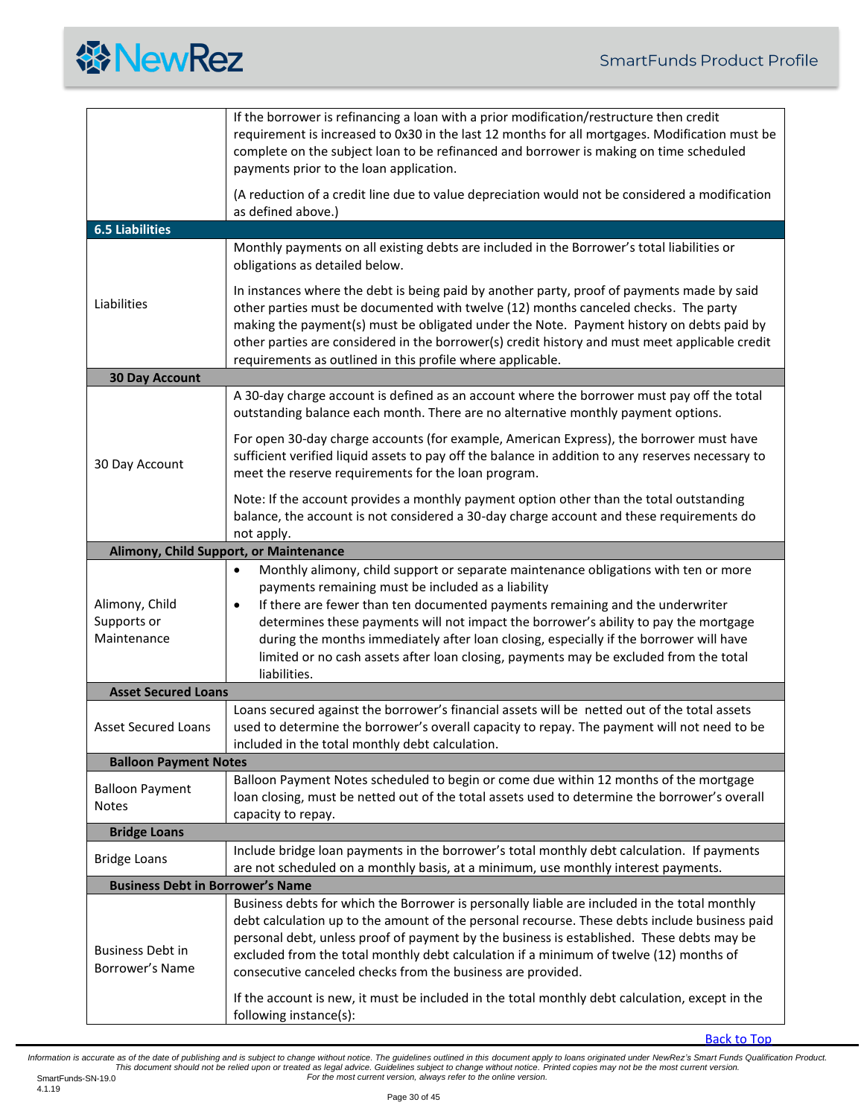<span id="page-29-4"></span><span id="page-29-3"></span><span id="page-29-2"></span><span id="page-29-1"></span><span id="page-29-0"></span>

|                                              | If the borrower is refinancing a loan with a prior modification/restructure then credit<br>requirement is increased to 0x30 in the last 12 months for all mortgages. Modification must be<br>complete on the subject loan to be refinanced and borrower is making on time scheduled<br>payments prior to the loan application.                                                                                                                                                                                                                  |  |
|----------------------------------------------|-------------------------------------------------------------------------------------------------------------------------------------------------------------------------------------------------------------------------------------------------------------------------------------------------------------------------------------------------------------------------------------------------------------------------------------------------------------------------------------------------------------------------------------------------|--|
|                                              | (A reduction of a credit line due to value depreciation would not be considered a modification<br>as defined above.)                                                                                                                                                                                                                                                                                                                                                                                                                            |  |
| <b>6.5 Liabilities</b>                       |                                                                                                                                                                                                                                                                                                                                                                                                                                                                                                                                                 |  |
|                                              | Monthly payments on all existing debts are included in the Borrower's total liabilities or<br>obligations as detailed below.                                                                                                                                                                                                                                                                                                                                                                                                                    |  |
| Liabilities                                  | In instances where the debt is being paid by another party, proof of payments made by said<br>other parties must be documented with twelve (12) months canceled checks. The party<br>making the payment(s) must be obligated under the Note. Payment history on debts paid by<br>other parties are considered in the borrower(s) credit history and must meet applicable credit<br>requirements as outlined in this profile where applicable.                                                                                                   |  |
| <b>30 Day Account</b>                        |                                                                                                                                                                                                                                                                                                                                                                                                                                                                                                                                                 |  |
|                                              | A 30-day charge account is defined as an account where the borrower must pay off the total<br>outstanding balance each month. There are no alternative monthly payment options.                                                                                                                                                                                                                                                                                                                                                                 |  |
| 30 Day Account                               | For open 30-day charge accounts (for example, American Express), the borrower must have<br>sufficient verified liquid assets to pay off the balance in addition to any reserves necessary to<br>meet the reserve requirements for the loan program.                                                                                                                                                                                                                                                                                             |  |
|                                              | Note: If the account provides a monthly payment option other than the total outstanding<br>balance, the account is not considered a 30-day charge account and these requirements do<br>not apply.                                                                                                                                                                                                                                                                                                                                               |  |
|                                              | Alimony, Child Support, or Maintenance                                                                                                                                                                                                                                                                                                                                                                                                                                                                                                          |  |
| Alimony, Child<br>Supports or<br>Maintenance | Monthly alimony, child support or separate maintenance obligations with ten or more<br>$\bullet$<br>payments remaining must be included as a liability<br>If there are fewer than ten documented payments remaining and the underwriter<br>$\bullet$<br>determines these payments will not impact the borrower's ability to pay the mortgage<br>during the months immediately after loan closing, especially if the borrower will have<br>limited or no cash assets after loan closing, payments may be excluded from the total<br>liabilities. |  |
| <b>Asset Secured Loans</b>                   |                                                                                                                                                                                                                                                                                                                                                                                                                                                                                                                                                 |  |
| <b>Asset Secured Loans</b>                   | Loans secured against the borrower's financial assets will be netted out of the total assets<br>used to determine the borrower's overall capacity to repay. The payment will not need to be<br>included in the total monthly debt calculation.                                                                                                                                                                                                                                                                                                  |  |
| <b>Balloon Payment Notes</b>                 |                                                                                                                                                                                                                                                                                                                                                                                                                                                                                                                                                 |  |
| <b>Balloon Payment</b><br><b>Notes</b>       | Balloon Payment Notes scheduled to begin or come due within 12 months of the mortgage<br>loan closing, must be netted out of the total assets used to determine the borrower's overall<br>capacity to repay.                                                                                                                                                                                                                                                                                                                                    |  |
| <b>Bridge Loans</b>                          |                                                                                                                                                                                                                                                                                                                                                                                                                                                                                                                                                 |  |
| <b>Bridge Loans</b>                          | Include bridge loan payments in the borrower's total monthly debt calculation. If payments<br>are not scheduled on a monthly basis, at a minimum, use monthly interest payments.                                                                                                                                                                                                                                                                                                                                                                |  |
| <b>Business Debt in Borrower's Name</b>      |                                                                                                                                                                                                                                                                                                                                                                                                                                                                                                                                                 |  |
| <b>Business Debt in</b><br>Borrower's Name   | Business debts for which the Borrower is personally liable are included in the total monthly<br>debt calculation up to the amount of the personal recourse. These debts include business paid<br>personal debt, unless proof of payment by the business is established. These debts may be<br>excluded from the total monthly debt calculation if a minimum of twelve (12) months of<br>consecutive canceled checks from the business are provided.                                                                                             |  |
|                                              | If the account is new, it must be included in the total monthly debt calculation, except in the<br>following instance(s):                                                                                                                                                                                                                                                                                                                                                                                                                       |  |

<span id="page-29-6"></span><span id="page-29-5"></span>[Back to Top](#page-0-0)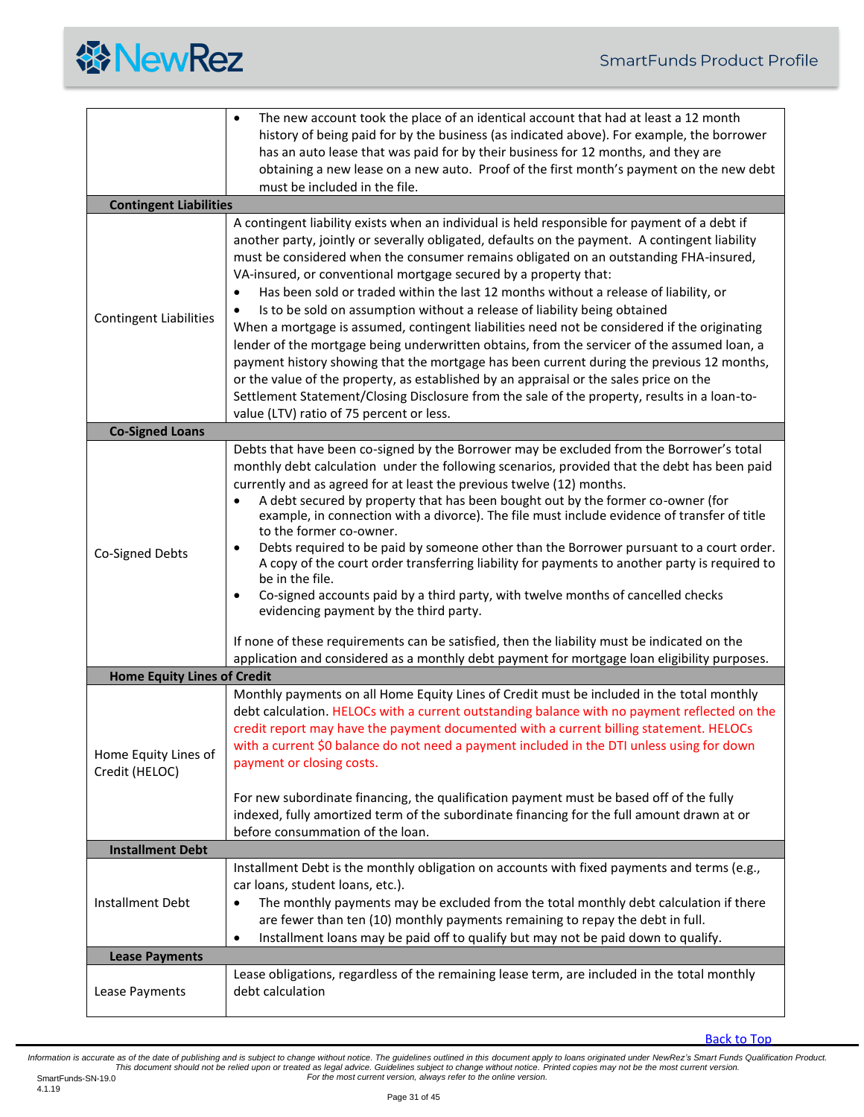

<span id="page-30-4"></span><span id="page-30-3"></span><span id="page-30-2"></span><span id="page-30-1"></span><span id="page-30-0"></span>

|                                        | The new account took the place of an identical account that had at least a 12 month<br>$\bullet$<br>history of being paid for by the business (as indicated above). For example, the borrower<br>has an auto lease that was paid for by their business for 12 months, and they are<br>obtaining a new lease on a new auto. Proof of the first month's payment on the new debt<br>must be included in the file.                                                                                                                                                                                                                                                                                                                                                                                                                                                                                                                                                                                                                                                                                |  |
|----------------------------------------|-----------------------------------------------------------------------------------------------------------------------------------------------------------------------------------------------------------------------------------------------------------------------------------------------------------------------------------------------------------------------------------------------------------------------------------------------------------------------------------------------------------------------------------------------------------------------------------------------------------------------------------------------------------------------------------------------------------------------------------------------------------------------------------------------------------------------------------------------------------------------------------------------------------------------------------------------------------------------------------------------------------------------------------------------------------------------------------------------|--|
| <b>Contingent Liabilities</b>          |                                                                                                                                                                                                                                                                                                                                                                                                                                                                                                                                                                                                                                                                                                                                                                                                                                                                                                                                                                                                                                                                                               |  |
| <b>Contingent Liabilities</b>          | A contingent liability exists when an individual is held responsible for payment of a debt if<br>another party, jointly or severally obligated, defaults on the payment. A contingent liability<br>must be considered when the consumer remains obligated on an outstanding FHA-insured,<br>VA-insured, or conventional mortgage secured by a property that:<br>Has been sold or traded within the last 12 months without a release of liability, or<br>$\bullet$<br>Is to be sold on assumption without a release of liability being obtained<br>$\bullet$<br>When a mortgage is assumed, contingent liabilities need not be considered if the originating<br>lender of the mortgage being underwritten obtains, from the servicer of the assumed loan, a<br>payment history showing that the mortgage has been current during the previous 12 months,<br>or the value of the property, as established by an appraisal or the sales price on the<br>Settlement Statement/Closing Disclosure from the sale of the property, results in a loan-to-<br>value (LTV) ratio of 75 percent or less. |  |
| <b>Co-Signed Loans</b>                 |                                                                                                                                                                                                                                                                                                                                                                                                                                                                                                                                                                                                                                                                                                                                                                                                                                                                                                                                                                                                                                                                                               |  |
| Co-Signed Debts                        | Debts that have been co-signed by the Borrower may be excluded from the Borrower's total<br>monthly debt calculation under the following scenarios, provided that the debt has been paid<br>currently and as agreed for at least the previous twelve (12) months.<br>A debt secured by property that has been bought out by the former co-owner (for<br>$\bullet$<br>example, in connection with a divorce). The file must include evidence of transfer of title<br>to the former co-owner.<br>Debts required to be paid by someone other than the Borrower pursuant to a court order.<br>٠<br>A copy of the court order transferring liability for payments to another party is required to<br>be in the file.<br>Co-signed accounts paid by a third party, with twelve months of cancelled checks<br>$\bullet$<br>evidencing payment by the third party.<br>If none of these requirements can be satisfied, then the liability must be indicated on the<br>application and considered as a monthly debt payment for mortgage loan eligibility purposes.                                     |  |
| <b>Home Equity Lines of Credit</b>     |                                                                                                                                                                                                                                                                                                                                                                                                                                                                                                                                                                                                                                                                                                                                                                                                                                                                                                                                                                                                                                                                                               |  |
| Home Equity Lines of<br>Credit (HELOC) | Monthly payments on all Home Equity Lines of Credit must be included in the total monthly<br>debt calculation. HELOCs with a current outstanding balance with no payment reflected on the<br>credit report may have the payment documented with a current billing statement. HELOCs<br>with a current \$0 balance do not need a payment included in the DTI unless using for down<br>payment or closing costs.<br>For new subordinate financing, the qualification payment must be based off of the fully<br>indexed, fully amortized term of the subordinate financing for the full amount drawn at or<br>before consummation of the loan.                                                                                                                                                                                                                                                                                                                                                                                                                                                   |  |
| <b>Installment Debt</b>                |                                                                                                                                                                                                                                                                                                                                                                                                                                                                                                                                                                                                                                                                                                                                                                                                                                                                                                                                                                                                                                                                                               |  |
| Installment Debt                       | Installment Debt is the monthly obligation on accounts with fixed payments and terms (e.g.,<br>car loans, student loans, etc.).<br>The monthly payments may be excluded from the total monthly debt calculation if there<br>are fewer than ten (10) monthly payments remaining to repay the debt in full.<br>Installment loans may be paid off to qualify but may not be paid down to qualify.<br>$\bullet$                                                                                                                                                                                                                                                                                                                                                                                                                                                                                                                                                                                                                                                                                   |  |
| <b>Lease Payments</b>                  |                                                                                                                                                                                                                                                                                                                                                                                                                                                                                                                                                                                                                                                                                                                                                                                                                                                                                                                                                                                                                                                                                               |  |
| Lease Payments                         | Lease obligations, regardless of the remaining lease term, are included in the total monthly<br>debt calculation                                                                                                                                                                                                                                                                                                                                                                                                                                                                                                                                                                                                                                                                                                                                                                                                                                                                                                                                                                              |  |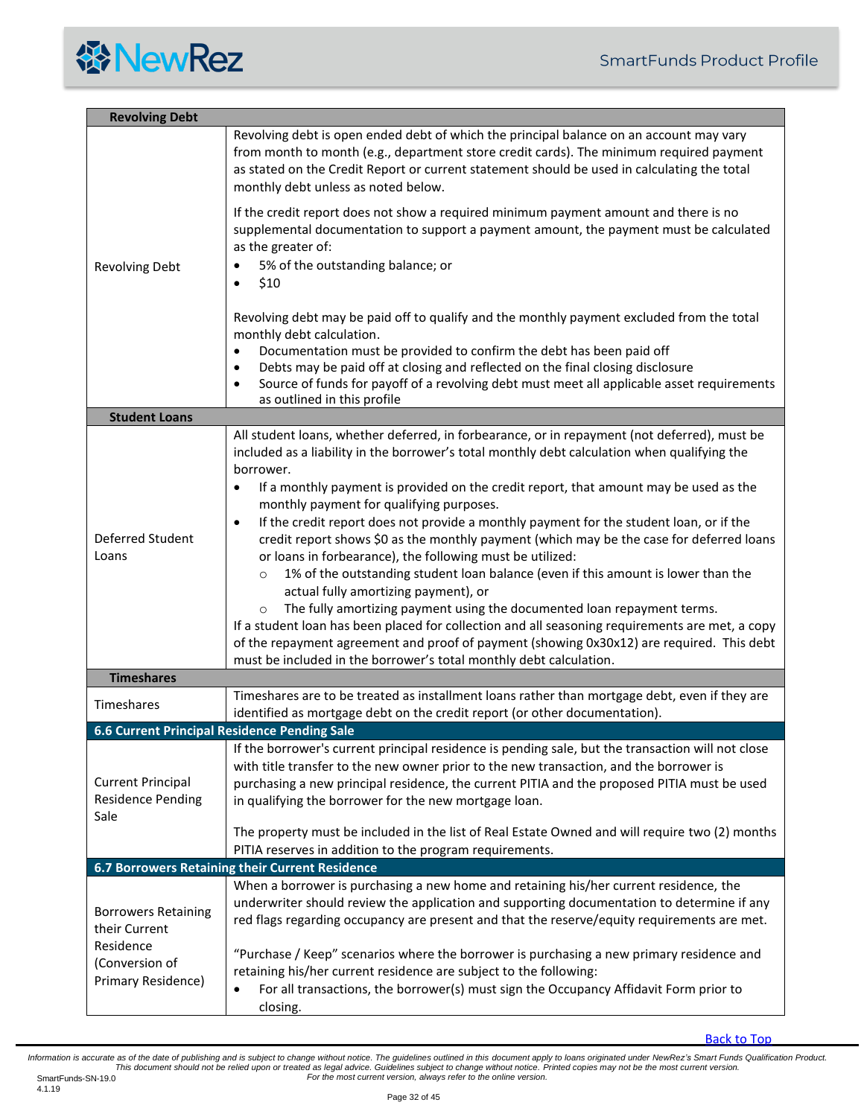<span id="page-31-4"></span><span id="page-31-3"></span><span id="page-31-2"></span><span id="page-31-1"></span><span id="page-31-0"></span>

| <b>Revolving Debt</b>                                        |                                                                                                                                                                                                                                                                                                                                                                                                                                                                                                                                                                                                                                                                                                                                                                                                                                                                                                                                                                                                                                                                                                                                  |  |
|--------------------------------------------------------------|----------------------------------------------------------------------------------------------------------------------------------------------------------------------------------------------------------------------------------------------------------------------------------------------------------------------------------------------------------------------------------------------------------------------------------------------------------------------------------------------------------------------------------------------------------------------------------------------------------------------------------------------------------------------------------------------------------------------------------------------------------------------------------------------------------------------------------------------------------------------------------------------------------------------------------------------------------------------------------------------------------------------------------------------------------------------------------------------------------------------------------|--|
|                                                              | Revolving debt is open ended debt of which the principal balance on an account may vary<br>from month to month (e.g., department store credit cards). The minimum required payment<br>as stated on the Credit Report or current statement should be used in calculating the total<br>monthly debt unless as noted below.                                                                                                                                                                                                                                                                                                                                                                                                                                                                                                                                                                                                                                                                                                                                                                                                         |  |
| <b>Revolving Debt</b>                                        | If the credit report does not show a required minimum payment amount and there is no<br>supplemental documentation to support a payment amount, the payment must be calculated<br>as the greater of:<br>5% of the outstanding balance; or<br>\$10<br>$\bullet$                                                                                                                                                                                                                                                                                                                                                                                                                                                                                                                                                                                                                                                                                                                                                                                                                                                                   |  |
|                                                              | Revolving debt may be paid off to qualify and the monthly payment excluded from the total<br>monthly debt calculation.<br>Documentation must be provided to confirm the debt has been paid off<br>$\bullet$<br>Debts may be paid off at closing and reflected on the final closing disclosure<br>$\bullet$<br>Source of funds for payoff of a revolving debt must meet all applicable asset requirements<br>$\bullet$<br>as outlined in this profile                                                                                                                                                                                                                                                                                                                                                                                                                                                                                                                                                                                                                                                                             |  |
| <b>Student Loans</b>                                         |                                                                                                                                                                                                                                                                                                                                                                                                                                                                                                                                                                                                                                                                                                                                                                                                                                                                                                                                                                                                                                                                                                                                  |  |
| Deferred Student<br>Loans                                    | All student loans, whether deferred, in forbearance, or in repayment (not deferred), must be<br>included as a liability in the borrower's total monthly debt calculation when qualifying the<br>borrower.<br>If a monthly payment is provided on the credit report, that amount may be used as the<br>$\bullet$<br>monthly payment for qualifying purposes.<br>If the credit report does not provide a monthly payment for the student loan, or if the<br>$\bullet$<br>credit report shows \$0 as the monthly payment (which may be the case for deferred loans<br>or loans in forbearance), the following must be utilized:<br>1% of the outstanding student loan balance (even if this amount is lower than the<br>$\circ$<br>actual fully amortizing payment), or<br>The fully amortizing payment using the documented loan repayment terms.<br>$\circ$<br>If a student loan has been placed for collection and all seasoning requirements are met, a copy<br>of the repayment agreement and proof of payment (showing 0x30x12) are required. This debt<br>must be included in the borrower's total monthly debt calculation. |  |
| <b>Timeshares</b>                                            |                                                                                                                                                                                                                                                                                                                                                                                                                                                                                                                                                                                                                                                                                                                                                                                                                                                                                                                                                                                                                                                                                                                                  |  |
| Timeshares                                                   | Timeshares are to be treated as installment loans rather than mortgage debt, even if they are<br>identified as mortgage debt on the credit report (or other documentation).                                                                                                                                                                                                                                                                                                                                                                                                                                                                                                                                                                                                                                                                                                                                                                                                                                                                                                                                                      |  |
| 6.6 Current Principal Residence Pending Sale                 |                                                                                                                                                                                                                                                                                                                                                                                                                                                                                                                                                                                                                                                                                                                                                                                                                                                                                                                                                                                                                                                                                                                                  |  |
| <b>Current Principal</b><br><b>Residence Pending</b><br>Sale | If the borrower's current principal residence is pending sale, but the transaction will not close<br>with title transfer to the new owner prior to the new transaction, and the borrower is<br>purchasing a new principal residence, the current PITIA and the proposed PITIA must be used<br>in qualifying the borrower for the new mortgage loan.<br>The property must be included in the list of Real Estate Owned and will require two (2) months                                                                                                                                                                                                                                                                                                                                                                                                                                                                                                                                                                                                                                                                            |  |
|                                                              | PITIA reserves in addition to the program requirements.                                                                                                                                                                                                                                                                                                                                                                                                                                                                                                                                                                                                                                                                                                                                                                                                                                                                                                                                                                                                                                                                          |  |
|                                                              | <b>6.7 Borrowers Retaining their Current Residence</b>                                                                                                                                                                                                                                                                                                                                                                                                                                                                                                                                                                                                                                                                                                                                                                                                                                                                                                                                                                                                                                                                           |  |
| <b>Borrowers Retaining</b><br>their Current                  | When a borrower is purchasing a new home and retaining his/her current residence, the<br>underwriter should review the application and supporting documentation to determine if any<br>red flags regarding occupancy are present and that the reserve/equity requirements are met.                                                                                                                                                                                                                                                                                                                                                                                                                                                                                                                                                                                                                                                                                                                                                                                                                                               |  |
| Residence<br>(Conversion of<br>Primary Residence)            | "Purchase / Keep" scenarios where the borrower is purchasing a new primary residence and<br>retaining his/her current residence are subject to the following:<br>For all transactions, the borrower(s) must sign the Occupancy Affidavit Form prior to<br>$\bullet$<br>closing.                                                                                                                                                                                                                                                                                                                                                                                                                                                                                                                                                                                                                                                                                                                                                                                                                                                  |  |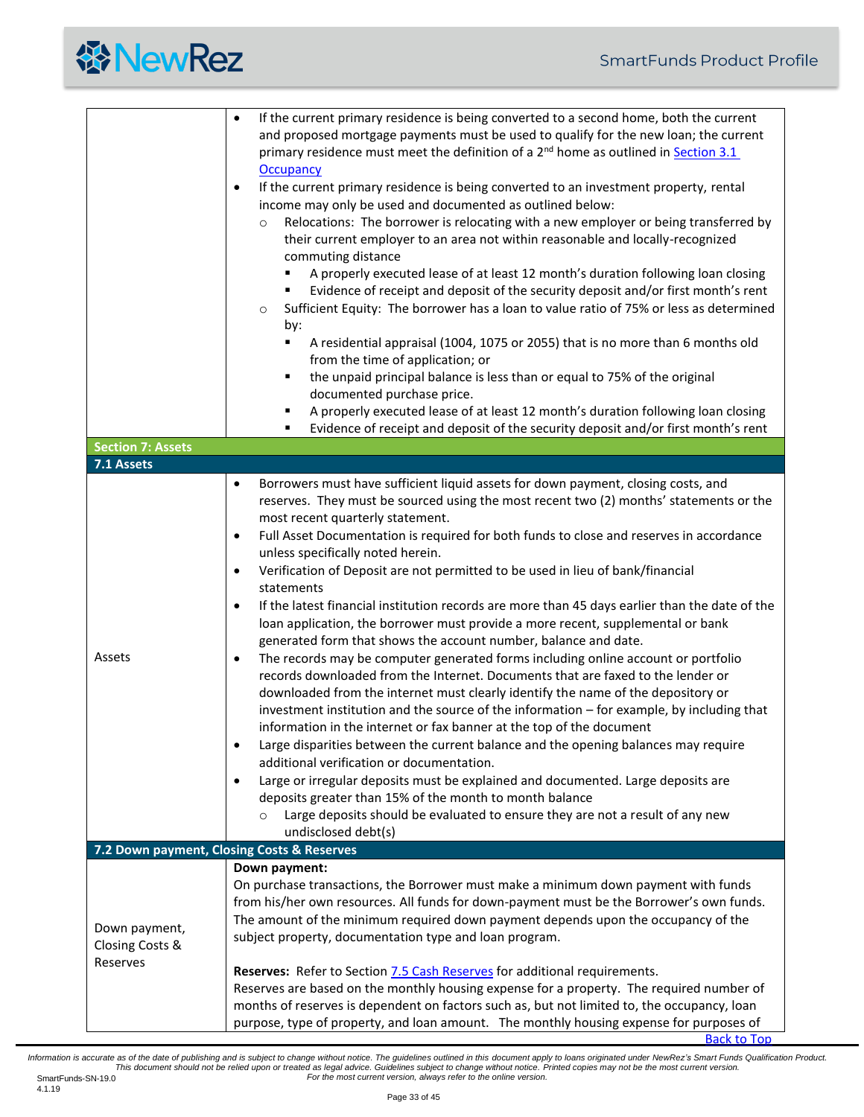<span id="page-32-1"></span><span id="page-32-0"></span>

|                                        | If the current primary residence is being converted to a second home, both the current<br>$\bullet$<br>and proposed mortgage payments must be used to qualify for the new loan; the current<br>primary residence must meet the definition of a 2 <sup>nd</sup> home as outlined in <b>Section 3.1</b><br><b>Occupancy</b><br>If the current primary residence is being converted to an investment property, rental<br>$\bullet$<br>income may only be used and documented as outlined below:<br>Relocations: The borrower is relocating with a new employer or being transferred by<br>$\circ$<br>their current employer to an area not within reasonable and locally-recognized<br>commuting distance<br>A properly executed lease of at least 12 month's duration following loan closing<br>Evidence of receipt and deposit of the security deposit and/or first month's rent<br>٠<br>Sufficient Equity: The borrower has a loan to value ratio of 75% or less as determined<br>$\circ$<br>by:<br>A residential appraisal (1004, 1075 or 2055) that is no more than 6 months old<br>٠<br>from the time of application; or<br>the unpaid principal balance is less than or equal to 75% of the original<br>٠<br>documented purchase price.<br>A properly executed lease of at least 12 month's duration following loan closing<br>٠ |
|----------------------------------------|--------------------------------------------------------------------------------------------------------------------------------------------------------------------------------------------------------------------------------------------------------------------------------------------------------------------------------------------------------------------------------------------------------------------------------------------------------------------------------------------------------------------------------------------------------------------------------------------------------------------------------------------------------------------------------------------------------------------------------------------------------------------------------------------------------------------------------------------------------------------------------------------------------------------------------------------------------------------------------------------------------------------------------------------------------------------------------------------------------------------------------------------------------------------------------------------------------------------------------------------------------------------------------------------------------------------------------------|
|                                        | Evidence of receipt and deposit of the security deposit and/or first month's rent<br>٠                                                                                                                                                                                                                                                                                                                                                                                                                                                                                                                                                                                                                                                                                                                                                                                                                                                                                                                                                                                                                                                                                                                                                                                                                                               |
| <b>Section 7: Assets</b><br>7.1 Assets |                                                                                                                                                                                                                                                                                                                                                                                                                                                                                                                                                                                                                                                                                                                                                                                                                                                                                                                                                                                                                                                                                                                                                                                                                                                                                                                                      |
|                                        | Borrowers must have sufficient liquid assets for down payment, closing costs, and<br>$\bullet$<br>reserves. They must be sourced using the most recent two (2) months' statements or the                                                                                                                                                                                                                                                                                                                                                                                                                                                                                                                                                                                                                                                                                                                                                                                                                                                                                                                                                                                                                                                                                                                                             |
|                                        | most recent quarterly statement.<br>Full Asset Documentation is required for both funds to close and reserves in accordance<br>$\bullet$<br>unless specifically noted herein.<br>Verification of Deposit are not permitted to be used in lieu of bank/financial<br>$\bullet$                                                                                                                                                                                                                                                                                                                                                                                                                                                                                                                                                                                                                                                                                                                                                                                                                                                                                                                                                                                                                                                         |
|                                        | statements<br>If the latest financial institution records are more than 45 days earlier than the date of the<br>$\bullet$<br>loan application, the borrower must provide a more recent, supplemental or bank<br>generated form that shows the account number, balance and date.                                                                                                                                                                                                                                                                                                                                                                                                                                                                                                                                                                                                                                                                                                                                                                                                                                                                                                                                                                                                                                                      |
| Assets                                 | The records may be computer generated forms including online account or portfolio<br>$\bullet$<br>records downloaded from the Internet. Documents that are faxed to the lender or<br>downloaded from the internet must clearly identify the name of the depository or<br>investment institution and the source of the information - for example, by including that<br>information in the internet or fax banner at the top of the document<br>Large disparities between the current balance and the opening balances may require<br>additional verification or documentation.                                                                                                                                                                                                                                                                                                                                                                                                                                                                                                                                                                                                                                                                                                                                                        |
|                                        | Large or irregular deposits must be explained and documented. Large deposits are<br>$\bullet$<br>deposits greater than 15% of the month to month balance<br>Large deposits should be evaluated to ensure they are not a result of any new<br>$\Omega$<br>undisclosed debt(s)                                                                                                                                                                                                                                                                                                                                                                                                                                                                                                                                                                                                                                                                                                                                                                                                                                                                                                                                                                                                                                                         |
|                                        | 7.2 Down payment, Closing Costs & Reserves<br>Down payment:                                                                                                                                                                                                                                                                                                                                                                                                                                                                                                                                                                                                                                                                                                                                                                                                                                                                                                                                                                                                                                                                                                                                                                                                                                                                          |
| Down payment,<br>Closing Costs &       | On purchase transactions, the Borrower must make a minimum down payment with funds<br>from his/her own resources. All funds for down-payment must be the Borrower's own funds.<br>The amount of the minimum required down payment depends upon the occupancy of the<br>subject property, documentation type and loan program.                                                                                                                                                                                                                                                                                                                                                                                                                                                                                                                                                                                                                                                                                                                                                                                                                                                                                                                                                                                                        |
| Reserves                               | Reserves: Refer to Section 7.5 Cash Reserves for additional requirements.<br>Reserves are based on the monthly housing expense for a property. The required number of<br>months of reserves is dependent on factors such as, but not limited to, the occupancy, loan<br>purpose, type of property, and loan amount. The monthly housing expense for purposes of                                                                                                                                                                                                                                                                                                                                                                                                                                                                                                                                                                                                                                                                                                                                                                                                                                                                                                                                                                      |

<span id="page-32-2"></span>[Back to Top](#page-0-0)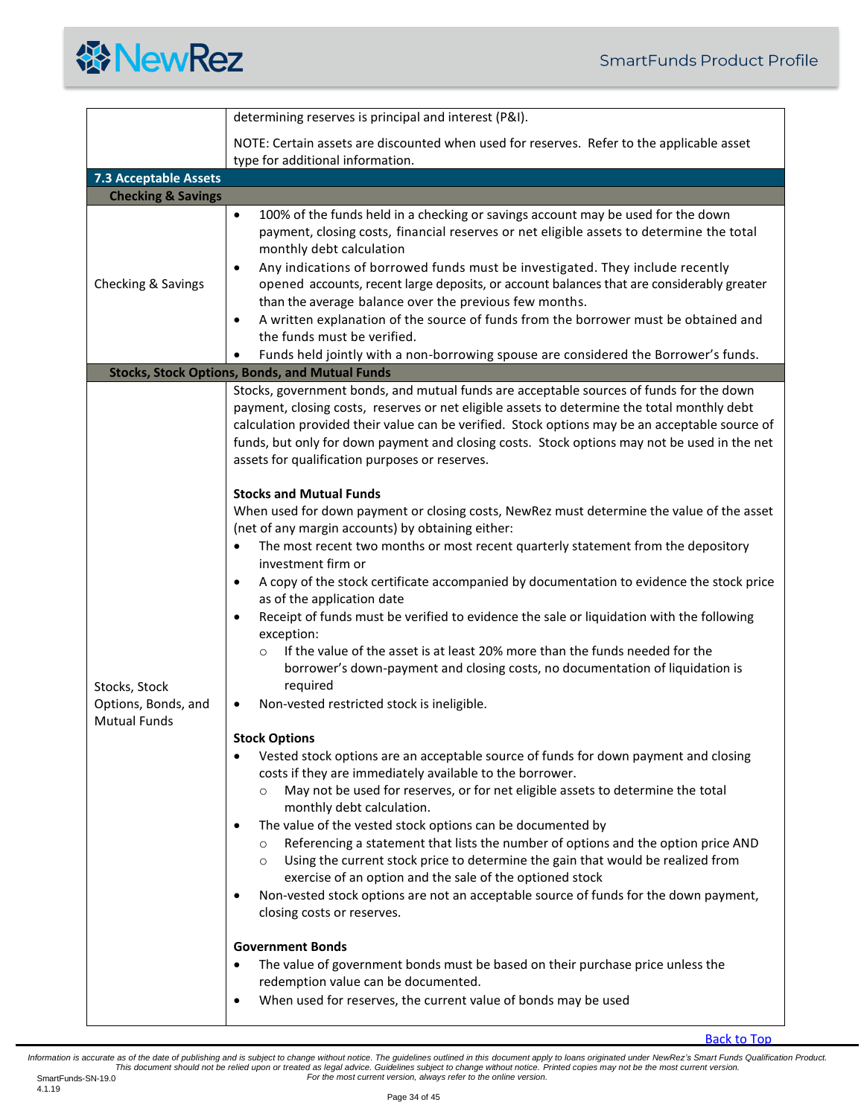

<span id="page-33-2"></span><span id="page-33-1"></span><span id="page-33-0"></span>

|                                      | determining reserves is principal and interest (P&I).                                                                                                                                                                                                                                                                                                                                                                                                                                                                                                                                                                                                                                                                                                                                                                                                                           |
|--------------------------------------|---------------------------------------------------------------------------------------------------------------------------------------------------------------------------------------------------------------------------------------------------------------------------------------------------------------------------------------------------------------------------------------------------------------------------------------------------------------------------------------------------------------------------------------------------------------------------------------------------------------------------------------------------------------------------------------------------------------------------------------------------------------------------------------------------------------------------------------------------------------------------------|
|                                      | NOTE: Certain assets are discounted when used for reserves. Refer to the applicable asset<br>type for additional information.                                                                                                                                                                                                                                                                                                                                                                                                                                                                                                                                                                                                                                                                                                                                                   |
| <b>7.3 Acceptable Assets</b>         |                                                                                                                                                                                                                                                                                                                                                                                                                                                                                                                                                                                                                                                                                                                                                                                                                                                                                 |
| <b>Checking &amp; Savings</b>        |                                                                                                                                                                                                                                                                                                                                                                                                                                                                                                                                                                                                                                                                                                                                                                                                                                                                                 |
| Checking & Savings                   | 100% of the funds held in a checking or savings account may be used for the down<br>$\bullet$<br>payment, closing costs, financial reserves or net eligible assets to determine the total<br>monthly debt calculation<br>Any indications of borrowed funds must be investigated. They include recently<br>$\bullet$<br>opened accounts, recent large deposits, or account balances that are considerably greater<br>than the average balance over the previous few months.<br>A written explanation of the source of funds from the borrower must be obtained and<br>$\bullet$<br>the funds must be verified.<br>Funds held jointly with a non-borrowing spouse are considered the Borrower's funds.                                                                                                                                                                            |
|                                      | <b>Stocks, Stock Options, Bonds, and Mutual Funds</b>                                                                                                                                                                                                                                                                                                                                                                                                                                                                                                                                                                                                                                                                                                                                                                                                                           |
|                                      | Stocks, government bonds, and mutual funds are acceptable sources of funds for the down<br>payment, closing costs, reserves or net eligible assets to determine the total monthly debt<br>calculation provided their value can be verified. Stock options may be an acceptable source of<br>funds, but only for down payment and closing costs. Stock options may not be used in the net<br>assets for qualification purposes or reserves.<br><b>Stocks and Mutual Funds</b><br>When used for down payment or closing costs, NewRez must determine the value of the asset                                                                                                                                                                                                                                                                                                       |
| Stocks, Stock<br>Options, Bonds, and | (net of any margin accounts) by obtaining either:<br>The most recent two months or most recent quarterly statement from the depository<br>investment firm or<br>A copy of the stock certificate accompanied by documentation to evidence the stock price<br>$\bullet$<br>as of the application date<br>Receipt of funds must be verified to evidence the sale or liquidation with the following<br>exception:<br>If the value of the asset is at least 20% more than the funds needed for the<br>$\circ$<br>borrower's down-payment and closing costs, no documentation of liquidation is<br>required<br>Non-vested restricted stock is ineligible.<br>٠                                                                                                                                                                                                                        |
| <b>Mutual Funds</b>                  |                                                                                                                                                                                                                                                                                                                                                                                                                                                                                                                                                                                                                                                                                                                                                                                                                                                                                 |
|                                      | <b>Stock Options</b><br>Vested stock options are an acceptable source of funds for down payment and closing<br>costs if they are immediately available to the borrower.<br>May not be used for reserves, or for net eligible assets to determine the total<br>$\circ$<br>monthly debt calculation.<br>The value of the vested stock options can be documented by<br>Referencing a statement that lists the number of options and the option price AND<br>$\circ$<br>Using the current stock price to determine the gain that would be realized from<br>$\circ$<br>exercise of an option and the sale of the optioned stock<br>Non-vested stock options are not an acceptable source of funds for the down payment,<br>٠<br>closing costs or reserves.<br><b>Government Bonds</b><br>The value of government bonds must be based on their purchase price unless the<br>$\bullet$ |
|                                      | redemption value can be documented.                                                                                                                                                                                                                                                                                                                                                                                                                                                                                                                                                                                                                                                                                                                                                                                                                                             |
|                                      | When used for reserves, the current value of bonds may be used<br>$\bullet$                                                                                                                                                                                                                                                                                                                                                                                                                                                                                                                                                                                                                                                                                                                                                                                                     |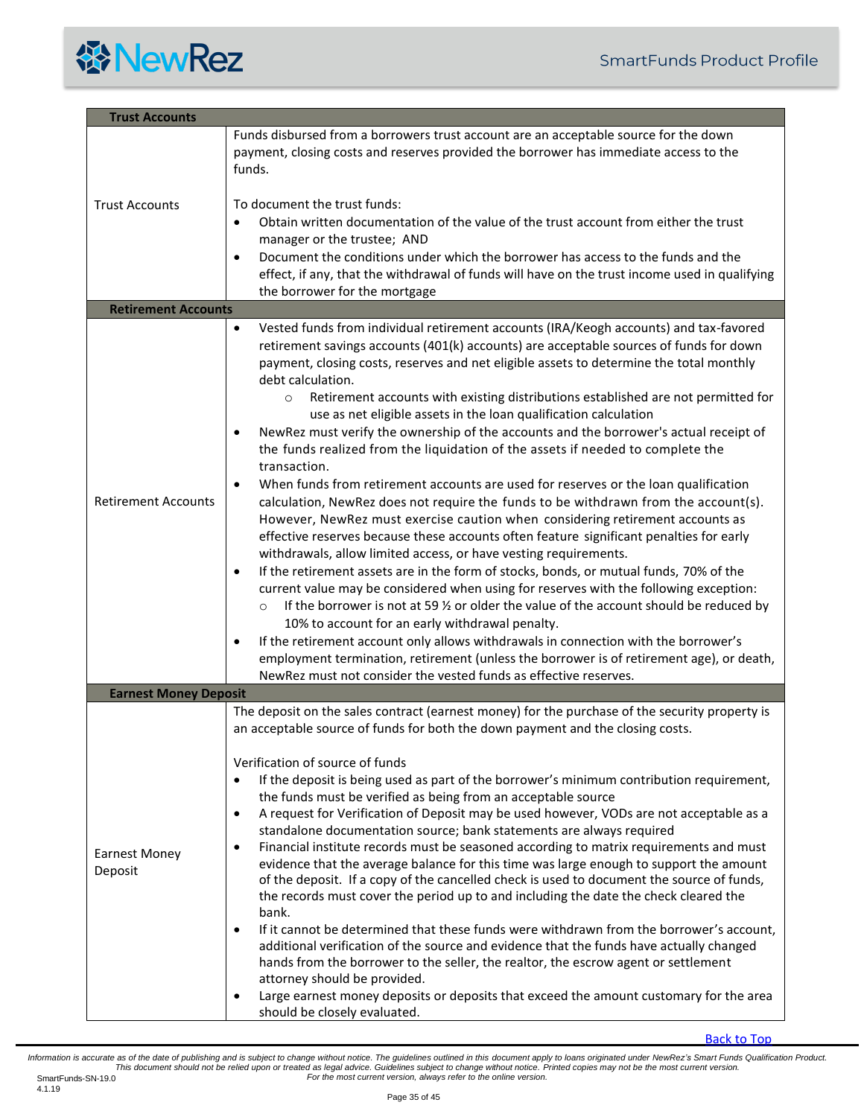

<span id="page-34-2"></span><span id="page-34-1"></span><span id="page-34-0"></span>

| <b>Trust Accounts</b>           |                                                                                                                                                                                                                                                                                                                                                                                                                                                                                                                                                                                                                                                                                                                                                                                                                                                                                                                                                                                                                                                                                                                                                                                                                                                                                                                                                                                                                                                                                                                                                                                                                                                                                                                                                                              |  |
|---------------------------------|------------------------------------------------------------------------------------------------------------------------------------------------------------------------------------------------------------------------------------------------------------------------------------------------------------------------------------------------------------------------------------------------------------------------------------------------------------------------------------------------------------------------------------------------------------------------------------------------------------------------------------------------------------------------------------------------------------------------------------------------------------------------------------------------------------------------------------------------------------------------------------------------------------------------------------------------------------------------------------------------------------------------------------------------------------------------------------------------------------------------------------------------------------------------------------------------------------------------------------------------------------------------------------------------------------------------------------------------------------------------------------------------------------------------------------------------------------------------------------------------------------------------------------------------------------------------------------------------------------------------------------------------------------------------------------------------------------------------------------------------------------------------------|--|
|                                 | Funds disbursed from a borrowers trust account are an acceptable source for the down<br>payment, closing costs and reserves provided the borrower has immediate access to the<br>funds.                                                                                                                                                                                                                                                                                                                                                                                                                                                                                                                                                                                                                                                                                                                                                                                                                                                                                                                                                                                                                                                                                                                                                                                                                                                                                                                                                                                                                                                                                                                                                                                      |  |
| <b>Trust Accounts</b>           | To document the trust funds:<br>Obtain written documentation of the value of the trust account from either the trust<br>$\bullet$<br>manager or the trustee; AND<br>Document the conditions under which the borrower has access to the funds and the<br>$\bullet$<br>effect, if any, that the withdrawal of funds will have on the trust income used in qualifying<br>the borrower for the mortgage                                                                                                                                                                                                                                                                                                                                                                                                                                                                                                                                                                                                                                                                                                                                                                                                                                                                                                                                                                                                                                                                                                                                                                                                                                                                                                                                                                          |  |
| <b>Retirement Accounts</b>      |                                                                                                                                                                                                                                                                                                                                                                                                                                                                                                                                                                                                                                                                                                                                                                                                                                                                                                                                                                                                                                                                                                                                                                                                                                                                                                                                                                                                                                                                                                                                                                                                                                                                                                                                                                              |  |
| <b>Retirement Accounts</b>      | Vested funds from individual retirement accounts (IRA/Keogh accounts) and tax-favored<br>$\bullet$<br>retirement savings accounts (401(k) accounts) are acceptable sources of funds for down<br>payment, closing costs, reserves and net eligible assets to determine the total monthly<br>debt calculation.<br>Retirement accounts with existing distributions established are not permitted for<br>$\circ$<br>use as net eligible assets in the loan qualification calculation<br>NewRez must verify the ownership of the accounts and the borrower's actual receipt of<br>$\bullet$<br>the funds realized from the liquidation of the assets if needed to complete the<br>transaction.<br>When funds from retirement accounts are used for reserves or the loan qualification<br>$\bullet$<br>calculation, NewRez does not require the funds to be withdrawn from the account(s).<br>However, NewRez must exercise caution when considering retirement accounts as<br>effective reserves because these accounts often feature significant penalties for early<br>withdrawals, allow limited access, or have vesting requirements.<br>If the retirement assets are in the form of stocks, bonds, or mutual funds, 70% of the<br>$\bullet$<br>current value may be considered when using for reserves with the following exception:<br>If the borrower is not at 59 $\frac{1}{2}$ or older the value of the account should be reduced by<br>$\Omega$<br>10% to account for an early withdrawal penalty.<br>If the retirement account only allows withdrawals in connection with the borrower's<br>$\bullet$<br>employment termination, retirement (unless the borrower is of retirement age), or death,<br>NewRez must not consider the vested funds as effective reserves. |  |
| <b>Earnest Money Deposit</b>    |                                                                                                                                                                                                                                                                                                                                                                                                                                                                                                                                                                                                                                                                                                                                                                                                                                                                                                                                                                                                                                                                                                                                                                                                                                                                                                                                                                                                                                                                                                                                                                                                                                                                                                                                                                              |  |
| <b>Earnest Money</b><br>Deposit | The deposit on the sales contract (earnest money) for the purchase of the security property is<br>an acceptable source of funds for both the down payment and the closing costs.<br>Verification of source of funds<br>If the deposit is being used as part of the borrower's minimum contribution requirement,<br>$\bullet$<br>the funds must be verified as being from an acceptable source<br>A request for Verification of Deposit may be used however, VODs are not acceptable as a<br>$\bullet$<br>standalone documentation source; bank statements are always required<br>Financial institute records must be seasoned according to matrix requirements and must<br>$\bullet$<br>evidence that the average balance for this time was large enough to support the amount<br>of the deposit. If a copy of the cancelled check is used to document the source of funds,<br>the records must cover the period up to and including the date the check cleared the<br>bank.<br>If it cannot be determined that these funds were withdrawn from the borrower's account,<br>$\bullet$<br>additional verification of the source and evidence that the funds have actually changed<br>hands from the borrower to the seller, the realtor, the escrow agent or settlement<br>attorney should be provided.<br>Large earnest money deposits or deposits that exceed the amount customary for the area<br>should be closely evaluated.                                                                                                                                                                                                                                                                                                                                              |  |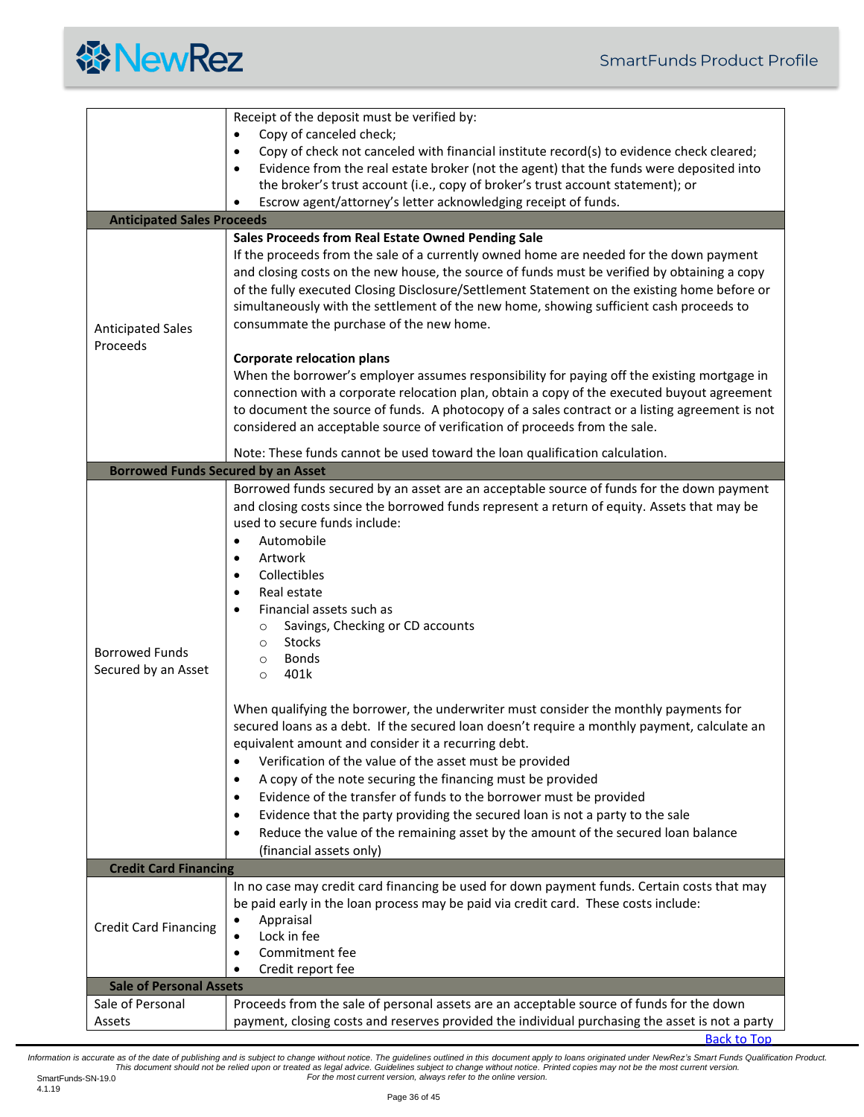

<span id="page-35-1"></span><span id="page-35-0"></span>

|                                              | Receipt of the deposit must be verified by:                                                                                                                                                                                                                                                                                                                                                                                                                                                                                                                                                                                                                                                                                                                                                                                                                                                                                                                                                                                                                                                                                                                                                         |
|----------------------------------------------|-----------------------------------------------------------------------------------------------------------------------------------------------------------------------------------------------------------------------------------------------------------------------------------------------------------------------------------------------------------------------------------------------------------------------------------------------------------------------------------------------------------------------------------------------------------------------------------------------------------------------------------------------------------------------------------------------------------------------------------------------------------------------------------------------------------------------------------------------------------------------------------------------------------------------------------------------------------------------------------------------------------------------------------------------------------------------------------------------------------------------------------------------------------------------------------------------------|
|                                              | Copy of canceled check;                                                                                                                                                                                                                                                                                                                                                                                                                                                                                                                                                                                                                                                                                                                                                                                                                                                                                                                                                                                                                                                                                                                                                                             |
|                                              | Copy of check not canceled with financial institute record(s) to evidence check cleared;<br>$\bullet$                                                                                                                                                                                                                                                                                                                                                                                                                                                                                                                                                                                                                                                                                                                                                                                                                                                                                                                                                                                                                                                                                               |
|                                              | Evidence from the real estate broker (not the agent) that the funds were deposited into<br>$\bullet$                                                                                                                                                                                                                                                                                                                                                                                                                                                                                                                                                                                                                                                                                                                                                                                                                                                                                                                                                                                                                                                                                                |
|                                              | the broker's trust account (i.e., copy of broker's trust account statement); or                                                                                                                                                                                                                                                                                                                                                                                                                                                                                                                                                                                                                                                                                                                                                                                                                                                                                                                                                                                                                                                                                                                     |
|                                              | Escrow agent/attorney's letter acknowledging receipt of funds.<br>٠                                                                                                                                                                                                                                                                                                                                                                                                                                                                                                                                                                                                                                                                                                                                                                                                                                                                                                                                                                                                                                                                                                                                 |
| <b>Anticipated Sales Proceeds</b>            |                                                                                                                                                                                                                                                                                                                                                                                                                                                                                                                                                                                                                                                                                                                                                                                                                                                                                                                                                                                                                                                                                                                                                                                                     |
|                                              | Sales Proceeds from Real Estate Owned Pending Sale                                                                                                                                                                                                                                                                                                                                                                                                                                                                                                                                                                                                                                                                                                                                                                                                                                                                                                                                                                                                                                                                                                                                                  |
| <b>Anticipated Sales</b><br>Proceeds         | If the proceeds from the sale of a currently owned home are needed for the down payment<br>and closing costs on the new house, the source of funds must be verified by obtaining a copy<br>of the fully executed Closing Disclosure/Settlement Statement on the existing home before or<br>simultaneously with the settlement of the new home, showing sufficient cash proceeds to<br>consummate the purchase of the new home.                                                                                                                                                                                                                                                                                                                                                                                                                                                                                                                                                                                                                                                                                                                                                                      |
|                                              | <b>Corporate relocation plans</b><br>When the borrower's employer assumes responsibility for paying off the existing mortgage in<br>connection with a corporate relocation plan, obtain a copy of the executed buyout agreement<br>to document the source of funds. A photocopy of a sales contract or a listing agreement is not<br>considered an acceptable source of verification of proceeds from the sale.                                                                                                                                                                                                                                                                                                                                                                                                                                                                                                                                                                                                                                                                                                                                                                                     |
|                                              | Note: These funds cannot be used toward the loan qualification calculation.                                                                                                                                                                                                                                                                                                                                                                                                                                                                                                                                                                                                                                                                                                                                                                                                                                                                                                                                                                                                                                                                                                                         |
| <b>Borrowed Funds Secured by an Asset</b>    |                                                                                                                                                                                                                                                                                                                                                                                                                                                                                                                                                                                                                                                                                                                                                                                                                                                                                                                                                                                                                                                                                                                                                                                                     |
| <b>Borrowed Funds</b><br>Secured by an Asset | Borrowed funds secured by an asset are an acceptable source of funds for the down payment<br>and closing costs since the borrowed funds represent a return of equity. Assets that may be<br>used to secure funds include:<br>Automobile<br>Artwork<br>$\bullet$<br>Collectibles<br>$\bullet$<br>Real estate<br>$\bullet$<br>Financial assets such as<br>$\bullet$<br>Savings, Checking or CD accounts<br>$\circ$<br>Stocks<br>$\circ$<br><b>Bonds</b><br>$\circ$<br>401k<br>$\circ$<br>When qualifying the borrower, the underwriter must consider the monthly payments for<br>secured loans as a debt. If the secured loan doesn't require a monthly payment, calculate an<br>equivalent amount and consider it a recurring debt.<br>Verification of the value of the asset must be provided<br>$\bullet$<br>A copy of the note securing the financing must be provided<br>$\bullet$<br>Evidence of the transfer of funds to the borrower must be provided<br>$\bullet$<br>Evidence that the party providing the secured loan is not a party to the sale<br>$\bullet$<br>Reduce the value of the remaining asset by the amount of the secured loan balance<br>$\bullet$<br>(financial assets only) |
| <b>Credit Card Financing</b>                 |                                                                                                                                                                                                                                                                                                                                                                                                                                                                                                                                                                                                                                                                                                                                                                                                                                                                                                                                                                                                                                                                                                                                                                                                     |
| <b>Credit Card Financing</b>                 | In no case may credit card financing be used for down payment funds. Certain costs that may<br>be paid early in the loan process may be paid via credit card. These costs include:<br>Appraisal<br>Lock in fee<br>Commitment fee<br>٠<br>Credit report fee<br>٠                                                                                                                                                                                                                                                                                                                                                                                                                                                                                                                                                                                                                                                                                                                                                                                                                                                                                                                                     |
| <b>Sale of Personal Assets</b>               |                                                                                                                                                                                                                                                                                                                                                                                                                                                                                                                                                                                                                                                                                                                                                                                                                                                                                                                                                                                                                                                                                                                                                                                                     |
| Sale of Personal                             | Proceeds from the sale of personal assets are an acceptable source of funds for the down                                                                                                                                                                                                                                                                                                                                                                                                                                                                                                                                                                                                                                                                                                                                                                                                                                                                                                                                                                                                                                                                                                            |
| Assets                                       | payment, closing costs and reserves provided the individual purchasing the asset is not a party                                                                                                                                                                                                                                                                                                                                                                                                                                                                                                                                                                                                                                                                                                                                                                                                                                                                                                                                                                                                                                                                                                     |

<span id="page-35-3"></span><span id="page-35-2"></span>[Back to Top](#page-0-0)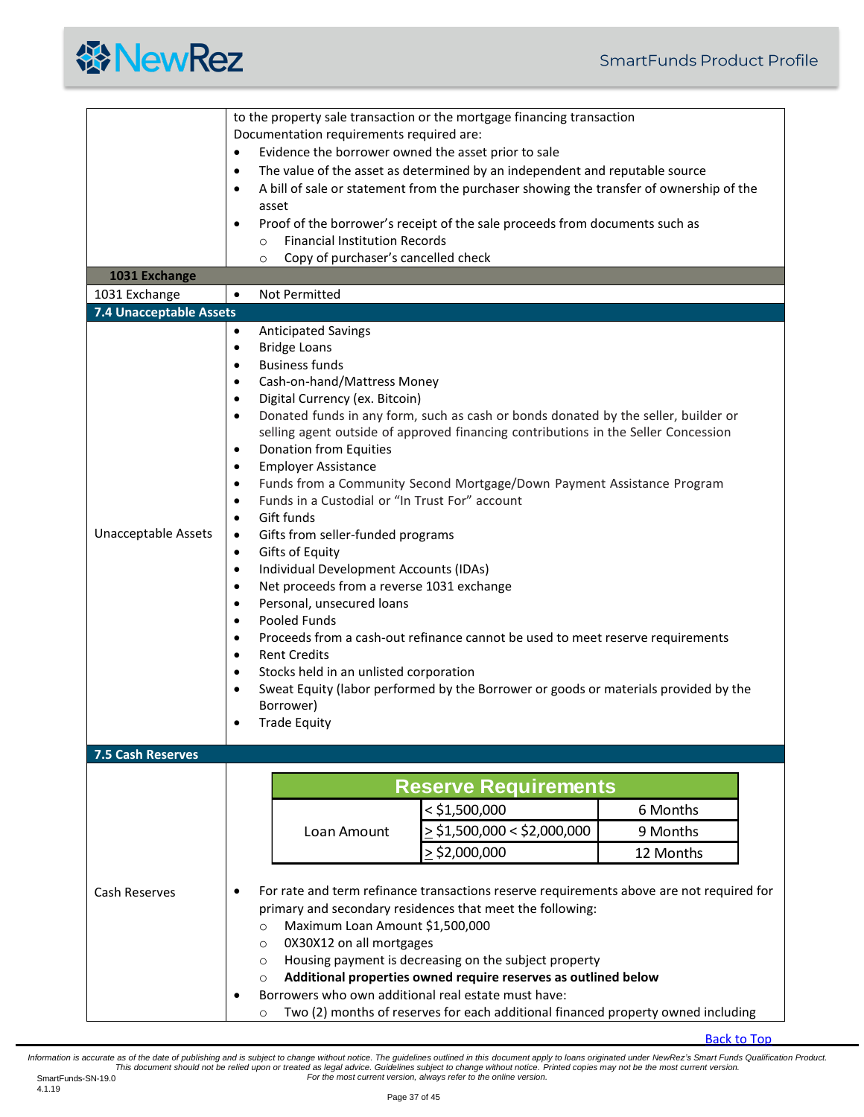

<span id="page-36-1"></span><span id="page-36-0"></span>

| 1031 Exchange<br>1031 Exchange<br>7.4 Unacceptable Assets | to the property sale transaction or the mortgage financing transaction<br>Documentation requirements required are:<br>Evidence the borrower owned the asset prior to sale<br>$\bullet$<br>The value of the asset as determined by an independent and reputable source<br>$\bullet$<br>A bill of sale or statement from the purchaser showing the transfer of ownership of the<br>$\bullet$<br>asset<br>Proof of the borrower's receipt of the sale proceeds from documents such as<br>$\bullet$<br><b>Financial Institution Records</b><br>$\circ$<br>Copy of purchaser's cancelled check<br>$\circ$<br>Not Permitted<br>$\bullet$                                                                                                                                                                                                                                                                                                                                                                                                                                                                                                                                                                                                                                                               |
|-----------------------------------------------------------|--------------------------------------------------------------------------------------------------------------------------------------------------------------------------------------------------------------------------------------------------------------------------------------------------------------------------------------------------------------------------------------------------------------------------------------------------------------------------------------------------------------------------------------------------------------------------------------------------------------------------------------------------------------------------------------------------------------------------------------------------------------------------------------------------------------------------------------------------------------------------------------------------------------------------------------------------------------------------------------------------------------------------------------------------------------------------------------------------------------------------------------------------------------------------------------------------------------------------------------------------------------------------------------------------|
| <b>Unacceptable Assets</b>                                | <b>Anticipated Savings</b><br>$\bullet$<br><b>Bridge Loans</b><br>٠<br><b>Business funds</b><br>$\bullet$<br>Cash-on-hand/Mattress Money<br>$\bullet$<br>Digital Currency (ex. Bitcoin)<br>$\bullet$<br>Donated funds in any form, such as cash or bonds donated by the seller, builder or<br>$\bullet$<br>selling agent outside of approved financing contributions in the Seller Concession<br><b>Donation from Equities</b><br>$\bullet$<br><b>Employer Assistance</b><br>$\bullet$<br>Funds from a Community Second Mortgage/Down Payment Assistance Program<br>$\bullet$<br>Funds in a Custodial or "In Trust For" account<br>$\bullet$<br>Gift funds<br>$\bullet$<br>Gifts from seller-funded programs<br>$\bullet$<br>Gifts of Equity<br>$\bullet$<br>Individual Development Accounts (IDAs)<br>$\bullet$<br>Net proceeds from a reverse 1031 exchange<br>$\bullet$<br>Personal, unsecured loans<br>$\bullet$<br>Pooled Funds<br>$\bullet$<br>Proceeds from a cash-out refinance cannot be used to meet reserve requirements<br>$\bullet$<br><b>Rent Credits</b><br>$\bullet$<br>Stocks held in an unlisted corporation<br>$\bullet$<br>Sweat Equity (labor performed by the Borrower or goods or materials provided by the<br>$\bullet$<br>Borrower)<br><b>Trade Equity</b><br>$\bullet$ |
| 7.5 Cash Reserves                                         |                                                                                                                                                                                                                                                                                                                                                                                                                                                                                                                                                                                                                                                                                                                                                                                                                                                                                                                                                                                                                                                                                                                                                                                                                                                                                                  |
|                                                           | <b>Reserve Requirements</b><br>$<$ \$1,500,000<br>6 Months<br>$\geq$ \$1,500,000 < \$2,000,000<br>9 Months<br>Loan Amount<br>$>$ \$2,000,000<br>12 Months                                                                                                                                                                                                                                                                                                                                                                                                                                                                                                                                                                                                                                                                                                                                                                                                                                                                                                                                                                                                                                                                                                                                        |
| <b>Cash Reserves</b>                                      | For rate and term refinance transactions reserve requirements above are not required for<br>٠<br>primary and secondary residences that meet the following:<br>Maximum Loan Amount \$1,500,000<br>$\circ$<br>0X30X12 on all mortgages<br>$\circ$<br>Housing payment is decreasing on the subject property<br>$\circ$<br>Additional properties owned require reserves as outlined below<br>$\circ$<br>Borrowers who own additional real estate must have:<br>Two (2) months of reserves for each additional financed property owned including<br>$\circ$                                                                                                                                                                                                                                                                                                                                                                                                                                                                                                                                                                                                                                                                                                                                           |

<span id="page-36-2"></span>Information is accurate as of the date of publishing and is subject to change without notice. The guidelines outlined in this document apply to loans originated under NewRez's Smart Funds Qualification Product.<br>This docume SmartFunds-SN-19.0<br>4.1.19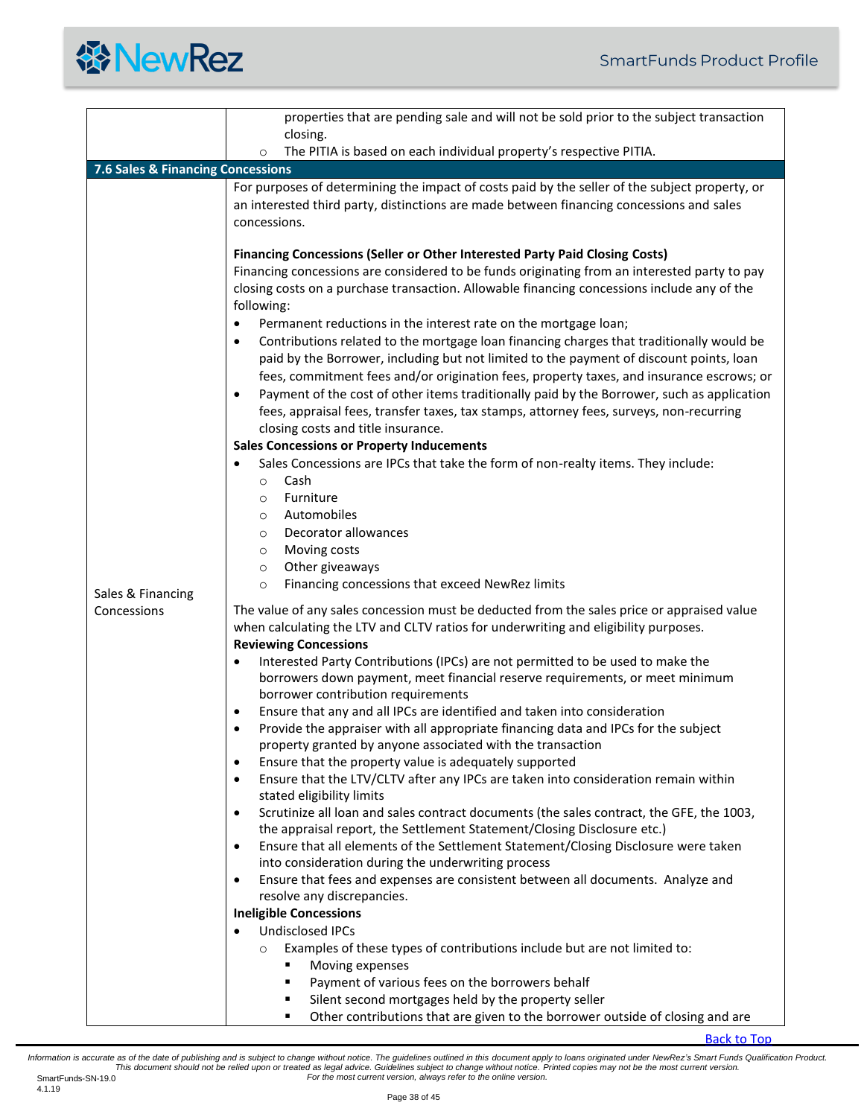<span id="page-37-0"></span>

|                                   | properties that are pending sale and will not be sold prior to the subject transaction                                                                                                                                                                                                                                                                                                                                                                                                                                                                                                                                                                                                                                                                                                                                                                                                                                                                                                                                                                                                                                                                                                                                                                                                                                                                        |
|-----------------------------------|---------------------------------------------------------------------------------------------------------------------------------------------------------------------------------------------------------------------------------------------------------------------------------------------------------------------------------------------------------------------------------------------------------------------------------------------------------------------------------------------------------------------------------------------------------------------------------------------------------------------------------------------------------------------------------------------------------------------------------------------------------------------------------------------------------------------------------------------------------------------------------------------------------------------------------------------------------------------------------------------------------------------------------------------------------------------------------------------------------------------------------------------------------------------------------------------------------------------------------------------------------------------------------------------------------------------------------------------------------------|
|                                   | closing.                                                                                                                                                                                                                                                                                                                                                                                                                                                                                                                                                                                                                                                                                                                                                                                                                                                                                                                                                                                                                                                                                                                                                                                                                                                                                                                                                      |
|                                   | The PITIA is based on each individual property's respective PITIA.<br>$\circ$                                                                                                                                                                                                                                                                                                                                                                                                                                                                                                                                                                                                                                                                                                                                                                                                                                                                                                                                                                                                                                                                                                                                                                                                                                                                                 |
| 7.6 Sales & Financing Concessions |                                                                                                                                                                                                                                                                                                                                                                                                                                                                                                                                                                                                                                                                                                                                                                                                                                                                                                                                                                                                                                                                                                                                                                                                                                                                                                                                                               |
|                                   | For purposes of determining the impact of costs paid by the seller of the subject property, or<br>an interested third party, distinctions are made between financing concessions and sales<br>concessions.                                                                                                                                                                                                                                                                                                                                                                                                                                                                                                                                                                                                                                                                                                                                                                                                                                                                                                                                                                                                                                                                                                                                                    |
|                                   | Financing Concessions (Seller or Other Interested Party Paid Closing Costs)<br>Financing concessions are considered to be funds originating from an interested party to pay<br>closing costs on a purchase transaction. Allowable financing concessions include any of the<br>following:<br>Permanent reductions in the interest rate on the mortgage loan;<br>٠<br>Contributions related to the mortgage loan financing charges that traditionally would be<br>$\bullet$<br>paid by the Borrower, including but not limited to the payment of discount points, loan<br>fees, commitment fees and/or origination fees, property taxes, and insurance escrows; or<br>Payment of the cost of other items traditionally paid by the Borrower, such as application<br>٠<br>fees, appraisal fees, transfer taxes, tax stamps, attorney fees, surveys, non-recurring<br>closing costs and title insurance.<br><b>Sales Concessions or Property Inducements</b><br>Sales Concessions are IPCs that take the form of non-realty items. They include:<br>٠<br>Cash<br>$\circ$<br>Furniture<br>$\circ$<br>Automobiles<br>$\circ$<br>Decorator allowances<br>$\circ$<br>Moving costs<br>$\circ$                                                                                                                                                                          |
|                                   | Other giveaways<br>$\circ$<br>Financing concessions that exceed NewRez limits                                                                                                                                                                                                                                                                                                                                                                                                                                                                                                                                                                                                                                                                                                                                                                                                                                                                                                                                                                                                                                                                                                                                                                                                                                                                                 |
| Sales & Financing                 | $\circ$                                                                                                                                                                                                                                                                                                                                                                                                                                                                                                                                                                                                                                                                                                                                                                                                                                                                                                                                                                                                                                                                                                                                                                                                                                                                                                                                                       |
| Concessions                       | The value of any sales concession must be deducted from the sales price or appraised value<br>when calculating the LTV and CLTV ratios for underwriting and eligibility purposes.<br><b>Reviewing Concessions</b><br>Interested Party Contributions (IPCs) are not permitted to be used to make the<br>$\bullet$<br>borrowers down payment, meet financial reserve requirements, or meet minimum<br>borrower contribution requirements<br>Ensure that any and all IPCs are identified and taken into consideration<br>Provide the appraiser with all appropriate financing data and IPCs for the subject<br>٠<br>property granted by anyone associated with the transaction<br>Ensure that the property value is adequately supported<br>$\bullet$<br>Ensure that the LTV/CLTV after any IPCs are taken into consideration remain within<br>$\bullet$<br>stated eligibility limits<br>Scrutinize all loan and sales contract documents (the sales contract, the GFE, the 1003,<br>$\bullet$<br>the appraisal report, the Settlement Statement/Closing Disclosure etc.)<br>Ensure that all elements of the Settlement Statement/Closing Disclosure were taken<br>$\bullet$<br>into consideration during the underwriting process<br>Ensure that fees and expenses are consistent between all documents. Analyze and<br>$\bullet$<br>resolve any discrepancies. |
|                                   | <b>Ineligible Concessions</b>                                                                                                                                                                                                                                                                                                                                                                                                                                                                                                                                                                                                                                                                                                                                                                                                                                                                                                                                                                                                                                                                                                                                                                                                                                                                                                                                 |
|                                   | <b>Undisclosed IPCs</b>                                                                                                                                                                                                                                                                                                                                                                                                                                                                                                                                                                                                                                                                                                                                                                                                                                                                                                                                                                                                                                                                                                                                                                                                                                                                                                                                       |
|                                   | $\bullet$<br>Examples of these types of contributions include but are not limited to:<br>$\circ$<br>Moving expenses<br>٠                                                                                                                                                                                                                                                                                                                                                                                                                                                                                                                                                                                                                                                                                                                                                                                                                                                                                                                                                                                                                                                                                                                                                                                                                                      |
|                                   | Payment of various fees on the borrowers behalf<br>٠                                                                                                                                                                                                                                                                                                                                                                                                                                                                                                                                                                                                                                                                                                                                                                                                                                                                                                                                                                                                                                                                                                                                                                                                                                                                                                          |
|                                   | Silent second mortgages held by the property seller<br>٠<br>Other contributions that are given to the borrower outside of closing and are<br>٠                                                                                                                                                                                                                                                                                                                                                                                                                                                                                                                                                                                                                                                                                                                                                                                                                                                                                                                                                                                                                                                                                                                                                                                                                |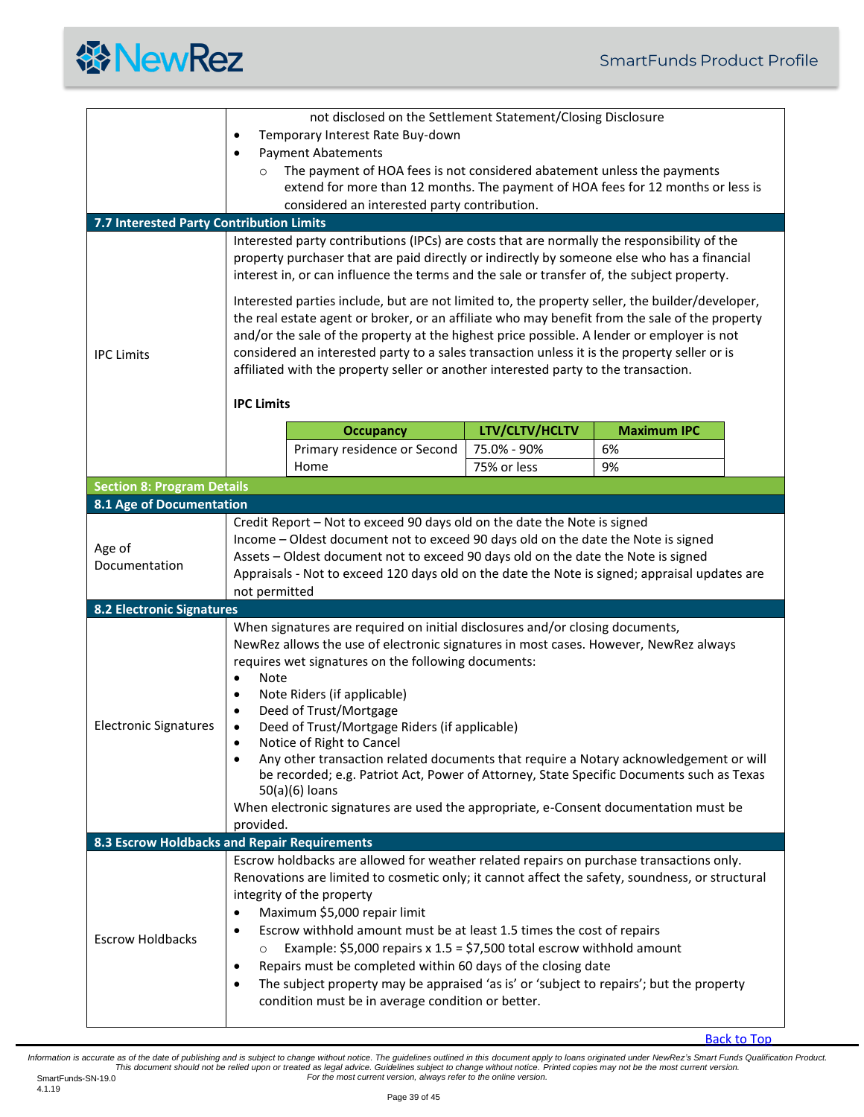

<span id="page-38-4"></span><span id="page-38-3"></span><span id="page-38-2"></span><span id="page-38-1"></span><span id="page-38-0"></span>

| 7.7 Interested Party Contribution Limits     | $\bullet$<br>$\circ$                                                                                                                                                                                                                                                                                                                                                                                                                                                                   | not disclosed on the Settlement Statement/Closing Disclosure<br>Temporary Interest Rate Buy-down<br><b>Payment Abatements</b><br>The payment of HOA fees is not considered abatement unless the payments<br>extend for more than 12 months. The payment of HOA fees for 12 months or less is<br>considered an interested party contribution.                                                                                                                                                                                                                                                                                                                       |                |                    |  |
|----------------------------------------------|----------------------------------------------------------------------------------------------------------------------------------------------------------------------------------------------------------------------------------------------------------------------------------------------------------------------------------------------------------------------------------------------------------------------------------------------------------------------------------------|--------------------------------------------------------------------------------------------------------------------------------------------------------------------------------------------------------------------------------------------------------------------------------------------------------------------------------------------------------------------------------------------------------------------------------------------------------------------------------------------------------------------------------------------------------------------------------------------------------------------------------------------------------------------|----------------|--------------------|--|
|                                              |                                                                                                                                                                                                                                                                                                                                                                                                                                                                                        |                                                                                                                                                                                                                                                                                                                                                                                                                                                                                                                                                                                                                                                                    |                |                    |  |
|                                              | Interested party contributions (IPCs) are costs that are normally the responsibility of the<br>property purchaser that are paid directly or indirectly by someone else who has a financial<br>interest in, or can influence the terms and the sale or transfer of, the subject property.                                                                                                                                                                                               |                                                                                                                                                                                                                                                                                                                                                                                                                                                                                                                                                                                                                                                                    |                |                    |  |
| <b>IPC Limits</b>                            | Interested parties include, but are not limited to, the property seller, the builder/developer,<br>the real estate agent or broker, or an affiliate who may benefit from the sale of the property<br>and/or the sale of the property at the highest price possible. A lender or employer is not<br>considered an interested party to a sales transaction unless it is the property seller or is<br>affiliated with the property seller or another interested party to the transaction. |                                                                                                                                                                                                                                                                                                                                                                                                                                                                                                                                                                                                                                                                    |                |                    |  |
|                                              | <b>IPC Limits</b>                                                                                                                                                                                                                                                                                                                                                                                                                                                                      |                                                                                                                                                                                                                                                                                                                                                                                                                                                                                                                                                                                                                                                                    |                |                    |  |
|                                              |                                                                                                                                                                                                                                                                                                                                                                                                                                                                                        | <b>Occupancy</b>                                                                                                                                                                                                                                                                                                                                                                                                                                                                                                                                                                                                                                                   | LTV/CLTV/HCLTV | <b>Maximum IPC</b> |  |
|                                              |                                                                                                                                                                                                                                                                                                                                                                                                                                                                                        | Primary residence or Second                                                                                                                                                                                                                                                                                                                                                                                                                                                                                                                                                                                                                                        | 75.0% - 90%    | 6%                 |  |
|                                              |                                                                                                                                                                                                                                                                                                                                                                                                                                                                                        | Home                                                                                                                                                                                                                                                                                                                                                                                                                                                                                                                                                                                                                                                               | 75% or less    | 9%                 |  |
| <b>Section 8: Program Details</b>            |                                                                                                                                                                                                                                                                                                                                                                                                                                                                                        |                                                                                                                                                                                                                                                                                                                                                                                                                                                                                                                                                                                                                                                                    |                |                    |  |
| 8.1 Age of Documentation                     |                                                                                                                                                                                                                                                                                                                                                                                                                                                                                        |                                                                                                                                                                                                                                                                                                                                                                                                                                                                                                                                                                                                                                                                    |                |                    |  |
| Age of<br>Documentation                      | Credit Report - Not to exceed 90 days old on the date the Note is signed<br>Income - Oldest document not to exceed 90 days old on the date the Note is signed<br>Assets - Oldest document not to exceed 90 days old on the date the Note is signed<br>Appraisals - Not to exceed 120 days old on the date the Note is signed; appraisal updates are<br>not permitted                                                                                                                   |                                                                                                                                                                                                                                                                                                                                                                                                                                                                                                                                                                                                                                                                    |                |                    |  |
| <b>8.2 Electronic Signatures</b>             |                                                                                                                                                                                                                                                                                                                                                                                                                                                                                        |                                                                                                                                                                                                                                                                                                                                                                                                                                                                                                                                                                                                                                                                    |                |                    |  |
| <b>Electronic Signatures</b>                 | Note<br>$\bullet$<br>$\bullet$<br>٠<br>$\bullet$<br>provided.                                                                                                                                                                                                                                                                                                                                                                                                                          | When signatures are required on initial disclosures and/or closing documents,<br>NewRez allows the use of electronic signatures in most cases. However, NewRez always<br>requires wet signatures on the following documents:<br>Note Riders (if applicable)<br>Deed of Trust/Mortgage<br>Deed of Trust/Mortgage Riders (if applicable)<br>Notice of Right to Cancel<br>Any other transaction related documents that require a Notary acknowledgement or will<br>be recorded; e.g. Patriot Act, Power of Attorney, State Specific Documents such as Texas<br>50(a)(6) loans<br>When electronic signatures are used the appropriate, e-Consent documentation must be |                |                    |  |
| 8.3 Escrow Holdbacks and Repair Requirements |                                                                                                                                                                                                                                                                                                                                                                                                                                                                                        |                                                                                                                                                                                                                                                                                                                                                                                                                                                                                                                                                                                                                                                                    |                |                    |  |
| <b>Escrow Holdbacks</b>                      | $\bullet$<br>$\bullet$<br>$\circ$<br>$\bullet$<br>٠                                                                                                                                                                                                                                                                                                                                                                                                                                    | Escrow holdbacks are allowed for weather related repairs on purchase transactions only.<br>Renovations are limited to cosmetic only; it cannot affect the safety, soundness, or structural<br>integrity of the property<br>Maximum \$5,000 repair limit<br>Escrow withhold amount must be at least 1.5 times the cost of repairs<br>Example: \$5,000 repairs x $1.5 = $7,500$ total escrow withhold amount<br>Repairs must be completed within 60 days of the closing date<br>The subject property may be appraised 'as is' or 'subject to repairs'; but the property<br>condition must be in average condition or better.                                         |                |                    |  |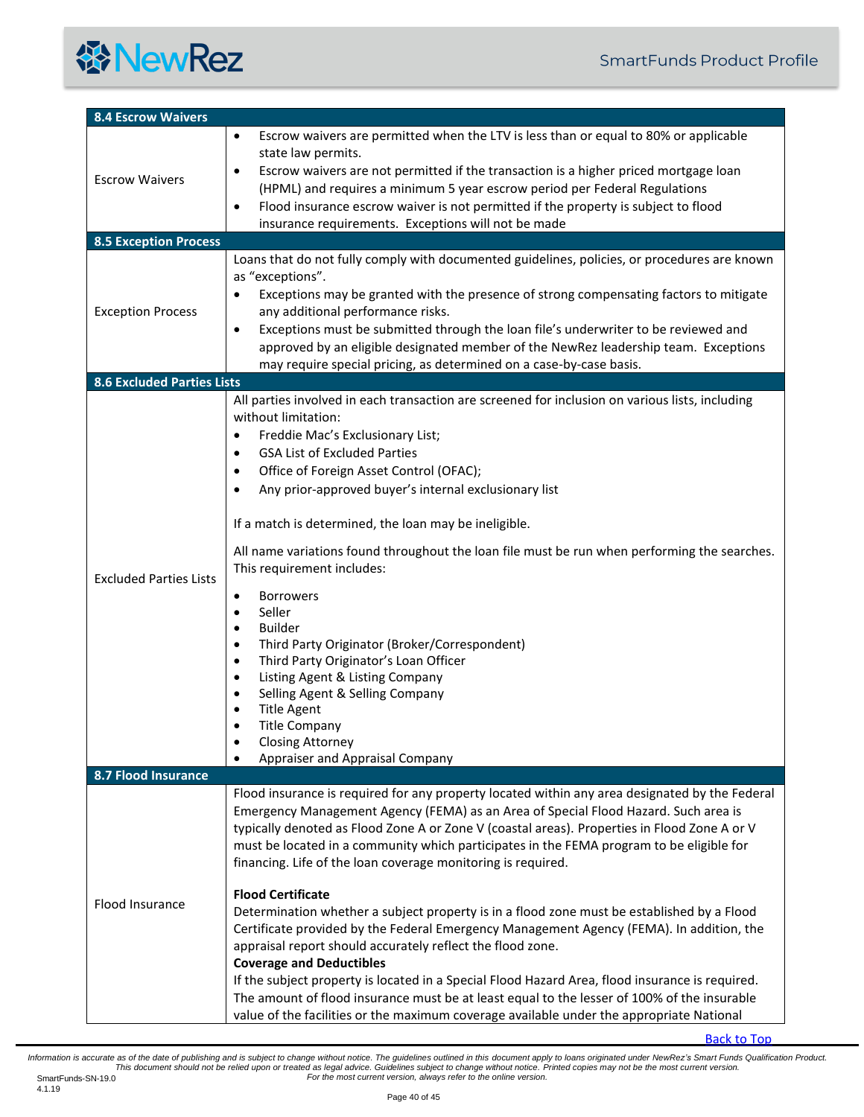

<span id="page-39-3"></span><span id="page-39-2"></span><span id="page-39-1"></span><span id="page-39-0"></span>

| <b>8.4 Escrow Waivers</b>         |                                                                                                                                                                                                                                                                                                                                                                                                                                                                                                                                                                                                                                                                                                                                                                                                                                                                                                                                                                                                                                                                        |
|-----------------------------------|------------------------------------------------------------------------------------------------------------------------------------------------------------------------------------------------------------------------------------------------------------------------------------------------------------------------------------------------------------------------------------------------------------------------------------------------------------------------------------------------------------------------------------------------------------------------------------------------------------------------------------------------------------------------------------------------------------------------------------------------------------------------------------------------------------------------------------------------------------------------------------------------------------------------------------------------------------------------------------------------------------------------------------------------------------------------|
| <b>Escrow Waivers</b>             | Escrow waivers are permitted when the LTV is less than or equal to 80% or applicable<br>$\bullet$<br>state law permits.<br>Escrow waivers are not permitted if the transaction is a higher priced mortgage loan<br>$\bullet$<br>(HPML) and requires a minimum 5 year escrow period per Federal Regulations<br>Flood insurance escrow waiver is not permitted if the property is subject to flood<br>$\bullet$<br>insurance requirements. Exceptions will not be made                                                                                                                                                                                                                                                                                                                                                                                                                                                                                                                                                                                                   |
| <b>8.5 Exception Process</b>      |                                                                                                                                                                                                                                                                                                                                                                                                                                                                                                                                                                                                                                                                                                                                                                                                                                                                                                                                                                                                                                                                        |
| <b>Exception Process</b>          | Loans that do not fully comply with documented guidelines, policies, or procedures are known<br>as "exceptions".<br>Exceptions may be granted with the presence of strong compensating factors to mitigate<br>$\bullet$<br>any additional performance risks.<br>Exceptions must be submitted through the loan file's underwriter to be reviewed and<br>$\bullet$<br>approved by an eligible designated member of the NewRez leadership team. Exceptions<br>may require special pricing, as determined on a case-by-case basis.                                                                                                                                                                                                                                                                                                                                                                                                                                                                                                                                         |
| <b>8.6 Excluded Parties Lists</b> |                                                                                                                                                                                                                                                                                                                                                                                                                                                                                                                                                                                                                                                                                                                                                                                                                                                                                                                                                                                                                                                                        |
| <b>Excluded Parties Lists</b>     | All parties involved in each transaction are screened for inclusion on various lists, including<br>without limitation:<br>Freddie Mac's Exclusionary List;<br>$\bullet$<br><b>GSA List of Excluded Parties</b><br>$\bullet$<br>Office of Foreign Asset Control (OFAC);<br>$\bullet$<br>Any prior-approved buyer's internal exclusionary list<br>٠<br>If a match is determined, the loan may be ineligible.<br>All name variations found throughout the loan file must be run when performing the searches.<br>This requirement includes:<br><b>Borrowers</b><br>$\bullet$<br>Seller<br>$\bullet$<br><b>Builder</b><br>$\bullet$<br>Third Party Originator (Broker/Correspondent)<br>$\bullet$<br>Third Party Originator's Loan Officer<br>$\bullet$<br>Listing Agent & Listing Company<br>$\bullet$<br>Selling Agent & Selling Company<br>$\bullet$<br><b>Title Agent</b><br><b>Title Company</b><br><b>Closing Attorney</b><br>Appraiser and Appraisal Company                                                                                                        |
| 8.7 Flood Insurance               |                                                                                                                                                                                                                                                                                                                                                                                                                                                                                                                                                                                                                                                                                                                                                                                                                                                                                                                                                                                                                                                                        |
| Flood Insurance                   | Flood insurance is required for any property located within any area designated by the Federal<br>Emergency Management Agency (FEMA) as an Area of Special Flood Hazard. Such area is<br>typically denoted as Flood Zone A or Zone V (coastal areas). Properties in Flood Zone A or V<br>must be located in a community which participates in the FEMA program to be eligible for<br>financing. Life of the loan coverage monitoring is required.<br><b>Flood Certificate</b><br>Determination whether a subject property is in a flood zone must be established by a Flood<br>Certificate provided by the Federal Emergency Management Agency (FEMA). In addition, the<br>appraisal report should accurately reflect the flood zone.<br><b>Coverage and Deductibles</b><br>If the subject property is located in a Special Flood Hazard Area, flood insurance is required.<br>The amount of flood insurance must be at least equal to the lesser of 100% of the insurable<br>value of the facilities or the maximum coverage available under the appropriate National |

[Back to Top](#page-0-0)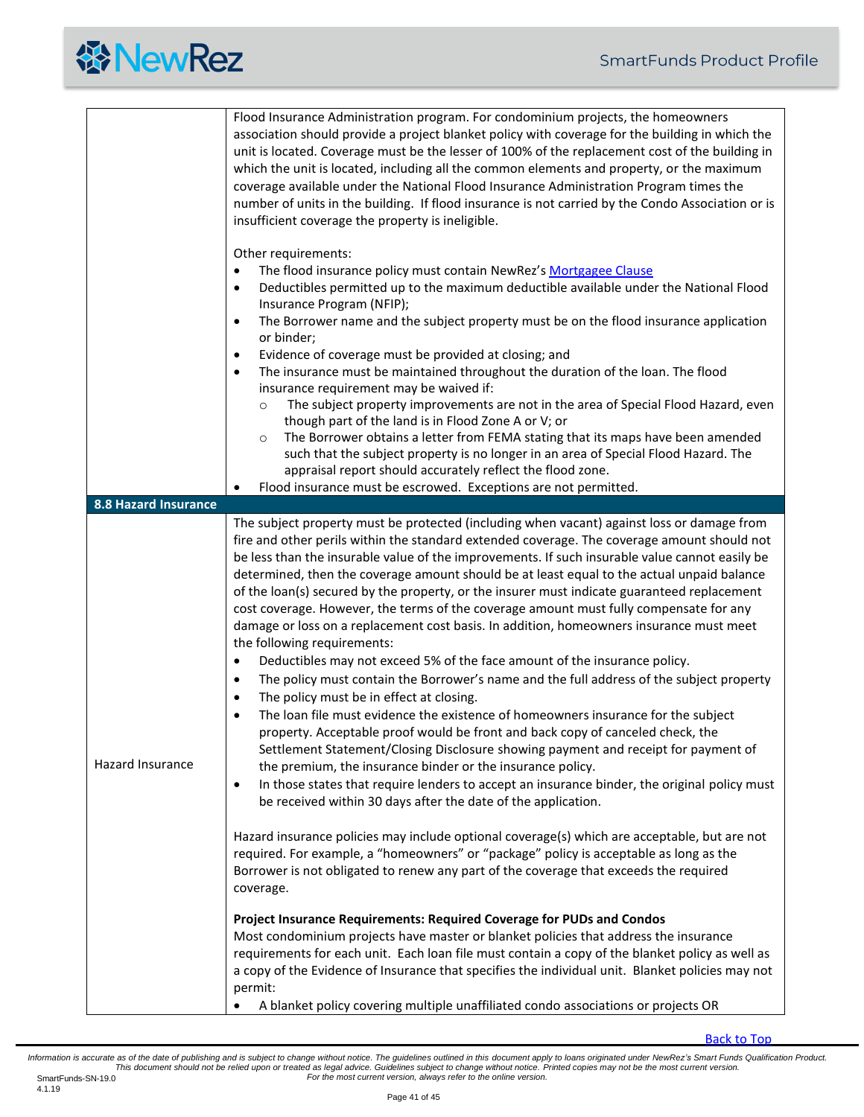<span id="page-40-0"></span>

|                             | Flood Insurance Administration program. For condominium projects, the homeowners<br>association should provide a project blanket policy with coverage for the building in which the<br>unit is located. Coverage must be the lesser of 100% of the replacement cost of the building in<br>which the unit is located, including all the common elements and property, or the maximum<br>coverage available under the National Flood Insurance Administration Program times the<br>number of units in the building. If flood insurance is not carried by the Condo Association or is<br>insufficient coverage the property is ineligible.<br>Other requirements:                                                                                                                                                                                                                                                                                                                                                                                                                                                                                                                                                                                                                                                                                                                                                                                                                                                                                                                                                                                                                   |
|-----------------------------|----------------------------------------------------------------------------------------------------------------------------------------------------------------------------------------------------------------------------------------------------------------------------------------------------------------------------------------------------------------------------------------------------------------------------------------------------------------------------------------------------------------------------------------------------------------------------------------------------------------------------------------------------------------------------------------------------------------------------------------------------------------------------------------------------------------------------------------------------------------------------------------------------------------------------------------------------------------------------------------------------------------------------------------------------------------------------------------------------------------------------------------------------------------------------------------------------------------------------------------------------------------------------------------------------------------------------------------------------------------------------------------------------------------------------------------------------------------------------------------------------------------------------------------------------------------------------------------------------------------------------------------------------------------------------------|
|                             | The flood insurance policy must contain NewRez's Mortgagee Clause<br>$\bullet$<br>Deductibles permitted up to the maximum deductible available under the National Flood<br>$\bullet$<br>Insurance Program (NFIP);<br>The Borrower name and the subject property must be on the flood insurance application<br>$\bullet$<br>or binder;<br>Evidence of coverage must be provided at closing; and<br>$\bullet$<br>The insurance must be maintained throughout the duration of the loan. The flood<br>$\bullet$<br>insurance requirement may be waived if:<br>The subject property improvements are not in the area of Special Flood Hazard, even<br>$\circ$<br>though part of the land is in Flood Zone A or V; or<br>The Borrower obtains a letter from FEMA stating that its maps have been amended<br>$\circ$<br>such that the subject property is no longer in an area of Special Flood Hazard. The<br>appraisal report should accurately reflect the flood zone.                                                                                                                                                                                                                                                                                                                                                                                                                                                                                                                                                                                                                                                                                                               |
|                             | Flood insurance must be escrowed. Exceptions are not permitted.<br>٠                                                                                                                                                                                                                                                                                                                                                                                                                                                                                                                                                                                                                                                                                                                                                                                                                                                                                                                                                                                                                                                                                                                                                                                                                                                                                                                                                                                                                                                                                                                                                                                                             |
| <b>8.8 Hazard Insurance</b> |                                                                                                                                                                                                                                                                                                                                                                                                                                                                                                                                                                                                                                                                                                                                                                                                                                                                                                                                                                                                                                                                                                                                                                                                                                                                                                                                                                                                                                                                                                                                                                                                                                                                                  |
| <b>Hazard Insurance</b>     | The subject property must be protected (including when vacant) against loss or damage from<br>fire and other perils within the standard extended coverage. The coverage amount should not<br>be less than the insurable value of the improvements. If such insurable value cannot easily be<br>determined, then the coverage amount should be at least equal to the actual unpaid balance<br>of the loan(s) secured by the property, or the insurer must indicate guaranteed replacement<br>cost coverage. However, the terms of the coverage amount must fully compensate for any<br>damage or loss on a replacement cost basis. In addition, homeowners insurance must meet<br>the following requirements:<br>Deductibles may not exceed 5% of the face amount of the insurance policy.<br>$\bullet$<br>The policy must contain the Borrower's name and the full address of the subject property<br>٠<br>The policy must be in effect at closing.<br>$\bullet$<br>The loan file must evidence the existence of homeowners insurance for the subject<br>$\bullet$<br>property. Acceptable proof would be front and back copy of canceled check, the<br>Settlement Statement/Closing Disclosure showing payment and receipt for payment of<br>the premium, the insurance binder or the insurance policy.<br>In those states that require lenders to accept an insurance binder, the original policy must<br>$\bullet$<br>be received within 30 days after the date of the application.<br>Hazard insurance policies may include optional coverage(s) which are acceptable, but are not<br>required. For example, a "homeowners" or "package" policy is acceptable as long as the |
|                             | Borrower is not obligated to renew any part of the coverage that exceeds the required<br>coverage.<br>Project Insurance Requirements: Required Coverage for PUDs and Condos<br>Most condominium projects have master or blanket policies that address the insurance<br>requirements for each unit. Each loan file must contain a copy of the blanket policy as well as<br>a copy of the Evidence of Insurance that specifies the individual unit. Blanket policies may not<br>permit:<br>A blanket policy covering multiple unaffiliated condo associations or projects OR<br>$\bullet$                                                                                                                                                                                                                                                                                                                                                                                                                                                                                                                                                                                                                                                                                                                                                                                                                                                                                                                                                                                                                                                                                          |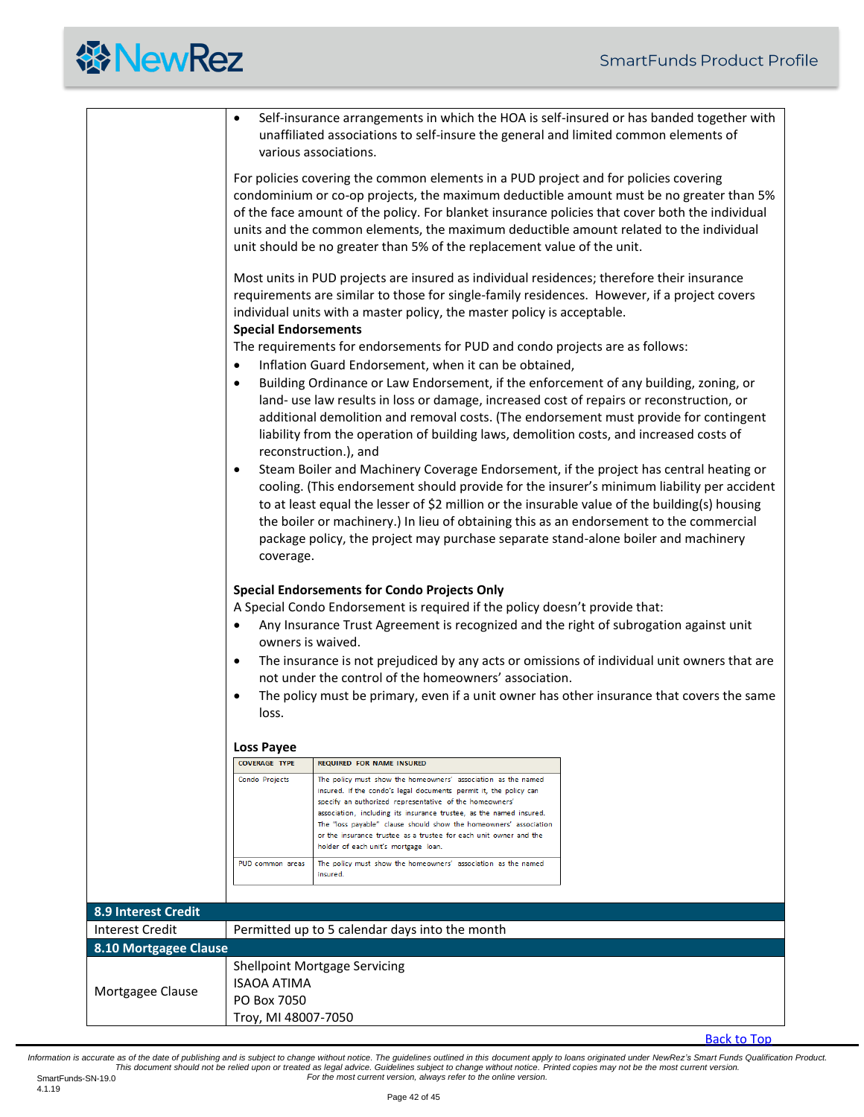|                        |                                                                                                                                                                                                                                                                                                                                                                                                                                                                                                                                          | Self-insurance arrangements in which the HOA is self-insured or has banded together with<br>unaffiliated associations to self-insure the general and limited common elements of<br>various associations.                                                                                                                                                                                                                                                                                                                                                                                                                                                                                                                    |  |  |  |
|------------------------|------------------------------------------------------------------------------------------------------------------------------------------------------------------------------------------------------------------------------------------------------------------------------------------------------------------------------------------------------------------------------------------------------------------------------------------------------------------------------------------------------------------------------------------|-----------------------------------------------------------------------------------------------------------------------------------------------------------------------------------------------------------------------------------------------------------------------------------------------------------------------------------------------------------------------------------------------------------------------------------------------------------------------------------------------------------------------------------------------------------------------------------------------------------------------------------------------------------------------------------------------------------------------------|--|--|--|
|                        | For policies covering the common elements in a PUD project and for policies covering<br>condominium or co-op projects, the maximum deductible amount must be no greater than 5%<br>of the face amount of the policy. For blanket insurance policies that cover both the individual<br>units and the common elements, the maximum deductible amount related to the individual<br>unit should be no greater than 5% of the replacement value of the unit.                                                                                  |                                                                                                                                                                                                                                                                                                                                                                                                                                                                                                                                                                                                                                                                                                                             |  |  |  |
|                        | $\bullet$<br>$\bullet$                                                                                                                                                                                                                                                                                                                                                                                                                                                                                                                   | Most units in PUD projects are insured as individual residences; therefore their insurance<br>requirements are similar to those for single-family residences. However, if a project covers<br>individual units with a master policy, the master policy is acceptable.<br><b>Special Endorsements</b><br>The requirements for endorsements for PUD and condo projects are as follows:<br>Inflation Guard Endorsement, when it can be obtained,<br>Building Ordinance or Law Endorsement, if the enforcement of any building, zoning, or<br>land- use law results in loss or damage, increased cost of repairs or reconstruction, or<br>additional demolition and removal costs. (The endorsement must provide for contingent |  |  |  |
|                        | $\bullet$<br>coverage.                                                                                                                                                                                                                                                                                                                                                                                                                                                                                                                   | liability from the operation of building laws, demolition costs, and increased costs of<br>reconstruction.), and<br>Steam Boiler and Machinery Coverage Endorsement, if the project has central heating or<br>cooling. (This endorsement should provide for the insurer's minimum liability per accident<br>to at least equal the lesser of \$2 million or the insurable value of the building(s) housing<br>the boiler or machinery.) In lieu of obtaining this as an endorsement to the commercial<br>package policy, the project may purchase separate stand-alone boiler and machinery                                                                                                                                  |  |  |  |
|                        | <b>Special Endorsements for Condo Projects Only</b><br>A Special Condo Endorsement is required if the policy doesn't provide that:<br>Any Insurance Trust Agreement is recognized and the right of subrogation against unit<br>owners is waived.<br>The insurance is not prejudiced by any acts or omissions of individual unit owners that are<br>$\bullet$<br>not under the control of the homeowners' association.<br>The policy must be primary, even if a unit owner has other insurance that covers the same<br>$\bullet$<br>loss. |                                                                                                                                                                                                                                                                                                                                                                                                                                                                                                                                                                                                                                                                                                                             |  |  |  |
|                        | <b>Loss Payee</b>                                                                                                                                                                                                                                                                                                                                                                                                                                                                                                                        |                                                                                                                                                                                                                                                                                                                                                                                                                                                                                                                                                                                                                                                                                                                             |  |  |  |
|                        | <b>COVERAGE TYPE</b><br><b>Condo Projects</b>                                                                                                                                                                                                                                                                                                                                                                                                                                                                                            | REQUIRED FOR NAME INSURED<br>The policy must show the homeowners' association as the named<br>insured. If the condo's legal documents permit it, the policy can<br>specify an authorized representative of the homeowners'<br>association, including its insurance trustee, as the named insured.<br>The "loss payable" clause should show the homeowners' association<br>or the insurance trustee as a trustee for each unit owner and the<br>holder of each unit's mortgage loan.                                                                                                                                                                                                                                         |  |  |  |
|                        | PUD common areas                                                                                                                                                                                                                                                                                                                                                                                                                                                                                                                         | The policy must show the homeowners' association as the named<br>insured                                                                                                                                                                                                                                                                                                                                                                                                                                                                                                                                                                                                                                                    |  |  |  |
| 8.9 Interest Credit    |                                                                                                                                                                                                                                                                                                                                                                                                                                                                                                                                          |                                                                                                                                                                                                                                                                                                                                                                                                                                                                                                                                                                                                                                                                                                                             |  |  |  |
| <b>Interest Credit</b> |                                                                                                                                                                                                                                                                                                                                                                                                                                                                                                                                          | Permitted up to 5 calendar days into the month                                                                                                                                                                                                                                                                                                                                                                                                                                                                                                                                                                                                                                                                              |  |  |  |
| 8.10 Mortgagee Clause  |                                                                                                                                                                                                                                                                                                                                                                                                                                                                                                                                          |                                                                                                                                                                                                                                                                                                                                                                                                                                                                                                                                                                                                                                                                                                                             |  |  |  |
| Mortgagee Clause       | <b>ISAOA ATIMA</b><br>PO Box 7050<br>Troy, MI 48007-7050                                                                                                                                                                                                                                                                                                                                                                                                                                                                                 | <b>Shellpoint Mortgage Servicing</b>                                                                                                                                                                                                                                                                                                                                                                                                                                                                                                                                                                                                                                                                                        |  |  |  |

<span id="page-41-1"></span><span id="page-41-0"></span>[Back to Top](#page-0-0)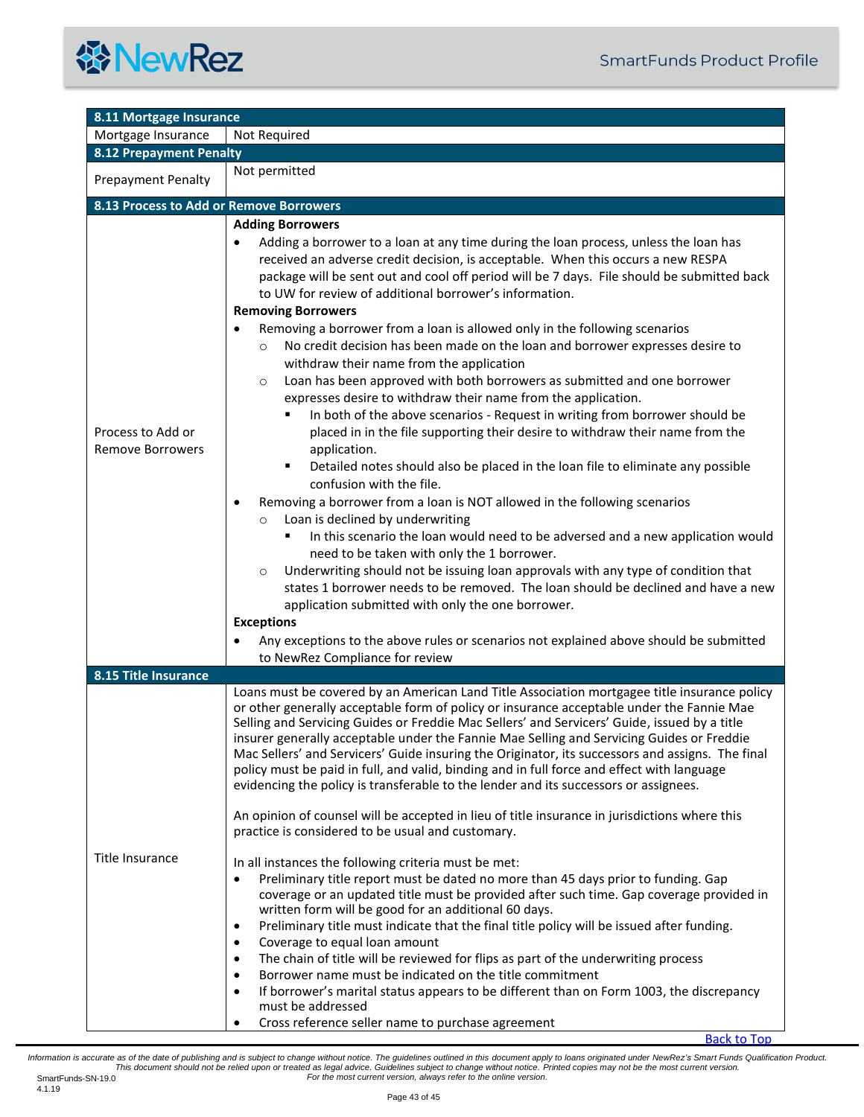<span id="page-42-3"></span><span id="page-42-2"></span><span id="page-42-1"></span><span id="page-42-0"></span>

| 8.11 Mortgage Insurance                      |                                                                                                                                                                                                                                                                                                                                                                                                                                                                                                                                                                                                                                                                                                                                                                                                                                                                                                                                                                                                                                                                                                                                                                                                                                                                                                                                                                                                                                                                                                                                                                                                                                                                                                                                                                    |  |  |
|----------------------------------------------|--------------------------------------------------------------------------------------------------------------------------------------------------------------------------------------------------------------------------------------------------------------------------------------------------------------------------------------------------------------------------------------------------------------------------------------------------------------------------------------------------------------------------------------------------------------------------------------------------------------------------------------------------------------------------------------------------------------------------------------------------------------------------------------------------------------------------------------------------------------------------------------------------------------------------------------------------------------------------------------------------------------------------------------------------------------------------------------------------------------------------------------------------------------------------------------------------------------------------------------------------------------------------------------------------------------------------------------------------------------------------------------------------------------------------------------------------------------------------------------------------------------------------------------------------------------------------------------------------------------------------------------------------------------------------------------------------------------------------------------------------------------------|--|--|
| Mortgage Insurance                           | Not Required                                                                                                                                                                                                                                                                                                                                                                                                                                                                                                                                                                                                                                                                                                                                                                                                                                                                                                                                                                                                                                                                                                                                                                                                                                                                                                                                                                                                                                                                                                                                                                                                                                                                                                                                                       |  |  |
| <b>8.12 Prepayment Penalty</b>               |                                                                                                                                                                                                                                                                                                                                                                                                                                                                                                                                                                                                                                                                                                                                                                                                                                                                                                                                                                                                                                                                                                                                                                                                                                                                                                                                                                                                                                                                                                                                                                                                                                                                                                                                                                    |  |  |
| <b>Prepayment Penalty</b>                    | Not permitted                                                                                                                                                                                                                                                                                                                                                                                                                                                                                                                                                                                                                                                                                                                                                                                                                                                                                                                                                                                                                                                                                                                                                                                                                                                                                                                                                                                                                                                                                                                                                                                                                                                                                                                                                      |  |  |
| 8.13 Process to Add or Remove Borrowers      |                                                                                                                                                                                                                                                                                                                                                                                                                                                                                                                                                                                                                                                                                                                                                                                                                                                                                                                                                                                                                                                                                                                                                                                                                                                                                                                                                                                                                                                                                                                                                                                                                                                                                                                                                                    |  |  |
| Process to Add or<br><b>Remove Borrowers</b> | <b>Adding Borrowers</b><br>Adding a borrower to a loan at any time during the loan process, unless the loan has<br>$\bullet$<br>received an adverse credit decision, is acceptable. When this occurs a new RESPA<br>package will be sent out and cool off period will be 7 days. File should be submitted back<br>to UW for review of additional borrower's information.<br><b>Removing Borrowers</b><br>Removing a borrower from a loan is allowed only in the following scenarios<br>No credit decision has been made on the loan and borrower expresses desire to<br>$\circ$<br>withdraw their name from the application<br>Loan has been approved with both borrowers as submitted and one borrower<br>$\circ$<br>expresses desire to withdraw their name from the application.<br>In both of the above scenarios - Request in writing from borrower should be<br>٠<br>placed in in the file supporting their desire to withdraw their name from the<br>application.<br>Detailed notes should also be placed in the loan file to eliminate any possible<br>٠<br>confusion with the file.<br>Removing a borrower from a loan is NOT allowed in the following scenarios<br>$\bullet$<br>Loan is declined by underwriting<br>$\circ$<br>In this scenario the loan would need to be adversed and a new application would<br>need to be taken with only the 1 borrower.<br>Underwriting should not be issuing loan approvals with any type of condition that<br>$\circ$<br>states 1 borrower needs to be removed. The loan should be declined and have a new<br>application submitted with only the one borrower.<br><b>Exceptions</b><br>Any exceptions to the above rules or scenarios not explained above should be submitted<br>to NewRez Compliance for review |  |  |
| 8.15 Title Insurance                         |                                                                                                                                                                                                                                                                                                                                                                                                                                                                                                                                                                                                                                                                                                                                                                                                                                                                                                                                                                                                                                                                                                                                                                                                                                                                                                                                                                                                                                                                                                                                                                                                                                                                                                                                                                    |  |  |
| Title Insurance                              | Loans must be covered by an American Land Title Association mortgagee title insurance policy<br>or other generally acceptable form of policy or insurance acceptable under the Fannie Mae<br>Selling and Servicing Guides or Freddie Mac Sellers' and Servicers' Guide, issued by a title<br>insurer generally acceptable under the Fannie Mae Selling and Servicing Guides or Freddie<br>Mac Sellers' and Servicers' Guide insuring the Originator, its successors and assigns. The final<br>policy must be paid in full, and valid, binding and in full force and effect with language<br>evidencing the policy is transferable to the lender and its successors or assignees.<br>An opinion of counsel will be accepted in lieu of title insurance in jurisdictions where this<br>practice is considered to be usual and customary.<br>In all instances the following criteria must be met:<br>Preliminary title report must be dated no more than 45 days prior to funding. Gap<br>$\bullet$<br>coverage or an updated title must be provided after such time. Gap coverage provided in<br>written form will be good for an additional 60 days.<br>Preliminary title must indicate that the final title policy will be issued after funding.<br>$\bullet$<br>Coverage to equal loan amount<br>$\bullet$<br>The chain of title will be reviewed for flips as part of the underwriting process<br>$\bullet$<br>Borrower name must be indicated on the title commitment<br>$\bullet$<br>If borrower's marital status appears to be different than on Form 1003, the discrepancy<br>$\bullet$<br>must be addressed<br>Cross reference seller name to purchase agreement<br>$\bullet$                                                                               |  |  |

[Back to Top](#page-0-0)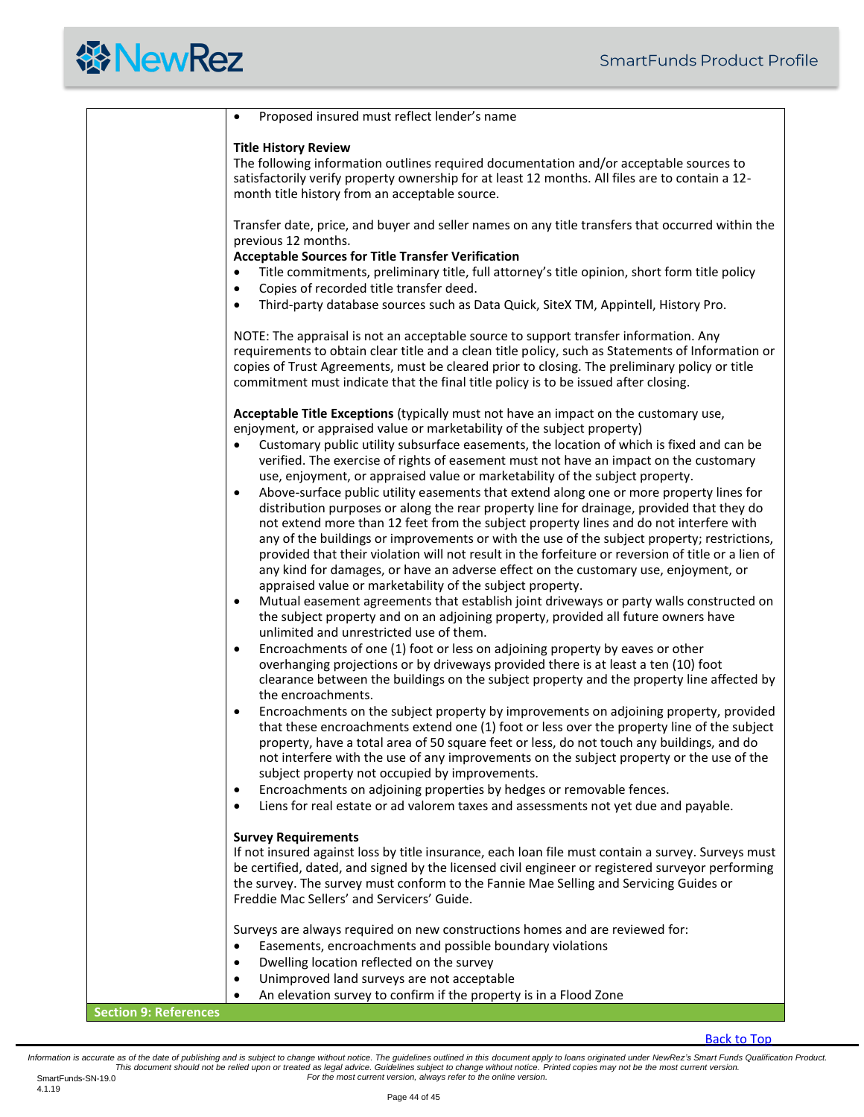<span id="page-43-0"></span>

|                              | Proposed insured must reflect lender's name                                                                                                                                                                                                                                                                                                                                                                                                                                                                                                                                                                                                          |
|------------------------------|------------------------------------------------------------------------------------------------------------------------------------------------------------------------------------------------------------------------------------------------------------------------------------------------------------------------------------------------------------------------------------------------------------------------------------------------------------------------------------------------------------------------------------------------------------------------------------------------------------------------------------------------------|
|                              | <b>Title History Review</b><br>The following information outlines required documentation and/or acceptable sources to<br>satisfactorily verify property ownership for at least 12 months. All files are to contain a 12-<br>month title history from an acceptable source.                                                                                                                                                                                                                                                                                                                                                                           |
|                              | Transfer date, price, and buyer and seller names on any title transfers that occurred within the<br>previous 12 months.                                                                                                                                                                                                                                                                                                                                                                                                                                                                                                                              |
|                              | <b>Acceptable Sources for Title Transfer Verification</b><br>Title commitments, preliminary title, full attorney's title opinion, short form title policy<br>Copies of recorded title transfer deed.<br>$\bullet$                                                                                                                                                                                                                                                                                                                                                                                                                                    |
|                              | Third-party database sources such as Data Quick, SiteX TM, Appintell, History Pro.<br>$\bullet$                                                                                                                                                                                                                                                                                                                                                                                                                                                                                                                                                      |
|                              | NOTE: The appraisal is not an acceptable source to support transfer information. Any<br>requirements to obtain clear title and a clean title policy, such as Statements of Information or<br>copies of Trust Agreements, must be cleared prior to closing. The preliminary policy or title<br>commitment must indicate that the final title policy is to be issued after closing.                                                                                                                                                                                                                                                                    |
|                              | Acceptable Title Exceptions (typically must not have an impact on the customary use,<br>enjoyment, or appraised value or marketability of the subject property)                                                                                                                                                                                                                                                                                                                                                                                                                                                                                      |
|                              | Customary public utility subsurface easements, the location of which is fixed and can be<br>verified. The exercise of rights of easement must not have an impact on the customary<br>use, enjoyment, or appraised value or marketability of the subject property.                                                                                                                                                                                                                                                                                                                                                                                    |
|                              | Above-surface public utility easements that extend along one or more property lines for<br>$\bullet$<br>distribution purposes or along the rear property line for drainage, provided that they do<br>not extend more than 12 feet from the subject property lines and do not interfere with<br>any of the buildings or improvements or with the use of the subject property; restrictions,<br>provided that their violation will not result in the forfeiture or reversion of title or a lien of<br>any kind for damages, or have an adverse effect on the customary use, enjoyment, or<br>appraised value or marketability of the subject property. |
|                              | Mutual easement agreements that establish joint driveways or party walls constructed on<br>$\bullet$<br>the subject property and on an adjoining property, provided all future owners have<br>unlimited and unrestricted use of them.                                                                                                                                                                                                                                                                                                                                                                                                                |
|                              | Encroachments of one (1) foot or less on adjoining property by eaves or other<br>$\bullet$<br>overhanging projections or by driveways provided there is at least a ten (10) foot<br>clearance between the buildings on the subject property and the property line affected by<br>the encroachments.                                                                                                                                                                                                                                                                                                                                                  |
|                              | Encroachments on the subject property by improvements on adjoining property, provided<br>$\bullet$<br>that these encroachments extend one (1) foot or less over the property line of the subject<br>property, have a total area of 50 square feet or less, do not touch any buildings, and do<br>not interfere with the use of any improvements on the subject property or the use of the<br>subject property not occupied by improvements.                                                                                                                                                                                                          |
|                              | Encroachments on adjoining properties by hedges or removable fences.<br>$\bullet$<br>Liens for real estate or ad valorem taxes and assessments not yet due and payable.<br>$\bullet$                                                                                                                                                                                                                                                                                                                                                                                                                                                                 |
|                              | <b>Survey Requirements</b>                                                                                                                                                                                                                                                                                                                                                                                                                                                                                                                                                                                                                           |
|                              | If not insured against loss by title insurance, each loan file must contain a survey. Surveys must<br>be certified, dated, and signed by the licensed civil engineer or registered surveyor performing<br>the survey. The survey must conform to the Fannie Mae Selling and Servicing Guides or<br>Freddie Mac Sellers' and Servicers' Guide.                                                                                                                                                                                                                                                                                                        |
|                              | Surveys are always required on new constructions homes and are reviewed for:<br>Easements, encroachments and possible boundary violations<br>$\bullet$<br>Dwelling location reflected on the survey<br>$\bullet$                                                                                                                                                                                                                                                                                                                                                                                                                                     |
|                              | Unimproved land surveys are not acceptable<br>$\bullet$                                                                                                                                                                                                                                                                                                                                                                                                                                                                                                                                                                                              |
| <b>Section 9: References</b> | An elevation survey to confirm if the property is in a Flood Zone<br>$\bullet$                                                                                                                                                                                                                                                                                                                                                                                                                                                                                                                                                                       |